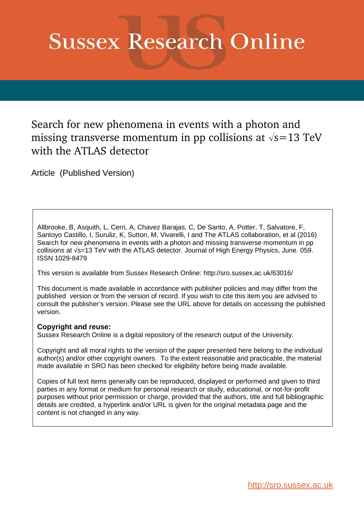# **Sussex Research Online**

# Search for new phenomena in events with a photon and missing transverse momentum in pp collisions at  $\sqrt{s}=13$  TeV with the ATLAS detector

Article (Published Version)

Allbrooke, B, Asquith, L, Cerri, A, Chavez Barajas, C, De Santo, A, Potter, T, Salvatore, F, Santoyo Castillo, I, Suruliz, K, Sutton, M, Vivarelli, I and The ATLAS collaboration, et al (2016) Search for new phenomena in events with a photon and missing transverse momentum in pp collisions at √s=13 TeV with the ATLAS detector. Journal of High Energy Physics, June. 059. ISSN 1029-8479

This version is available from Sussex Research Online: http://sro.sussex.ac.uk/63016/

This document is made available in accordance with publisher policies and may differ from the published version or from the version of record. If you wish to cite this item you are advised to consult the publisher's version. Please see the URL above for details on accessing the published version.

# **Copyright and reuse:**

Sussex Research Online is a digital repository of the research output of the University.

Copyright and all moral rights to the version of the paper presented here belong to the individual author(s) and/or other copyright owners. To the extent reasonable and practicable, the material made available in SRO has been checked for eligibility before being made available.

Copies of full text items generally can be reproduced, displayed or performed and given to third parties in any format or medium for personal research or study, educational, or not-for-profit purposes without prior permission or charge, provided that the authors, title and full bibliographic details are credited, a hyperlink and/or URL is given for the original metadata page and the content is not changed in any way.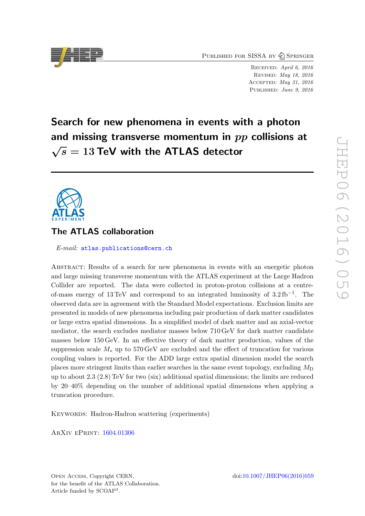PUBLISHED FOR SISSA BY 2 SPRINGER

RECEIVED: April 6, 2016 Revised : May 18, 2016 Accepted : May 31, 2016 PUBLISHED: June 9, 2016

# Search for new phenomena in events with a photon and missing transverse momentum in  $pp$  collisions at  $\sqrt{s} = 13$  TeV with the ATLAS detector

# The ATLAS collaboration

E-mail: [atlas.publications@cern.ch](mailto:atlas.publications@cern.ch)

Abstract: Results of a search for new phenomena in events with an energetic photon and large missing transverse momentum with the ATLAS experiment at the Large Hadron Collider are reported. The data were collected in proton-proton collisions at a centreof-mass energy of 13 TeV and correspond to an integrated luminosity of  $3.2 \text{ fb}^{-1}$ . The observed data are in agreement with the Standard Model expectations. Exclusion limits are presented in models of new phenomena including pair production of dark matter candidates or large extra spatial dimensions. In a simplified model of dark matter and an axial-vector mediator, the search excludes mediator masses below 710 GeV for dark matter candidate masses below 150 GeV. In an effective theory of dark matter production, values of the suppression scale  $M_*$  up to 570 GeV are excluded and the effect of truncation for various coupling values is reported. For the ADD large extra spatial dimension model the search places more stringent limits than earlier searches in the same event topology, excluding  $M_{\rm D}$ up to about 2.3 (2.8) TeV for two (six) additional spatial dimensions; the limits are reduced by 20–40% depending on the number of additional spatial dimensions when applying a truncation procedure.

<span id="page-1-0"></span>KEYWORDS: Hadron-Hadron scattering (experiments)

ArXiv ePrint: [1604.01306](http://arxiv.org/abs/1604.01306)

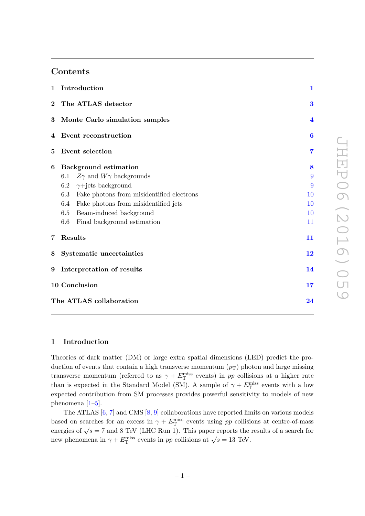# **Contents**

|                         | 1 Introduction                                   | $\mathbf{1}$   |  |  |
|-------------------------|--------------------------------------------------|----------------|--|--|
| $\bf{2}$                | The ATLAS detector                               |                |  |  |
| $\bf{3}$                | Monte Carlo simulation samples                   | 4              |  |  |
| 4                       | Event reconstruction                             | 6              |  |  |
| 5                       | Event selection                                  | $\overline{7}$ |  |  |
| 6                       | <b>Background</b> estimation                     | 8              |  |  |
|                         | 6.1<br>$Z\gamma$ and $W\gamma$ backgrounds       | 9              |  |  |
|                         | $\gamma$ +jets background<br>6.2                 | 9              |  |  |
|                         | Fake photons from misidentified electrons<br>6.3 | 10             |  |  |
|                         | Fake photons from misidentified jets<br>6.4      | 10             |  |  |
|                         | 6.5<br>Beam-induced background                   | 10             |  |  |
|                         | 6.6<br>Final background estimation               | 11             |  |  |
| 7                       | Results                                          | 11             |  |  |
| 8                       | Systematic uncertainties                         | 12             |  |  |
| 9                       | Interpretation of results                        | 14             |  |  |
| 10 Conclusion           |                                                  |                |  |  |
| The ATLAS collaboration |                                                  |                |  |  |
|                         |                                                  |                |  |  |

# 1 Introduction

Theories of dark matter (DM) or large extra spatial dimensions (LED) predict the production of events that contain a high transverse momentum  $(p_T)$  photon and large missing transverse momentum (referred to as  $\gamma + E_{\rm T}^{\rm miss}$  events) in pp collisions at a higher rate than is expected in the Standard Model (SM). A sample of  $\gamma + E_{\rm T}^{\rm miss}$  events with a low expected contribution from SM processes provides powerful sensitivity to models of new phenomena  $[1-5]$  $[1-5]$  $[1-5]$  $[1-5]$ .

<span id="page-2-0"></span>The ATLAS  $[6, 7]$  $[6, 7]$  $[6, 7]$  $[6, 7]$  and CMS  $[8, 9]$  $[8, 9]$  $[8, 9]$  $[8, 9]$  collaborations have reported limits on various models based on searches for an excess in  $\gamma + E_{\rm T}^{\rm miss}$  events using pp collisions at centre-of-mass energies of  $\sqrt{s} = 7$  and 8 TeV (LHC Run 1). This paper reports the results of a search for new phenomena in  $\gamma + E_{\rm T}^{\rm miss}$  events in pp collisions at  $\sqrt{s} = 13$  TeV.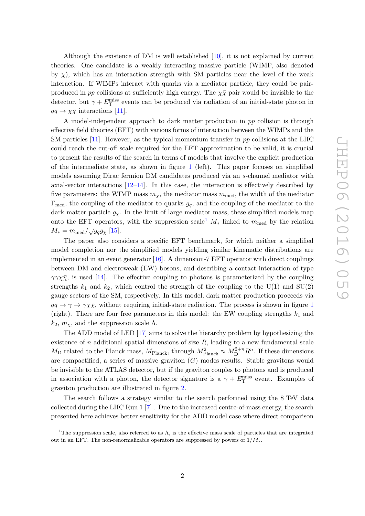Although the existence of DM is well established [\[10\]](#page-19-5), it is not explained by current theories. One candidate is a weakly interacting massive particle (WIMP, also denoted by  $\chi$ ), which has an interaction strength with SM particles near the level of the weak interaction. If WIMPs interact with quarks via a mediator particle, they could be pairproduced in pp collisions at sufficiently high energy. The  $\chi \bar{\chi}$  pair would be invisible to the detector, but  $\gamma + E_{\text{T}}^{\text{miss}}$  events can be produced via radiation of an initial-state photon in  $q\bar{q} \to \chi \bar{\chi}$  interactions [\[11\]](#page-19-6).

<span id="page-3-1"></span>A model-independent approach to dark matter production in pp collision is through effective field theories (EFT) with various forms of interaction between the WIMPs and the SM particles  $[11]$ . However, as the typical momentum transfer in pp collisions at the LHC could reach the cut-off scale required for the EFT approximation to be valid, it is crucial to present the results of the search in terms of models that involve the explicit production of the intermediate state, as shown in figure [1](#page-3-1) (left). This paper focuses on simplified models assuming Dirac fermion DM candidates produced via an s-channel mediator with axial-vector interactions [\[12](#page-19-7) [–14\]](#page-19-8). In this case, the interaction is effectively described by five parameters: the WIMP mass  $m_{\chi}$ , the mediator mass  $m_{\text{med}}$ , the width of the mediator  $\Gamma_{\text{med}}$ , the coupling of the mediator to quarks  $g_q$ , and the coupling of the mediator to the dark matter particle  $g_{\chi}$ . In the limit of large mediator mass, these simplified models map onto the EFT operators, with the suppression scale<sup>[1](#page-2-0)</sup>  $M_*$  linked to  $m_{\text{med}}$  by the relation  $M_* = m_{\text{med}} / \sqrt{g_q g_\chi}$  [\[15\]](#page-19-9).

<span id="page-3-2"></span>The paper also considers a specific EFT benchmark, for which neither a simplified model completion nor the simplified models yielding similar kinematic distributions are implemented in an event generator [\[16\]](#page-19-10). A dimension-7 EFT operator with direct couplings between DM and electroweak (EW) bosons, and describing a contact interaction of type  $\gamma\gamma\chi\bar{\chi}$ , is used [\[14\]](#page-19-8). The effective coupling to photons is parameterized by the coupling strengths  $k_1$  and  $k_2$ , which control the strength of the coupling to the U(1) and SU(2) gauge sectors of the SM, respectively. In this model, dark matter production proceeds via  $q\bar{q} \rightarrow \gamma \rightarrow \gamma \chi \bar{\chi}$ , without requiring initial-state radiation. The process is shown in figure [1](#page-3-1) (right). There are four free parameters in this model: the EW coupling strengths  $k_1$  and  $k_2, m_\chi$ , and the suppression scale  $\Lambda$ .

<span id="page-3-0"></span>The ADD model of LED [\[17\]](#page-19-11) aims to solve the hierarchy problem by hypothesizing the existence of n additional spatial dimensions of size R, leading to a new fundamental scale  $M_{\rm D}$  related to the Planck mass,  $M_{\rm Planck}$ , through  $M_{\rm Planck}^2 \approx M_{\rm D}^{2+n} R^n$ . If these dimensions are compactified, a series of massive graviton  $(G)$  modes results. Stable gravitons would be invisible to the ATLAS detector, but if the graviton couples to photons and is produced in association with a photon, the detector signature is a  $\gamma + E_{\rm T}^{\rm miss}$  event. Examples of graviton production are illustrated in figure [2](#page-3-2) .

<span id="page-3-3"></span>The search follows a strategy similar to the search performed using the 8 TeV data collected during the LHC Run 1 [ [7\]](#page-19-2) . Due to the increased centre-of-mass energy, the search presented here achieves better sensitivity for the ADD model case where direct comparison

<sup>&</sup>lt;sup>1</sup>The suppression scale, also referred to as  $\Lambda$ , is the effective mass scale of particles that are integrated out in an EFT. The non-renormalizable operators are suppressed by powers of  $1/M_*$ .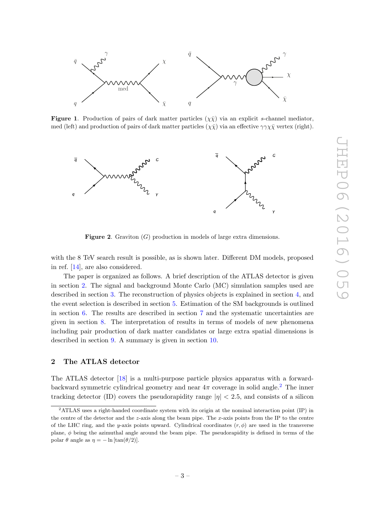

**Figure 1.** Production of pairs of dark matter particles  $(\chi \bar{\chi})$  via an explicit s-channel mediator, med (left) and production of pairs of dark matter particles  $(\chi \bar{\chi})$  via an effective  $\gamma \gamma \chi \bar{\chi}$  vertex (right).



**Figure 2.** Graviton  $(G)$  production in models of large extra dimensions.

<span id="page-4-0"></span>with the 8 TeV search result is possible, as is shown later. Different DM models, proposed in ref. [\[14\]](#page-19-8), are also considered.

The paper is organized as follows. A brief description of the ATLAS detector is given in section [2.](#page-3-0) The signal and background Monte Carlo (MC) simulation samples used are described in section [3.](#page-4-0) The reconstruction of physics objects is explained in section [4,](#page-6-0) and the event selection is described in section [5.](#page-7-0) Estimation of the SM backgrounds is outlined in section [6.](#page-8-0) The results are described in section [7](#page-11-1) and the systematic uncertainties are given in section [8.](#page-12-0) The interpretation of results in terms of models of new phenomena including pair production of dark matter candidates or large extra spatial dimensions is described in section [9.](#page-14-0) A summary is given in section [10](#page-17-0) .

# 2 The ATLAS detector

The ATLAS detector [\[18\]](#page-19-12) is a multi-purpose particle physics apparatus with a forwardbackward symmetric cylindrical geometry and near  $4\pi$  coverage in solid angle.<sup>[2](#page-3-3)</sup> The inner tracking detector (ID) covers the pseudorapidity range  $|\eta| < 2.5$ , and consists of a silicon

<sup>2</sup>ATLAS uses a right-handed coordinate system with its origin at the nominal interaction point (IP) in the centre of the detector and the z-axis along the beam pipe. The x-axis points from the IP to the centre of the LHC ring, and the y-axis points upward. Cylindrical coordinates  $(r, \phi)$  are used in the transverse plane, φ being the azimuthal angle around the beam pipe. The pseudorapidity is defined in terms of the polar  $\theta$  angle as  $\eta = -\ln \left[\tan(\theta/2)\right]$ .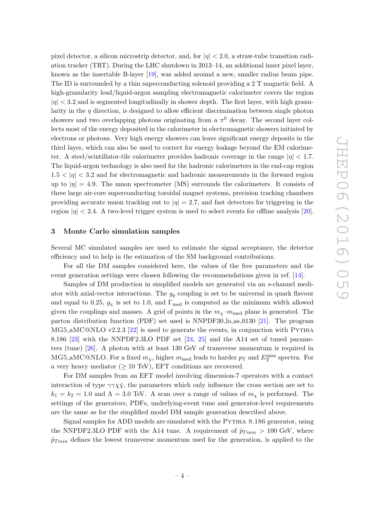pixel detector, a silicon microstrip detector, and, for  $|\eta| < 2.0$ , a straw-tube transition radiation tracker (TRT). During the LHC shutdown in 2013–14, an additional inner pixel layer, known as the insertable B-layer [\[19\]](#page-19-13), was added around a new, smaller radius beam pipe. The ID is surrounded by a thin superconducting solenoid providing a 2 T magnetic field. A high-granularity lead/liquid-argon sampling electromagnetic calorimeter covers the region  $|\eta|$  < 3.2 and is segmented longitudinally in shower depth. The first layer, with high granularity in the  $\eta$  direction, is designed to allow efficient discrimination between single photon showers and two overlapping photons originating from a  $\pi^0$  decay. The second layer collects most of the energy deposited in the calorimeter in electromagnetic showers initiated by electrons or photons. Very high energy showers can leave significant energy deposits in the third layer, which can also be used to correct for energy leakage beyond the EM calorimeter. A steel/scintillator-tile calorimeter provides hadronic coverage in the range  $|\eta| < 1.7$ . The liquid-argon technology is also used for the hadronic calorimeters in the end-cap region  $1.5 < |\eta| < 3.2$  and for electromagnetic and hadronic measurements in the forward region up to  $|\eta| = 4.9$ . The muon spectrometer (MS) surrounds the calorimeters. It consists of three large air-core superconducting toroidal magnet systems, precision tracking chambers providing accurate muon tracking out to  $|\eta| = 2.7$ , and fast detectors for triggering in the region  $|\eta| < 2.4$ . A two-level trigger system is used to select events for offline analysis [\[20\]](#page-20-0).

# 3 Monte Carlo simulation samples

Several MC simulated samples are used to estimate the signal acceptance, the detector efficiency and to help in the estimation of the SM background contributions.

For all the DM samples considered here, the values of the free parameters and the event generation settings were chosen following the recommendations given in ref. [\[14\]](#page-19-8).

Samples of DM production in simplified models are generated via an s-channel mediator with axial-vector interactions. The  $g_q$  coupling is set to be universal in quark flavour and equal to 0.25,  $g_{\chi}$  is set to 1.0, and  $\Gamma_{\text{med}}$  is computed as the minimum width allowed given the couplings and masses. A grid of points in the  $m_{\chi}$ - $m_{\text{med}}$  plane is generated. The parton distribution function (PDF) set used is NNPDF30 lo as 0130 [\[21\]](#page-20-1). The program MG5<sub>-a</sub>MC@NLO v2.2.3 [\[22\]](#page-20-2) is used to generate the events, in conjunction with PYTHIA 8.186 [\[23\]](#page-20-3) with the NNPDF2.3LO PDF set [\[24](#page-20-4) , [25\]](#page-20-5) and the A14 set of tuned parameters (tune) [\[26\]](#page-20-6). A photon with at least 130 GeV of transverse momentum is required in MG5<sub>-a</sub>MC@NLO. For a fixed  $m_{\chi}$ , higher  $m_{\text{med}}$  leads to harder  $p_{\text{T}}$  and  $E_{\text{T}}^{\text{miss}}$  spectra. For a very heavy mediator ( $\geq 10$  TeV), EFT conditions are recovered.

For DM samples from an EFT model involving dimension-7 operators with a contact interaction of type  $\gamma \gamma \chi \bar{\chi}$ , the parameters which only influence the cross section are set to  $k_1 = k_2 = 1.0$  and  $\Lambda = 3.0$  TeV. A scan over a range of values of  $m_\chi$  is performed. The settings of the generators, PDFs, underlying-event tune and generator-level requirements are the same as for the simplified model DM sample generation described above.

Signal samples for ADD models are simulated with the Pythia 8.186 generator, using the NNPDF2.3LO PDF with the A14 tune. A requirement of  $\hat{p}_{Tmin} > 100$  GeV, where  $\hat{p}_{Tmin}$  defines the lowest transverse momentum used for the generation, is applied to the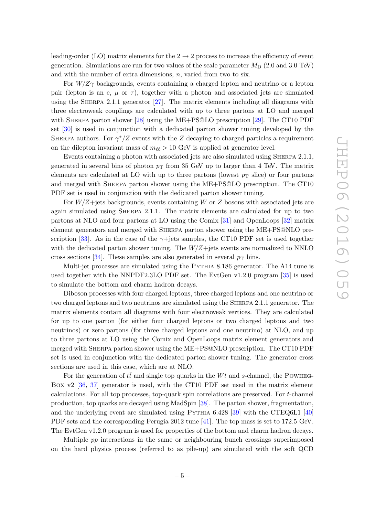leading-order (LO) matrix elements for the  $2 \rightarrow 2$  process to increase the efficiency of event generation. Simulations are run for two values of the scale parameter  $M_{\text{D}} \ (2.0 \text{ and } 3.0 \text{ TeV})$ and with the number of extra dimensions, n, varied from two to six.

For  $W/Z\gamma$  backgrounds, events containing a charged lepton and neutrino or a lepton pair (lepton is an e,  $\mu$  or  $\tau$ ), together with a photon and associated jets are simulated using the SHERPA 2.1.1 generator  $[27]$ . The matrix elements including all diagrams with three electroweak couplings are calculated with up to three partons at LO and merged with SHERPA parton shower [\[28\]](#page-20-8) using the ME+PS@LO prescription [\[29\]](#page-20-9). The CT10 PDF set [\[30\]](#page-20-10) is used in conjunction with a dedicated parton shower tuning developed by the SHERPA authors. For  $\gamma^*/\mathbb{Z}$  events with the  $\mathbb Z$  decaying to charged particles a requirement on the dilepton invariant mass of  $m_{\ell\ell} > 10$  GeV is applied at generator level.

<span id="page-6-0"></span>Events containing a photon with associated jets are also simulated using Sherpa 2.1.1, generated in several bins of photon  $p<sub>T</sub>$  from 35 GeV up to larger than 4 TeV. The matrix elements are calculated at LO with up to three partons (lowest  $p_T$  slice) or four partons and merged with SHERPA parton shower using the ME+PS@LO prescription. The CT10 PDF set is used in conjunction with the dedicated parton shower tuning.

For  $W/Z +$ jets backgrounds, events containing W or Z bosons with associated jets are again simulated using Sherpa 2.1.1. The matrix elements are calculated for up to two partons at NLO and four partons at LO using the Comix [\[31\]](#page-20-11) and OpenLoops [\[32\]](#page-20-12) matrix element generators and merged with Sherpa parton shower using the ME+PS@NLO pre-scription [\[33\]](#page-20-13). As in the case of the  $\gamma$ +jets samples, the CT10 PDF set is used together with the dedicated parton shower tuning. The  $W/Z +$ jets events are normalized to NNLO cross sections [\[34\]](#page-20-14). These samples are also generated in several  $p<sub>T</sub>$  bins.

Multi-jet processes are simulated using the Pythia 8.186 generator. The A14 tune is used together with the NNPDF2.3LO PDF set. The EvtGen v1.2.0 program [\[35\]](#page-20-15) is used to simulate the bottom and charm hadron decays.

Diboson processes with four charged leptons, three charged leptons and one neutrino or two charged leptons and two neutrinos are simulated using the Sherpa 2.1.1 generator. The matrix elements contain all diagrams with four electroweak vertices. They are calculated for up to one parton (for either four charged leptons or two charged leptons and two neutrinos) or zero partons (for three charged leptons and one neutrino) at NLO, and up to three partons at LO using the Comix and OpenLoops matrix element generators and merged with SHERPA parton shower using the ME+PS@NLO prescription. The CT10 PDF set is used in conjunction with the dedicated parton shower tuning. The generator cross sections are used in this case, which are at NLO.

For the generation of  $t\bar{t}$  and single top quarks in the Wt and s-channel, the POWHEG-Box v2 [\[36,](#page-20-16) [37\]](#page-20-17) generator is used, with the CT10 PDF set used in the matrix element calculations. For all top processes, top-quark spin correlations are preserved. For t-channel production, top quarks are decayed using MadSpin [\[38\]](#page-21-0). The parton shower, fragmentation, and the underlying event are simulated using PYTHIA  $6.428$  [\[39\]](#page-21-1) with the CTEQ6L1 [\[40](#page-21-2)] PDF sets and the corresponding Perugia 2012 tune [\[41\]](#page-21-3). The top mass is set to 172.5 GeV. The EvtGen v1.2.0 program is used for properties of the bottom and charm hadron decays.

<span id="page-6-1"></span>Multiple pp interactions in the same or neighbouring bunch crossings superimposed on the hard physics process (referred to as pile-up) are simulated with the soft QCD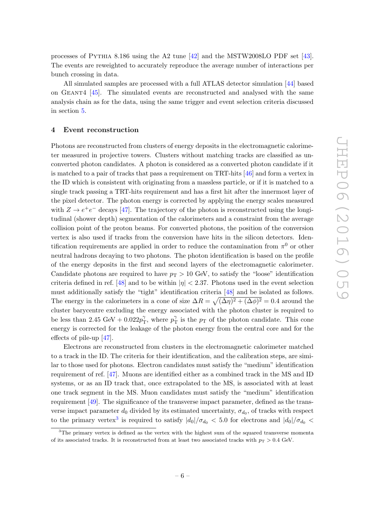processes of Pythia 8.186 using the A2 tune [\[42\]](#page-21-4) and the MSTW2008LO PDF set [\[43\]](#page-21-5). The events are reweighted to accurately reproduce the average number of interactions per bunch crossing in data.

All simulated samples are processed with a full ATLAS detector simulation [\[44\]](#page-21-6) based on GEANT4 [\[45\]](#page-21-7). The simulated events are reconstructed and analysed with the same analysis chain as for the data, using the same trigger and event selection criteria discussed in section [5](#page-7-0) .

# 4 Event reconstruction

Photons are reconstructed from clusters of energy deposits in the electromagnetic calorimeter measured in projective towers. Clusters without matching tracks are classified as unconverted photon candidates. A photon is considered as a converted photon candidate if it is matched to a pair of tracks that pass a requirement on TRT-hits [\[46\]](#page-21-8) and form a vertex in the ID which is consistent with originating from a massless particle, or if it is matched to a single track passing a TRT-hits requirement and has a first hit after the innermost layer of the pixel detector. The photon energy is corrected by applying the energy scales measured with  $Z \to e^+e^-$  decays [\[47\]](#page-21-9). The trajectory of the photon is reconstructed using the longitudinal (shower depth) segmentation of the calorimeters and a constraint from the average collision point of the proton beams. For converted photons, the position of the conversion vertex is also used if tracks from the conversion have hits in the silicon detectors. Identification requirements are applied in order to reduce the contamination from  $\pi^0$  or other neutral hadrons decaying to two photons. The photon identification is based on the profile of the energy deposits in the first and second layers of the electromagnetic calorimeter. Candidate photons are required to have  $p_T > 10$  GeV, to satisfy the "loose" identification criteria defined in ref. [\[48\]](#page-21-10) and to be within  $|\eta| < 2.37$ . Photons used in the event selection must additionally satisfy the "tight" identification criteria [\[48\]](#page-21-10) and be isolated as follows. The energy in the calorimeters in a cone of size  $\Delta R = \sqrt{(\Delta \eta)^2 + (\Delta \phi)^2} = 0.4$  around the cluster barycentre excluding the energy associated with the photon cluster is required to be less than 2.45 GeV +  $0.022p_T^{\gamma}$  $\gamma_{\rm T}^{\gamma}$ , where  $p_{\rm T}^{\gamma}$  $T_{\rm T}^{\gamma}$  is the  $p_{\rm T}$  of the photon candidate. This cone energy is corrected for the leakage of the photon energy from the central core and for the effects of pile-up [\[47\]](#page-21-9).

<span id="page-7-0"></span>Electrons are reconstructed from clusters in the electromagnetic calorimeter matched to a track in the ID. The criteria for their identification, and the calibration steps, are similar to those used for photons. Electron candidates must satisfy the "medium" identification requirement of ref. [\[47\]](#page-21-9). Muons are identified either as a combined track in the MS and ID systems, or as an ID track that, once extrapolated to the MS, is associated with at least one track segment in the MS. Muon candidates must satisfy the "medium" identification requirement [\[49\]](#page-21-11). The significance of the transverse impact parameter, defined as the transverse impact parameter  $d_0$  divided by its estimated uncertainty,  $\sigma_{d_0}$ , of tracks with respect to the primary vertex<sup>[3](#page-6-1)</sup> is required to satisfy  $|d_0|/\sigma_{d_0}$  < 5.0 for electrons and  $|d_0|/\sigma_{d_0}$  <

 $3$ The primary vertex is defined as the vertex with the highest sum of the squared transverse momenta of its associated tracks. It is reconstructed from at least two associated tracks with  $p_T > 0.4$  GeV.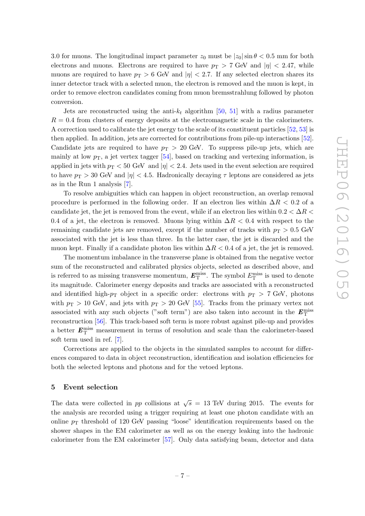3.0 for muons. The longitudinal impact parameter  $z_0$  must be  $|z_0| \sin \theta < 0.5$  mm for both electrons and muons. Electrons are required to have  $p_T > 7$  GeV and  $|\eta| < 2.47$ , while muons are required to have  $p_T > 6$  GeV and  $|\eta| < 2.7$ . If any selected electron shares its inner detector track with a selected muon, the electron is removed and the muon is kept, in order to remove electron candidates coming from muon bremsstrahlung followed by photon conversion.

Jets are reconstructed using the anti- $k_t$  algorithm [\[50](#page-21-12), [51\]](#page-21-13) with a radius parameter  $R = 0.4$  from clusters of energy deposits at the electromagnetic scale in the calorimeters. A correction used to calibrate the jet energy to the scale of its constituent particles [\[52](#page-21-14) , [53\]](#page-21-15) is then applied. In addition, jets are corrected for contributions from pile-up interactions [\[52\]](#page-21-14). Candidate jets are required to have  $p_T > 20$  GeV. To suppress pile-up jets, which are mainly at low  $p_{\text{T}}$ , a jet vertex tagger  $[54]$ , based on tracking and vertexing information, is applied in jets with  $p_T < 50$  GeV and  $|\eta| < 2.4$ . Jets used in the event selection are required to have  $p_T > 30$  GeV and  $|\eta| < 4.5$ . Hadronically decaying  $\tau$  leptons are considered as jets as in the Run 1 analysis [ [7\]](#page-19-2).

To resolve ambiguities which can happen in object reconstruction, an overlap removal procedure is performed in the following order. If an electron lies within  $\Delta R < 0.2$  of a candidate jet, the jet is removed from the event, while if an electron lies within 0.2  $< \Delta R <$ 0.4 of a jet, the electron is removed. Muons lying within  $\Delta R < 0.4$  with respect to the remaining candidate jets are removed, except if the number of tracks with  $p_T > 0.5$  GeV associated with the jet is less than three. In the latter case, the jet is discarded and the muon kept. Finally if a candidate photon lies within  $\Delta R < 0.4$  of a jet, the jet is removed.

The momentum imbalance in the transverse plane is obtained from the negative vector sum of the reconstructed and calibrated physics objects, selected as described above, and is referred to as missing transverse momentum,  $E_{\rm T}^{\rm miss}$ . The symbol  $E_{\rm T}^{\rm miss}$  is used to denote its magnitude. Calorimeter energy deposits and tracks are associated with a reconstructed and identified high- $p_T$  object in a specific order: electrons with  $p_T > 7$  GeV, photons with  $p_T > 10$  GeV, and jets with  $p_T > 20$  GeV [\[55\]](#page-21-17). Tracks from the primary vertex not associated with any such objects ("soft term") are also taken into account in the  $E_{\rm T}^{\rm miss}$ reconstruction [\[56\]](#page-22-0). This track-based soft term is more robust against pile-up and provides a better  $E_{\text{T}}^{\text{miss}}$  measurement in terms of resolution and scale than the calorimeter-based soft term used in ref. [ [7\]](#page-19-2).

Corrections are applied to the objects in the simulated samples to account for differences compared to data in object reconstruction, identification and isolation efficiencies for both the selected leptons and photons and for the vetoed leptons.

# <span id="page-8-0"></span>5 Event selection

The data were collected in pp collisions at  $\sqrt{s}$  = 13 TeV during 2015. The events for the analysis are recorded using a trigger requiring at least one photon candidate with an online  $p_{\text{T}}$  threshold of 120 GeV passing "loose" identification requirements based on the shower shapes in the EM calorimeter as well as on the energy leaking into the hadronic calorimeter from the EM calorimeter [\[57\]](#page-22-1). Only data satisfying beam, detector and data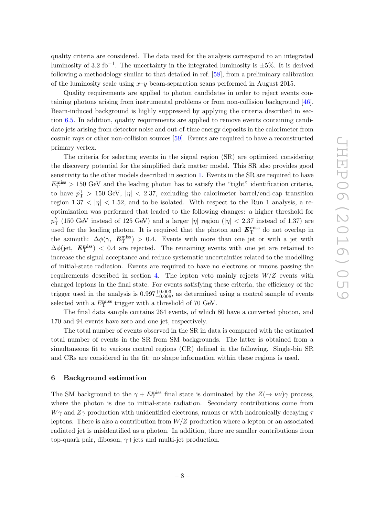quality criteria are considered. The data used for the analysis correspond to an integrated luminosity of 3.2 fb<sup>-1</sup>. The uncertainty in the integrated luminosity is  $\pm 5\%$ . It is derived following a methodology similar to that detailed in ref. [\[58\]](#page-22-2), from a preliminary calibration of the luminosity scale using  $x-y$  beam-separation scans performed in August 2015.

Quality requirements are applied to photon candidates in order to reject events containing photons arising from instrumental problems or from non-collision background [\[46\]](#page-21-8). Beam-induced background is highly suppressed by applying the criteria described in section [6.5.](#page-10-2) In addition, quality requirements are applied to remove events containing candidate jets arising from detector noise and out-of-time energy deposits in the calorimeter from cosmic rays or other non-collision sources [\[59\]](#page-22-3). Events are required to have a reconstructed primary vertex.

<span id="page-9-0"></span>The criteria for selecting events in the signal region (SR) are optimized considering the discovery potential for the simplified dark matter model. This SR also provides good sensitivity to the other models described in section [1.](#page-1-0) Events in the SR are required to have  $E_{\rm T}^{\rm miss} > 150$  GeV and the leading photon has to satisfy the "tight" identification criteria, to have  $p_{\rm T}^{\gamma}$  $T_{\rm T}$  > 150 GeV,  $|\eta|$  < 2.37, excluding the calorimeter barrel/end-cap transition region  $1.37 < |\eta| < 1.52$ , and to be isolated. With respect to the Run 1 analysis, a reoptimization was performed that leaded to the following changes: a higher threshold for  $p_T^{\gamma}$  (150 GeV instead of 125 GeV) and a larger  $|\eta|$  region ( $|\eta| < 2.37$  instead of 1.37) are used for the leading photon. It is required that the photon and  $E_{\text{T}}^{\text{miss}}$  do not overlap in the azimuth:  $\Delta\phi(\gamma, \mathbf{E}_{\text{T}}^{\text{miss}}) > 0.4$ . Events with more than one jet or with a jet with  $\Delta\phi$ (jet,  $E_{\rm T}^{\rm miss}$ ) < 0.4 are rejected. The remaining events with one jet are retained to increase the signal acceptance and reduce systematic uncertainties related to the modelling of initial-state radiation. Events are required to have no electrons or muons passing the requirements described in section [4.](#page-6-0) The lepton veto mainly rejects W/Z events with charged leptons in the final state. For events satisfying these criteria, the efficiency of the trigger used in the analysis is  $0.997_{-0.008}^{+0.003}$ , as determined using a control sample of events selected with a  $E_{\rm T}^{\rm miss}$  trigger with a threshold of 70 GeV.

The final data sample contains 264 events, of which 80 have a converted photon, and 170 and 94 events have zero and one jet, respectively.

<span id="page-9-1"></span>The total number of events observed in the SR in data is compared with the estimated total number of events in the SR from SM backgrounds. The latter is obtained from a simultaneous fit to various control regions (CR) defined in the following. Single-bin SR and CRs are considered in the fit: no shape information within these regions is used.

# 6 Background estimation

The SM background to the  $\gamma + E_{\rm T}^{\rm miss}$  final state is dominated by the  $Z(\rightarrow \nu \nu)\gamma$  process, where the photon is due to initial-state radiation. Secondary contributions come from  $W\gamma$  and  $Z\gamma$  production with unidentified electrons, muons or with hadronically decaying  $\tau$ leptons. There is also a contribution from  $W/Z$  production where a lepton or an associated radiated jet is misidentified as a photon. In addition, there are smaller contributions from top-quark pair, diboson, γ+jets and multi-jet production.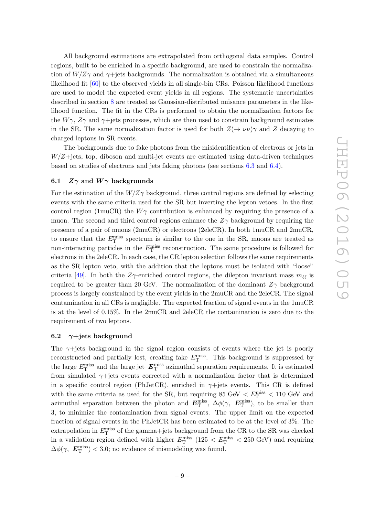<span id="page-10-0"></span>All background estimations are extrapolated from orthogonal data samples. Control regions, built to be enriched in a specific background, are used to constrain the normalization of  $W/Z\gamma$  and  $\gamma$ +jets backgrounds. The normalization is obtained via a simultaneous likelihood fit [\[60\]](#page-22-4) to the observed yields in all single-bin CRs. Poisson likelihood functions are used to model the expected event yields in all regions. The systematic uncertainties described in section [8](#page-12-0) are treated as Gaussian-distributed nuisance parameters in the likelihood function. The fit in the CRs is performed to obtain the normalization factors for the  $W\gamma$ ,  $Z\gamma$  and  $\gamma$ +jets processes, which are then used to constrain background estimates in the SR. The same normalization factor is used for both  $Z(\to \nu\nu)\gamma$  and Z decaying to charged leptons in SR events.

The backgrounds due to fake photons from the misidentification of electrons or jets in  $W/Z +$ jets, top, diboson and multi-jet events are estimated using data-driven techniques based on studies of electrons and jets faking photons (see sections [6.3](#page-10-0) and [6.4\)](#page-10-1).

# 6.1  $Z\gamma$  and  $W\gamma$  backgrounds

<span id="page-10-1"></span>For the estimation of the  $W/Z\gamma$  background, three control regions are defined by selecting events with the same criteria used for the SR but inverting the lepton vetoes. In the first control region (1muCR) the  $W\gamma$  contribution is enhanced by requiring the presence of a muon. The second and third control regions enhance the  $Z_{\gamma}$  background by requiring the presence of a pair of muons (2muCR) or electrons (2eleCR). In both 1muCR and 2muCR, to ensure that the  $E_{\rm T}^{\rm miss}$  spectrum is similar to the one in the SR, muons are treated as non-interacting particles in the  $E_{\rm T}^{\rm miss}$  reconstruction. The same procedure is followed for electrons in the 2eleCR. In each case, the CR lepton selection follows the same requirements as the SR lepton veto, with the addition that the leptons must be isolated with "loose" criteria [\[49\]](#page-21-11). In both the  $Z\gamma$ -enriched control regions, the dilepton invariant mass  $m_{\ell\ell}$  is required to be greater than 20 GeV. The normalization of the dominant  $Z_{\gamma}$  background process is largely constrained by the event yields in the 2muCR and the 2eleCR. The signal contamination in all CRs is negligible. The expected fraction of signal events in the 1muCR is at the level of 0 .15%. In the 2muCR and 2eleCR the contamination is zero due to the requirement of two leptons.

#### 6.2  $\gamma$ +jets background

<span id="page-10-2"></span>The  $\gamma$ +jets background in the signal region consists of events where the jet is poorly reconstructed and partially lost, creating fake  $E_{\rm T}^{\rm miss}$ . This background is suppressed by the large  $E_{\rm T}^{\rm miss}$  and the large jet– $E_{\rm T}^{\rm miss}$  azimuthal separation requirements. It is estimated from simulated  $\gamma$ +jets events corrected with a normalization factor that is determined in a specific control region (PhJetCR), enriched in  $\gamma$ +jets events. This CR is defined with the same criteria as used for the SR, but requiring  $85 \text{ GeV} < E_{\text{T}}^{\text{miss}} < 110 \text{ GeV}$  and azimuthal separation between the photon and  $E_{\rm T}^{\rm miss}$ ,  $\Delta\phi(\gamma, E_{\rm T}^{\rm miss})$ , to be smaller than 3, to minimize the contamination from signal events. The upper limit on the expected fraction of signal events in the PhJetCR has been estimated to be at the level of 3%. The extrapolation in  $E_{\rm T}^{\rm miss}$  of the gamma+jets background from the CR to the SR was checked in a validation region defined with higher  $E_{\rm T}^{\rm miss}$  (125  $\lt E_{\rm T}^{\rm miss}$   $\lt$  250 GeV) and requiring  $\Delta\phi(\gamma, \mathbf{E}_{\text{T}}^{\text{miss}}) < 3.0$ ; no evidence of mismodeling was found.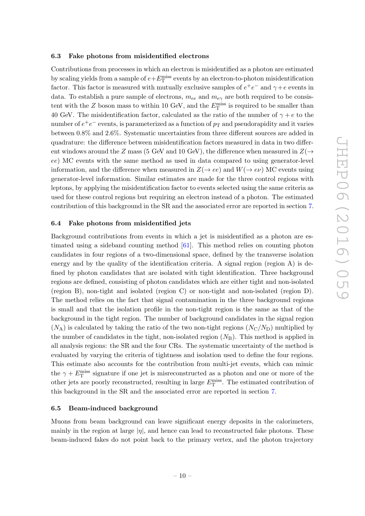# 6.3 Fake photons from misidentified electrons

Contributions from processes in which an electron is misidentified as a photon are estimated by scaling yields from a sample of  $e + E_T^{\text{miss}}$  events by an electron-to-photon misidentification factor. This factor is measured with mutually exclusive samples of  $e^+e^-$  and  $\gamma+e$  events in data. To establish a pure sample of electrons,  $m_{ee}$  and  $m_{e\gamma}$  are both required to be consistent with the Z boson mass to within 10 GeV, and the  $E_{\rm T}^{\rm miss}$  is required to be smaller than 40 GeV. The misidentification factor, calculated as the ratio of the number of  $\gamma + e$  to the number of  $e^+e^-$  events, is parameterized as a function of  $p_T$  and pseudorapidity and it varies between 0 .8% and 2 .6%. Systematic uncertainties from three different sources are added in quadrature: the difference between misidentification factors measured in data in two different windows around the Z mass (5 GeV and 10 GeV), the difference when measured in  $Z(\rightarrow$ ee) MC events with the same method as used in data compared to using generator-level information, and the difference when measured in  $Z(\rightarrow ee)$  and  $W(\rightarrow e\nu)$  MC events using generator-level information. Similar estimates are made for the three control regions with leptons, by applying the misidentification factor to events selected using the same criteria as used for these control regions but requiring an electron instead of a photon. The estimated contribution of this background in the SR and the associated error are reported in section [7](#page-11-1) .

### <span id="page-11-2"></span>6.4 Fake photons from misidentified jets

<span id="page-11-0"></span>Background contributions from events in which a jet is misidentified as a photon are estimated using a sideband counting method [\[61\]](#page-22-5). This method relies on counting photon candidates in four regions of a two-dimensional space, defined by the transverse isolation energy and by the quality of the identification criteria. A signal region (region  $A$ ) is defined by photon candidates that are isolated with tight identification. Three background regions are defined, consisting of photon candidates which are either tight and non-isolated (region B), non-tight and isolated (region C) or non-tight and non-isolated (region D). The method relies on the fact that signal contamination in the three background regions is small and that the isolation profile in the non-tight region is the same as that of the background in the tight region. The number of background candidates in the signal region  $(N_A)$  is calculated by taking the ratio of the two non-tight regions  $(N_C/N_D)$  multiplied by the number of candidates in the tight, non-isolated region  $(N_B)$ . This method is applied in all analysis regions: the SR and the four CRs. The systematic uncertainty of the method is evaluated by varying the criteria of tightness and isolation used to define the four regions. This estimate also accounts for the contribution from multi-jet events, which can mimic the  $\gamma + E_T^{\text{miss}}$  signature if one jet is misreconstructed as a photon and one or more of the other jets are poorly reconstructed, resulting in large  $E_{\textrm{T}}^{\textrm{miss}}$ . The estimated contribution of this background in the SR and the associated error are reported in section [7](#page-11-1) .

### <span id="page-11-1"></span>6.5 Beam-induced background

Muons from beam background can leave significant energy deposits in the calorimeters, mainly in the region at large  $|\eta|$ , and hence can lead to reconstructed fake photons. These beam-induced fakes do not point back to the primary vertex, and the photon trajectory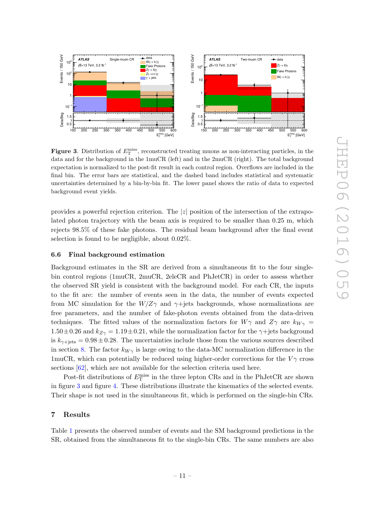

<span id="page-12-1"></span>**Figure 3.** Distribution of  $E_{\text{T}}^{\text{miss}}$ , reconstructed treating muons as non-interacting particles, in the data and for the background in the 1muCR (left) and in the 2muCR (right). The total background expectation is normalized to the post-fit result in each control region. Overflows are included in the final bin. The error bars are statistical, and the dashed band includes statistical and systematic uncertainties determined by a bin-by-bin fit. The lower panel shows the ratio of data to expected background event yields.

provides a powerful rejection criterion. The  $|z|$  position of the intersection of the extrapolated photon trajectory with the beam axis is required to be smaller than 0.25 m, which rejects 98 .5% of these fake photons. The residual beam background after the final event selection is found to be negligible, about 0.02%.

# 6.6 Final background estimation

<span id="page-12-2"></span>Background estimates in the SR are derived from a simultaneous fit to the four singlebin control regions (1muCR, 2muCR, 2eleCR and PhJetCR) in order to assess whether the observed SR yield is consistent with the background model. For each CR, the inputs to the fit are: the number of events seen in the data, the number of events expected from MC simulation for the  $W/Z\gamma$  and  $\gamma$ +jets backgrounds, whose normalizations are free parameters, and the number of fake-photon events obtained from the data-driven techniques. The fitted values of the normalization factors for  $W\gamma$  and  $Z\gamma$  are  $k_{W\gamma}$  =  $1.50 \pm 0.26$  and  $k_{Z\gamma} = 1.19 \pm 0.21$ , while the normalization factor for the  $\gamma$ +jets background is  $k_{\gamma + \text{jets}} = 0.98 \pm 0.28$ . The uncertainties include those from the various sources described in section [8.](#page-12-0) The factor  $k_{W\gamma}$  is large owing to the data-MC normalization difference in the 1muCR, which can potentially be reduced using higher-order corrections for the  $V\gamma$  cross sections [\[62\]](#page-22-6), which are not available for the selection criteria used here.

Post-fit distributions of  $E_{\rm T}^{\rm miss}$  in the three lepton CRs and in the PhJetCR are shown in figure [3](#page-11-2) and figure [4.](#page-12-1) These distributions illustrate the kinematics of the selected events. Their shape is not used in the simultaneous fit, which is performed on the single-bin CRs.

# <span id="page-12-0"></span>7 Results

Table [1](#page-12-2) presents the observed number of events and the SM background predictions in the SR, obtained from the simultaneous fit to the single-bin CRs. The same numbers are also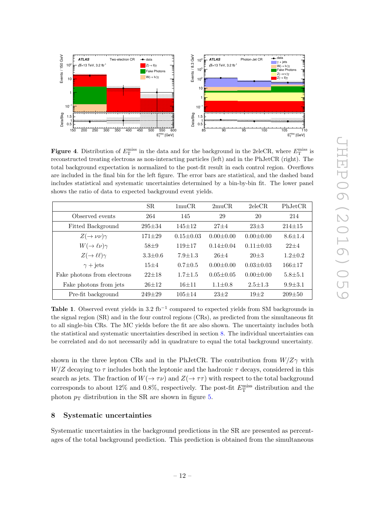

<span id="page-13-0"></span>**Figure 4.** Distribution of  $E_{\text{T}}^{\text{miss}}$  in the data and for the background in the 2eleCR, where  $E_{\text{T}}^{\text{miss}}$  is reconstructed treating electrons as non-interacting particles (left) and in the PhJetCR (right). The total background expectation is normalized to the post-fit result in each control region. Overflows are included in the final bin for the left figure. The error bars are statistical, and the dashed band includes statistical and systematic uncertainties determined by a bin-by-bin fit. The lower panel shows the ratio of data to expected background event yields.

|                                | SR.           | 1muCR           | 2muCR           | 2eleCR          | PhJetCR       |
|--------------------------------|---------------|-----------------|-----------------|-----------------|---------------|
| Observed events                | 264           | 145             | 29              | 20              | 214           |
| Fitted Background              | $295 + 34$    | $145 + 12$      | $27 + 4$        | $23 + 3$        | $214 + 15$    |
| $Z(\rightarrow \nu \nu)\gamma$ | $171 + 29$    | $0.15 \pm 0.03$ | $0.00 \pm 0.00$ | $0.00 + 0.00$   | $8.6 \pm 1.4$ |
| $W(\to \ell\nu)\gamma$         | $58+9$        | $119 + 17$      | $0.14 \pm 0.04$ | $0.11 \pm 0.03$ | $22+4$        |
| $Z(\to \ell\ell)\gamma$        | $3.3 \pm 0.6$ | $7.9 + 1.3$     | $26 + 4$        | $20 + 3$        | $1.2 + 0.2$   |
| $\gamma$ + jets                | $15 + 4$      | $0.7 + 0.5$     | $0.00 \pm 0.00$ | $0.03 \pm 0.03$ | $166 + 17$    |
| Fake photons from electrons    | $22+18$       | $1.7 + 1.5$     | $0.05 \pm 0.05$ | $0.00 \pm 0.00$ | $5.8 + 5.1$   |
| Fake photons from jets         | $26 + 12$     | $16 + 11$       | $1.1 \pm 0.8$   | $2.5 + 1.3$     | $9.9 \pm 3.1$ |
| Pre-fit background             | $249 + 29$    | $105 + 14$      | $23+2$          | $19+2$          | $209 + 50$    |

Table 1. Observed event yields in 3.2  $\text{fb}^{-1}$  compared to expected yields from SM backgrounds in the signal region (SR) and in the four control regions (CRs), as predicted from the simultaneous fit to all single-bin CRs. The MC yields before the fit are also shown. The uncertainty includes both the statistical and systematic uncertainties described in section [8.](#page-12-0) The individual uncertainties can be correlated and do not necessarily add in quadrature to equal the total background uncertainty.

shown in the three lepton CRs and in the PhJetCR. The contribution from  $W/Z\gamma$  with  $W/Z$  decaying to  $\tau$  includes both the leptonic and the hadronic  $\tau$  decays, considered in this search as jets. The fraction of  $W(\to \tau \nu)$  and  $Z(\to \tau \tau)$  with respect to the total background corresponds to about 12% and 0.8%, respectively. The post-fit  $E_{\rm T}^{\rm miss}$  distribution and the photon  $p<sub>T</sub>$  distribution in the SR are shown in figure [5](#page-13-0).

# 8 Systematic uncertainties

Systematic uncertainties in the background predictions in the SR are presented as percentages of the total background prediction. This prediction is obtained from the simultaneous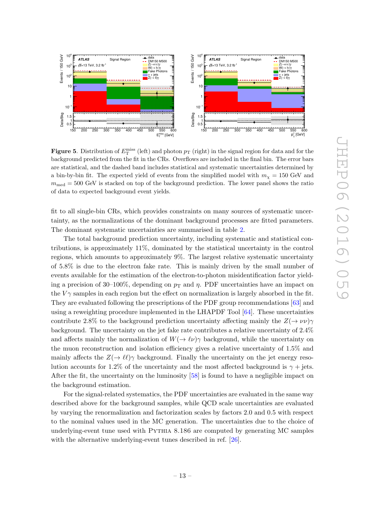

**Figure 5**. Distribution of  $E_{\text{T}}^{\text{miss}}$  (left) and photon  $p_{\text{T}}$  (right) in the signal region for data and for the background predicted from the fit in the CRs. Overflows are included in the final bin. The error bars are statistical, and the dashed band includes statistical and systematic uncertainties determined by a bin-by-bin fit. The expected yield of events from the simplified model with  $m_{\chi} = 150$  GeV and  $m_{\text{med}} = 500$  GeV is stacked on top of the background prediction. The lower panel shows the ratio of data to expected background event yields.

<span id="page-14-1"></span>fit to all single-bin CRs, which provides constraints on many sources of systematic uncertainty, as the normalizations of the dominant background processes are fitted parameters. The dominant systematic uncertainties are summarised in table [2](#page-14-1) .

<span id="page-14-0"></span>The total background prediction uncertainty, including systematic and statistical contributions, is approximately 11%, dominated by the statistical uncertainty in the control regions, which amounts to approximately 9%. The largest relative systematic uncertainty of 5.8% is due to the electron fake rate. This is mainly driven by the small number of events available for the estimation of the electron-to-photon misidentification factor yielding a precision of 30–100%, depending on  $p_T$  and  $\eta$ . PDF uncertainties have an impact on the  $V\gamma$  samples in each region but the effect on normalization is largely absorbed in the fit. They are evaluated following the prescriptions of the PDF group recommendations [\[63\]](#page-22-7) and using a reweighting procedure implemented in the LHAPDF Tool [\[64\]](#page-22-8). These uncertainties contribute 2.8% to the background prediction uncertainty affecting mainly the  $Z(\to \nu\nu)\gamma$ background. The uncertainty on the jet fake rate contributes a relative uncertainty of 2.4% and affects mainly the normalization of  $W(\to \ell\nu)\gamma$  background, while the uncertainty on the muon reconstruction and isolation efficiency gives a relative uncertainty of 1.5% and mainly affects the  $Z(\rightarrow \ell\ell)\gamma$  background. Finally the uncertainty on the jet energy resolution accounts for 1.2% of the uncertainty and the most affected background is  $\gamma$  + jets. After the fit, the uncertainty on the luminosity [\[58\]](#page-22-2) is found to have a negligible impact on the background estimation.

For the signal-related systematics, the PDF uncertainties are evaluated in the same way described above for the background samples, while QCD scale uncertainties are evaluated by varying the renormalization and factorization scales by factors 2.0 and 0.5 with respect to the nominal values used in the MC generation. The uncertainties due to the choice of underlying-event tune used with Pythia 8.186 are computed by generating MC samples with the alternative underlying-event tunes described in ref. [\[26\]](#page-20-6).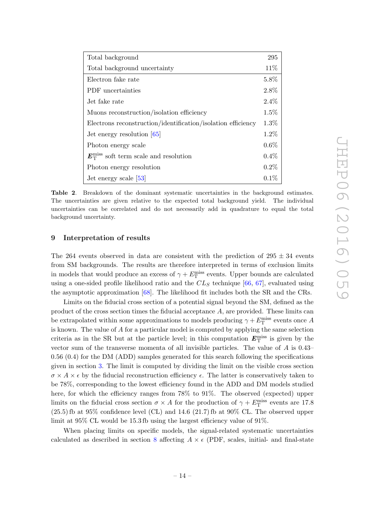| Total background                                             | 295     |
|--------------------------------------------------------------|---------|
| Total background uncertainty                                 | 11\%    |
| Electron fake rate                                           | 5.8%    |
| PDF uncertainties                                            | 2.8%    |
| Jet fake rate                                                | $2.4\%$ |
| Muons reconstruction/isolation efficiency                    | $1.5\%$ |
| Electrons reconstruction/identification/isolation efficiency | $1.3\%$ |
| Jet energy resolution $[65]$                                 | 1.2%    |
| Photon energy scale                                          | $0.6\%$ |
| $E_{\rm T}^{\rm miss}$ soft term scale and resolution        | 0.4%    |
| Photon energy resolution                                     | $0.2\%$ |
| Jet energy scale [53]                                        | 0.1%    |

<span id="page-15-0"></span>Table 2. Breakdown of the dominant systematic uncertainties in the background estimates. The uncertainties are given relative to the expected total background yield. The individual uncertainties can be correlated and do not necessarily add in quadrature to equal the total background uncertainty.

# 9 Interpretation of results

The 264 events observed in data are consistent with the prediction of  $295 \pm 34$  events from SM backgrounds. The results are therefore interpreted in terms of exclusion limits in models that would produce an excess of  $\gamma + E_{\textrm{T}}^{\textrm{miss}}$  events. Upper bounds are calculated using a one-sided profile likelihood ratio and the  $CL_S$  technique [\[66](#page-22-10), [67\]](#page-22-11), evaluated using the asymptotic approximation [\[68\]](#page-22-12). The likelihood fit includes both the SR and the CRs.

Limits on the fiducial cross section of a potential signal beyond the SM, defined as the product of the cross section times the fiducial acceptance A, are provided. These limits can be extrapolated within some approximations to models producing  $\gamma + E_{\textrm{T}}^{\textrm{miss}}$  events once  $A$ is known. The value of A for a particular model is computed by applying the same selection criteria as in the SR but at the particle level; in this computation  $E_{\rm T}^{\rm miss}$  is given by the vector sum of the transverse momenta of all invisible particles. The value of A is 0.43– 0.56 (0.4) for the DM (ADD) samples generated for this search following the specifications given in section [3.](#page-4-0) The limit is computed by dividing the limit on the visible cross section  $\sigma \times A \times \epsilon$  by the fiducial reconstruction efficiency  $\epsilon$ . The latter is conservatively taken to be 78%, corresponding to the lowest efficiency found in the ADD and DM models studied here, for which the efficiency ranges from 78% to 91%. The observed (expected) upper limits on the fiducial cross section  $\sigma \times A$  for the production of  $\gamma + E_{\text{T}}^{\text{miss}}$  events are 17.8  $(25.5)$  fb at 95% confidence level (CL) and 14.6  $(21.7)$  fb at 90% CL. The observed upper limit at 95% CL would be 15.3 fb using the largest efficiency value of 91%.

When placing limits on specific models, the signal-related systematic uncertainties calculated as described in section [8](#page-12-0) affecting  $A \times \epsilon$  (PDF, scales, initial- and final-state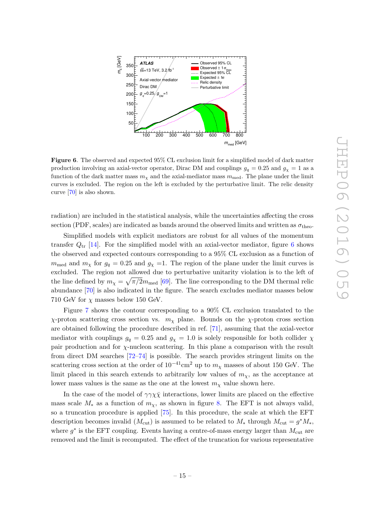

<span id="page-16-0"></span>Figure 6. The observed and expected 95% CL exclusion limit for a simplified model of dark matter production involving an axial-vector operator, Dirac DM and couplings  $g_q = 0.25$  and  $g_\chi = 1$  as a function of the dark matter mass  $m_{\chi}$  and the axial-mediator mass  $m_{\text{med}}$ . The plane under the limit curves is excluded. The region on the left is excluded by the perturbative limit. The relic density curve [\[70\]](#page-22-13) is also shown.

radiation) are included in the statistical analysis, while the uncertainties affecting the cross section (PDF, scales) are indicated as bands around the observed limits and written as  $\sigma_{\rm theo}$ .

Simplified models with explicit mediators are robust for all values of the momentum transfer  $Q_{tr}$  [\[14\]](#page-19-8). For the simplified model with an axial-vector mediator, figure [6](#page-15-0) shows the observed and expected contours corresponding to a 95% CL exclusion as a function of  $m_{\text{med}}$  and  $m_{\chi}$  for  $g_q = 0.25$  and  $g_{\chi} = 1$ . The region of the plane under the limit curves is excluded. The region not allowed due to perturbative unitarity violation is to the left of the line defined by  $m_{\chi} = \sqrt{\pi/2} m_{\text{med}}$  [\[69\]](#page-22-14). The line corresponding to the DM thermal relic abundance [\[70\]](#page-22-13) is also indicated in the figure. The search excludes mediator masses below 710 GeV for  $\chi$  masses below 150 GeV.

<span id="page-16-1"></span>Figure [7](#page-16-0) shows the contour corresponding to a 90% CL exclusion translated to the  $χ$ -proton scattering cross section vs.  $m<sub>χ</sub>$  plane. Bounds on the  $χ$ -proton cross section are obtained following the procedure described in ref. [\[71\]](#page-22-15), assuming that the axial-vector mediator with couplings  $g_q = 0.25$  and  $g_\chi = 1.0$  is solely responsible for both collider  $\chi$ pair production and for  $\chi$ -nucleon scattering. In this plane a comparison with the result from direct DM searches [\[72](#page-23-0) [–74\]](#page-23-1) is possible. The search provides stringent limits on the scattering cross section at the order of  $10^{-41}$ cm<sup>2</sup> up to  $m<sub>\chi</sub>$  masses of about 150 GeV. The limit placed in this search extends to arbitrarily low values of  $m<sub>\chi</sub>$ , as the acceptance at lower mass values is the same as the one at the lowest  $m_{\chi}$  value shown here.

In the case of the model of  $\gamma\gamma\chi\bar{\chi}$  interactions, lower limits are placed on the effective mass scale  $M_*$  as a function of  $m_\chi$ , as shown in figure [8.](#page-16-1) The EFT is not always valid, so a truncation procedure is applied [\[75\]](#page-23-2). In this procedure, the scale at which the EFT description becomes invalid  $(M_{\text{cut}})$  is assumed to be related to  $M_*$  through  $M_{\text{cut}} = g^* M_*$ , where  $g^*$  is the EFT coupling. Events having a centre-of-mass energy larger than  $M_{\text{cut}}$  are removed and the limit is recomputed. The effect of the truncation for various representative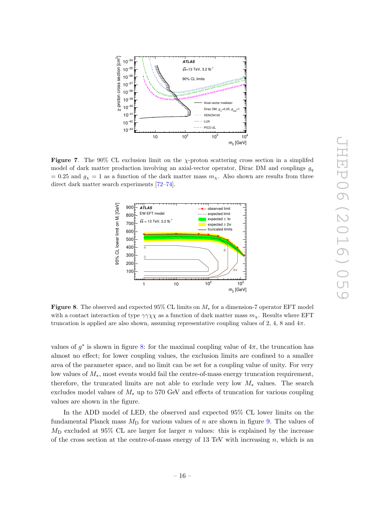

<span id="page-17-1"></span>**Figure 7.** The 90% CL exclusion limit on the  $\chi$ -proton scattering cross section in a simplified model of dark matter production involving an axial-vector operator, Dirac DM and couplings  $g_q$  $= 0.25$  and  $g_{\chi} = 1$  as a function of the dark matter mass  $m_{\chi}$ . Also shown are results from three direct dark matter search experiments [\[72](#page-23-0) [–74\]](#page-23-1).



<span id="page-17-0"></span>Figure 8. The observed and expected 95% CL limits on  $M_*$  for a dimension-7 operator EFT model with a contact interaction of type  $\gamma\gamma\chi\chi$  as a function of dark matter mass  $m_{\chi}$ . Results where EFT truncation is applied are also shown, assuming representative coupling values of 2, 4, 8 and  $4\pi$ .

values of  $g^*$  is shown in figure [8:](#page-16-1) for the maximal coupling value of  $4\pi$ , the truncation has almost no effect; for lower coupling values, the exclusion limits are confined to a smaller area of the parameter space, and no limit can be set for a coupling value of unity. For very low values of M∗, most events would fail the centre-of-mass energy truncation requirement, therefore, the truncated limits are not able to exclude very low  $M_*$  values. The search excludes model values of M∗ up to 570 GeV and effects of truncation for various coupling values are shown in the figure.

In the ADD model of LED, the observed and expected 95% CL lower limits on the fundamental Planck mass  $M<sub>D</sub>$  for various values of n are shown in figure [9.](#page-17-1) The values of  $M_{\rm D}$  excluded at 95% CL are larger for larger n values: this is explained by the increase of the cross section at the centre-of-mass energy of 13 TeV with increasing  $n$ , which is an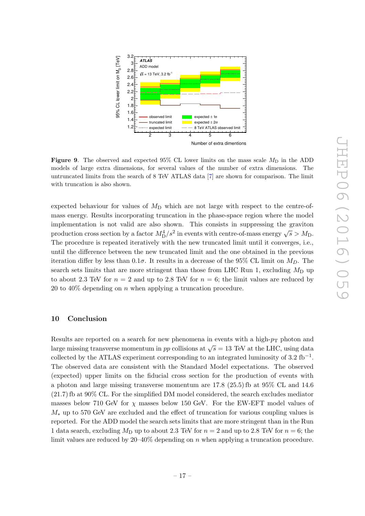

**Figure 9.** The observed and expected 95% CL lower limits on the mass scale  $M_{\text{D}}$  in the ADD models of large extra dimensions, for several values of the number of extra dimensions. The untruncated limits from the search of 8 TeV ATLAS data [ [7\]](#page-19-2) are shown for comparison. The limit with truncation is also shown.

expected behaviour for values of  $M<sub>D</sub>$  which are not large with respect to the centre-ofmass energy. Results incorporating truncation in the phase-space region where the model implementation is not valid are also shown. This consists in suppressing the graviton production cross section by a factor  $M_{\text{D}}^4/s^2$  in events with centre-of-mass energy  $\sqrt{s} > M_{\text{D}}$ . The procedure is repeated iteratively with the new truncated limit until it converges, i.e., until the difference between the new truncated limit and the one obtained in the previous iteration differ by less than  $0.1\sigma$ . It results in a decrease of the 95% CL limit on  $M_D$ . The search sets limits that are more stringent than those from LHC Run 1, excluding  $M_{\text{D}}$  up to about 2.3 TeV for  $n = 2$  and up to 2.8 TeV for  $n = 6$ ; the limit values are reduced by 20 to 40% depending on  $n$  when applying a truncation procedure.

# 10 Conclusion

<span id="page-18-0"></span>Results are reported on a search for new phenomena in events with a high- $p_T$  photon and large missing transverse momentum in pp collisions at  $\sqrt{s} = 13$  TeV at the LHC, using data collected by the ATLAS experiment corresponding to an integrated luminosity of  $3.2 \text{ fb}^{-1}$ . The observed data are consistent with the Standard Model expectations. The observed (expected) upper limits on the fiducial cross section for the production of events with a photon and large missing transverse momentum are 17.8 (25.5) fb at 95% CL and 14.6 (21.7) fb at 90% CL. For the simplified DM model considered, the search excludes mediator masses below 710 GeV for  $\chi$  masses below 150 GeV. For the EW-EFT model values of  $M_*$  up to 570 GeV are excluded and the effect of truncation for various coupling values is reported. For the ADD model the search sets limits that are more stringent than in the Run 1 data search, excluding  $M_D$  up to about 2.3 TeV for  $n = 2$  and up to 2.8 TeV for  $n = 6$ ; the limit values are reduced by 20–40% depending on  $n$  when applying a truncation procedure.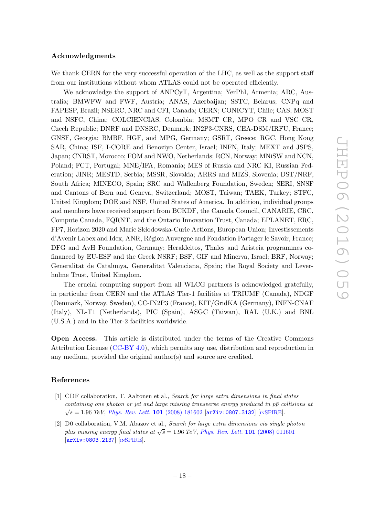# Acknowledgments

We thank CERN for the very successful operation of the LHC, as well as the support staff from our institutions without whom ATLAS could not be operated efficiently.

<span id="page-19-3"></span><span id="page-19-2"></span><span id="page-19-1"></span><span id="page-19-0"></span>We acknowledge the support of ANPCyT, Argentina; YerPhI, Armenia; ARC, Australia; BMWFW and FWF, Austria; ANAS, Azerbaijan; SSTC, Belarus; CNPq and FAPESP, Brazil; NSERC, NRC and CFI, Canada; CERN; CONICYT, Chile; CAS, MOST and NSFC, China; COLCIENCIAS, Colombia; MSMT CR, MPO CR and VSC CR, Czech Republic; DNRF and DNSRC, Denmark; IN2P3-CNRS, CEA-DSM/IRFU, France; GNSF, Georgia; BMBF, HGF, and MPG, Germany; GSRT, Greece; RGC, Hong Kong SAR, China; ISF, I-CORE and Benoziyo Center, Israel; INFN, Italy; MEXT and JSPS, Japan; CNRST, Morocco; FOM and NWO, Netherlands; RCN, Norway; MNiSW and NCN, Poland; FCT, Portugal; MNE/IFA, Romania; MES of Russia and NRC KI, Russian Federation; JINR; MESTD, Serbia; MSSR, Slovakia; ARRS and MIZŠ, Slovenia; DST/NRF, South Africa; MINECO, Spain; SRC and Wallenberg Foundation, Sweden; SERI, SNSF and Cantons of Bern and Geneva, Switzerland; MOST, Taiwan; TAEK, Turkey; STFC, United Kingdom; DOE and NSF, United States of America. In addition, individual groups and members have received support from BCKDF, the Canada Council, CANARIE, CRC, Compute Canada, FQRNT, and the Ontario Innovation Trust, Canada; EPLANET, ERC, FP7, Horizon 2020 and Marie Skłodowska-Curie Actions, European Union; Investissements d'Avenir Labex and Idex, ANR, R´egion Auvergne and Fondation Partager le Savoir, France; DFG and AvH Foundation, Germany; Herakleitos, Thales and Aristeia programmes cofinanced by EU-ESF and the Greek NSRF; BSF, GIF and Minerva, Israel; BRF, Norway; Generalitat de Catalunya, Generalitat Valenciana, Spain; the Royal Society and Leverhulme Trust, United Kingdom.

<span id="page-19-7"></span><span id="page-19-6"></span><span id="page-19-5"></span><span id="page-19-4"></span>The crucial computing support from all WLCG partners is acknowledged gratefully, in particular from CERN and the ATLAS Tier-1 facilities at TRIUMF (Canada), NDGF (Denmark, Norway, Sweden), CC-IN2P3 (France), KIT/GridKA (Germany), INFN-CNAF (Italy), NL-T1 (Netherlands), PIC (Spain), ASGC (Taiwan), RAL (U.K.) and BNL (U.S.A.) and in the Tier-2 facilities worldwide.

<span id="page-19-9"></span><span id="page-19-8"></span>Open Access. This article is distributed under the terms of the Creative Commons Attribution License [\(CC-BY 4.0\)](http://creativecommons.org/licenses/by/4.0/), which permits any use, distribution and reproduction in any medium, provided the original author(s) and source are credited.

# <span id="page-19-11"></span><span id="page-19-10"></span>References

- <span id="page-19-12"></span>[1] CDF collaboration, T. Aaltonen et al., Search for large extra dimensions in final states containing one photon or jet and large missing transverse energy produced in  $p\bar{p}$  collisions at  $\sqrt{s} = 1.96 \; TeV$ , *[Phys. Rev. Lett.](http://dx.doi.org/10.1103/PhysRevLett.101.181602)* 101 (2008) 181602 [[arXiv:0807.3132](http://arxiv.org/abs/0807.3132)] [IN[SPIRE](http://inspirehep.net/search?p=find+EPRINT+arXiv:0807.3132)].
- <span id="page-19-13"></span>[2] D0 collaboration, V.M. Abazov et al., Search for large extra dimensions via single photon plus missing energy final states at  $\sqrt{s} = 1.96$  TeV, [Phys. Rev. Lett.](http://dx.doi.org/10.1103/PhysRevLett.101.011601) 101 (2008) 011601 [[arXiv:0803.2137](http://arxiv.org/abs/0803.2137)] [IN[SPIRE](http://inspirehep.net/search?p=find+EPRINT+arXiv:0803.2137)].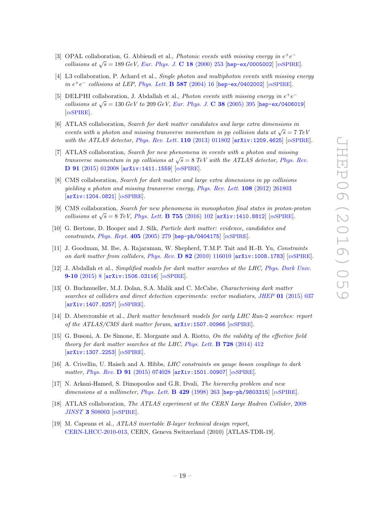- <span id="page-20-0"></span>[3] OPAL collaboration, G. Abbiendi et al., *Photonic events with missing energy in*  $e^+e^$ collisions at  $\sqrt{s} = 189 \text{ GeV}$ , [Eur. Phys. J.](http://dx.doi.org/10.1007/s100520000522) C 18 (2000) 253 [[hep-ex/0005002](http://arxiv.org/abs/hep-ex/0005002)] [IN[SPIRE](http://inspirehep.net/search?p=find+EPRINT+hep-ex/0005002)].
- <span id="page-20-1"></span>[4] L3 collaboration, P. Achard et al., Single photon and multiphoton events with missing energy in  $e^+e^-$  collisions at LEP, [Phys. Lett.](http://dx.doi.org/10.1016/j.physletb.2004.01.010) **B 587** (2004) 16 [[hep-ex/0402002](http://arxiv.org/abs/hep-ex/0402002)] [IN[SPIRE](http://inspirehep.net/search?p=find+EPRINT+hep-ex/0402002)].
- <span id="page-20-2"></span>[5] DELPHI collaboration, J. Abdallah et al., *Photon events with missing energy in*  $e^+e^$ collisions at  $\sqrt{s} = 130 \ GeV$  to 209 GeV, [Eur. Phys. J.](http://dx.doi.org/10.1140/epjc/s2004-02051-8) C 38 (2005) 395 [[hep-ex/0406019](http://arxiv.org/abs/hep-ex/0406019)] [IN[SPIRE](http://inspirehep.net/search?p=find+EPRINT+hep-ex/0406019)].
- <span id="page-20-3"></span>[6] ATLAS collaboration, Search for dark matter candidates and large extra dimensions in events with a photon and missing transverse momentum in pp collision data at  $\sqrt{s} = 7$  TeV with the ATLAS detector, [Phys. Rev. Lett.](http://dx.doi.org/10.1103/PhysRevLett.110.011802) 110 (2013) 011802 [arXiv: 1209.4625] [IN[SPIRE](http://inspirehep.net/search?p=find+EPRINT+arXiv:1209.4625)].
- <span id="page-20-4"></span>[7] ATLAS collaboration, Search for new phenomena in events with a photon and missing transverse momentum in pp collisions at  $\sqrt{s} = 8$  TeV with the ATLAS detector, [Phys. Rev.](http://dx.doi.org/10.1103/PhysRevD.92.059903) D 91 [\(2015\) 012008](http://dx.doi.org/10.1103/PhysRevD.92.059903) [[arXiv:1411.1559](http://arxiv.org/abs/1411.1559)] [IN[SPIRE](http://inspirehep.net/search?p=find+EPRINT+arXiv:1411.1559)].
- <span id="page-20-6"></span><span id="page-20-5"></span>[8] CMS collaboration, Search for dark matter and large extra dimensions in pp collisions yielding a photon and missing transverse energy , [Phys. Rev. Lett.](http://dx.doi.org/10.1103/PhysRevLett.108.261803) 108 (2012) 261803 [[arXiv:1204.0821](http://arxiv.org/abs/1204.0821)] [IN[SPIRE](http://inspirehep.net/search?p=find+EPRINT+arXiv:1204.0821)].
- <span id="page-20-7"></span>[9] CMS collaboration, Search for new phenomena in monophoton final states in proton-proton collisions at  $\sqrt{s} = 8 \text{ TeV}$ , *[Phys. Lett.](http://dx.doi.org/10.1016/j.physletb.2016.01.057)* **B 755** (2016) 102 [[arXiv:1410.8812](http://arxiv.org/abs/1410.8812)] [IN[SPIRE](http://inspirehep.net/search?p=find+EPRINT+arXiv:1410.8812)].
- <span id="page-20-8"></span>[10] G. Bertone, D. Hooper and J. Silk, Particle dark matter: evidence, candidates and constraints, *[Phys. Rept.](http://dx.doi.org/10.1016/j.physrep.2004.08.031)* 405 (2005) 279 [[hep-ph/0404175](http://arxiv.org/abs/hep-ph/0404175)] [IN[SPIRE](http://inspirehep.net/search?p=find+EPRINT+hep-ph/0404175)].
- <span id="page-20-9"></span>[11] J. Goodman, M. Ibe, A. Rajaraman, W. Shepherd, T.M.P. Tait and H.-B. Yu, Constraints on dark matter from colliders, Phys. Rev. **D 82** [\(2010\) 116010](http://dx.doi.org/10.1103/PhysRevD.82.116010) [[arXiv:1008.1783](http://arxiv.org/abs/1008.1783)] [IN[SPIRE](http://inspirehep.net/search?p=find+EPRINT+arXiv:1008.1783)].
- <span id="page-20-10"></span>[12] J. Abdallah et al., *Simplified models for dark matter searches at the LHC*, *[Phys. Dark Univ.](http://dx.doi.org/10.1016/j.dark.2015.08.001)* 9-10 [\(2015\) 8](http://dx.doi.org/10.1016/j.dark.2015.08.001) [[arXiv:1506.03116](http://arxiv.org/abs/1506.03116)] [IN[SPIRE](http://inspirehep.net/search?p=find+EPRINT+arXiv:1506.03116)].
- <span id="page-20-11"></span>[13] O. Buchmueller, M.J. Dolan, S.A. Malik and C. McCabe, Characterising dark matter searches at colliders and direct detection experiments: vector mediators, JHEP 01 [\(2015\) 037](http://dx.doi.org/10.1007/JHEP01(2015)037) [[arXiv:1407.8257](http://arxiv.org/abs/1407.8257)] [IN[SPIRE](http://inspirehep.net/search?p=find+J+%22JHEP,1501,037%22)].
- <span id="page-20-13"></span><span id="page-20-12"></span>[14] D. Abercrombie et al., *Dark matter benchmark models for early LHC Run-2 searches: report* of the ATLAS/CMS dark matter forum,  $arXiv:1507.00966$  [IN[SPIRE](http://inspirehep.net/search?p=find+EPRINT+arXiv:1507.00966)].
- <span id="page-20-14"></span>[15] G. Busoni, A. De Simone, E. Morgante and A. Riotto, On the validity of the effective field theory for dark matter searches at the LHC, [Phys. Lett.](http://dx.doi.org/10.1016/j.physletb.2013.11.069)  $\bf{B}$  728 (2014) 412 [[arXiv:1307.2253](http://arxiv.org/abs/1307.2253)] [IN[SPIRE](http://inspirehep.net/search?p=find+EPRINT+arXiv:1307.2253)].
- <span id="page-20-15"></span>[16] A. Crivellin, U. Haisch and A. Hibbs, LHC constraints on gauge boson couplings to dark matter, Phys. Rev. D 91 [\(2015\) 074028](http://dx.doi.org/10.1103/PhysRevD.91.074028) [[arXiv:1501.00907](http://arxiv.org/abs/1501.00907)] [IN[SPIRE](http://inspirehep.net/search?p=find+EPRINT+arXiv:1501.00907)].
- <span id="page-20-16"></span>[17] N. Arkani-Hamed, S. Dimopoulos and G.R. Dvali, The hierarchy problem and new dimensions at a millimeter, [Phys. Lett.](http://dx.doi.org/10.1016/S0370-2693(98)00466-3)  $\bf{B}$  429 (1998) 263 [[hep-ph/9803315](http://arxiv.org/abs/hep-ph/9803315)] [IN[SPIRE](http://inspirehep.net/search?p=find+EPRINT+hep-ph/9803315)].
- [18] ATLAS collaboration, The ATLAS experiment at the CERN Large Hadron Collider, [2008](http://dx.doi.org/10.1088/1748-0221/3/08/S08003) JINST 3 [S08003](http://dx.doi.org/10.1088/1748-0221/3/08/S08003) [IN[SPIRE](http://inspirehep.net/search?p=find+J+%22JINST,3,S08003%22)].
- <span id="page-20-17"></span>[19] M. Capeans et al.,  $ATLAS$  insertable B-layer technical design report, [CERN-LHCC-2010-013,](http://cds.cern.ch/record/1291633) CERN, Geneva Switzerland (2010) [ATLAS-TDR-19].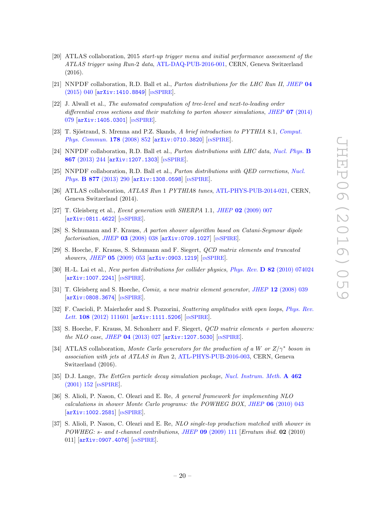- <span id="page-21-0"></span>[20] ATLAS collaboration, 2015 start-up trigger menu and initial performance assessment of the ATLAS trigger using Run-2 data , [ATL-DAQ-PUB-2016-001,](http://cds.cern.ch/record/2136007) CERN, Geneva Switzerland (2016).
- <span id="page-21-1"></span>[21] NNPDF collaboration, R.D. Ball et al., *Parton distributions for the LHC Run II, [JHEP](http://dx.doi.org/10.1007/JHEP04(2015)040)* 04 [\(2015\) 040](http://dx.doi.org/10.1007/JHEP04(2015)040) [[arXiv:1410.8849](http://arxiv.org/abs/1410.8849)] [IN[SPIRE](http://inspirehep.net/search?p=find+EPRINT+arXiv:1410.8849)].
- <span id="page-21-2"></span>[22] J. Alwall et al., The automated computation of tree-level and next-to-leading order differential cross sections and their matching to parton shower simulations, JHEP  $07$  [\(2014\)](http://dx.doi.org/10.1007/JHEP07(2014)079) [079](http://dx.doi.org/10.1007/JHEP07(2014)079) [[arXiv:1405.0301](http://arxiv.org/abs/1405.0301)] [IN[SPIRE](http://inspirehep.net/search?p=find+EPRINT+arXiv:1405.0301)].
- <span id="page-21-3"></span>[23] T. Sjöstrand, S. Mrenna and P.Z. Skands, A brief introduction to PYTHIA 8.1, [Comput.](http://dx.doi.org/10.1016/j.cpc.2008.01.036) [Phys. Commun.](http://dx.doi.org/10.1016/j.cpc.2008.01.036) 178 (2008) 852 [[arXiv:0710.3820](http://arxiv.org/abs/0710.3820)] [IN[SPIRE](http://inspirehep.net/search?p=find+EPRINT+arXiv:0710.3820)].
- <span id="page-21-4"></span>[24] NNPDF collaboration, R.D. Ball et al., Parton distributions with LHC data, [Nucl. Phys.](http://dx.doi.org/10.1016/j.nuclphysb.2012.10.003) B 867 [\(2013\) 244](http://dx.doi.org/10.1016/j.nuclphysb.2012.10.003) [[arXiv:1207.1303](http://arxiv.org/abs/1207.1303)] [IN[SPIRE](http://inspirehep.net/search?p=find+EPRINT+arXiv:1207.1303)].
- <span id="page-21-5"></span>[25] NNPDF collaboration, R.D. Ball et al., Parton distributions with QED corrections, [Nucl.](http://dx.doi.org/10.1016/j.nuclphysb.2013.10.010) Phys. **B 877** [\(2013\) 290](http://dx.doi.org/10.1016/j.nuclphysb.2013.10.010) [[arXiv:1308.0598](http://arxiv.org/abs/1308.0598)] [IN[SPIRE](http://inspirehep.net/search?p=find+EPRINT+arXiv:1308.0598)].
- <span id="page-21-6"></span>[26] ATLAS collaboration, ATLAS Run 1 PYTHIA8 tunes, [ATL-PHYS-PUB-2014-021,](http://cds.cern.ch/record/1966419) CERN, Geneva Switzerland (2014).
- <span id="page-21-7"></span>[27] T. Gleisberg et al., *Event generation with SHERPA* 1.1, *JHEP*  $02$  [\(2009\) 007](http://dx.doi.org/10.1088/1126-6708/2009/02/007) [[arXiv:0811.4622](http://arxiv.org/abs/0811.4622)] [IN[SPIRE](http://inspirehep.net/search?p=find+EPRINT+arXiv:0811.4622)].
- <span id="page-21-8"></span>[28] S. Schumann and F. Krauss, A parton shower algorithm based on Catani-Seymour dipole factorisation, JHEP 03 [\(2008\) 038](http://dx.doi.org/10.1088/1126-6708/2008/03/038) [[arXiv:0709.1027](http://arxiv.org/abs/0709.1027)] [IN[SPIRE](http://inspirehep.net/search?p=find+EPRINT+arXiv:0709.1027)].
- <span id="page-21-9"></span>[29] S. Hoeche, F. Krauss, S. Schumann and F. Siegert, QCD matrix elements and truncated showers, JHEP 05 [\(2009\) 053](http://dx.doi.org/10.1088/1126-6708/2009/05/053) [[arXiv:0903.1219](http://arxiv.org/abs/0903.1219)] [IN[SPIRE](http://inspirehep.net/search?p=find+EPRINT+arXiv:0903.1219)].
- <span id="page-21-10"></span>[30] H.-L. Lai et al., New parton distributions for collider physics, Phys. Rev. D 82 [\(2010\) 074024](http://dx.doi.org/10.1103/PhysRevD.82.074024) [[arXiv:1007.2241](http://arxiv.org/abs/1007.2241)] [IN[SPIRE](http://inspirehep.net/search?p=find+EPRINT+arXiv:1007.2241)].
- <span id="page-21-11"></span>[31] T. Gleisberg and S. Hoeche, *Comix, a new matrix element generator*, *JHEP* 12 [\(2008\) 039](http://dx.doi.org/10.1088/1126-6708/2008/12/039) [[arXiv:0808.3674](http://arxiv.org/abs/0808.3674)] [IN[SPIRE](http://inspirehep.net/search?p=find+EPRINT+arXiv:0808.3674)].
- <span id="page-21-12"></span>[32] F. Cascioli, P. Maierhofer and S. Pozzorini, *Scattering amplitudes with open loops*, *[Phys. Rev.](http://dx.doi.org/10.1103/PhysRevLett.108.111601)* Lett. 108 [\(2012\) 111601](http://dx.doi.org/10.1103/PhysRevLett.108.111601) [[arXiv:1111.5206](http://arxiv.org/abs/1111.5206)] [IN[SPIRE](http://inspirehep.net/search?p=find+EPRINT+arXiv:1111.5206)].
- <span id="page-21-13"></span>[33] S. Hoeche, F. Krauss, M. Schonherr and F. Siegert, QCD matrix elements + parton showers: the NLO case, JHEP 04 [\(2013\) 027](http://dx.doi.org/10.1007/JHEP04(2013)027) [[arXiv:1207.5030](http://arxiv.org/abs/1207.5030)] [IN[SPIRE](http://inspirehep.net/search?p=find+EPRINT+arXiv:1207.5030)].
- <span id="page-21-14"></span>[34] ATLAS collaboration, Monte Carlo generators for the production of a W or  $Z/\gamma^*$  boson in association with jets at ATLAS in Run 2, [ATL-PHYS-PUB-2016-003,](http://cds.cern.ch/record/2120133) CERN, Geneva Switzerland (2016).
- <span id="page-21-15"></span>[35] D.J. Lange, The EvtGen particle decay simulation package, [Nucl. Instrum. Meth.](http://dx.doi.org/10.1016/S0168-9002(01)00089-4) A 462 [\(2001\) 152](http://dx.doi.org/10.1016/S0168-9002(01)00089-4) [IN[SPIRE](http://inspirehep.net/search?p=find+J+%22Nucl.Instrum.Meth.,A462,152%22)].
- <span id="page-21-16"></span>[36] S. Alioli, P. Nason, C. Oleari and E. Re, A general framework for implementing NLO  $calculations in shower Monte Carlo programs: the POWHEG BOX, JHEP 06 (2010) 043$  $calculations in shower Monte Carlo programs: the POWHEG BOX, JHEP 06 (2010) 043$ [[arXiv:1002.2581](http://arxiv.org/abs/1002.2581)] [IN[SPIRE](http://inspirehep.net/search?p=find+EPRINT+arXiv:1002.2581)].
- <span id="page-21-17"></span>[37] S. Alioli, P. Nason, C. Oleari and E. Re, NLO single-top production matched with shower in POWHEG: s- and t-channel contributions, JHEP 09 [\(2009\) 111](http://dx.doi.org/10.1088/1126-6708/2009/09/111) [Erratum ibid. 02 (2010) 011] [[arXiv:0907.4076](http://arxiv.org/abs/0907.4076)] [IN[SPIRE](http://inspirehep.net/search?p=find+EPRINT+arXiv:0907.4076)].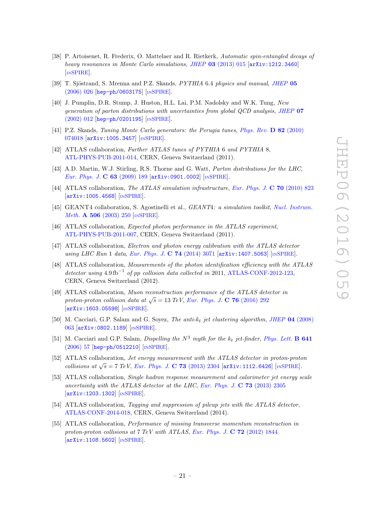- <span id="page-22-0"></span>[38] P. Artoisenet, R. Frederix, O. Mattelaer and R. Rietkerk, Automatic spin-entangled decays of heavy resonances in Monte Carlo simulations, JHEP 03 [\(2013\) 015](http://dx.doi.org/10.1007/JHEP03(2013)015) [[arXiv:1212.3460](http://arxiv.org/abs/1212.3460)] [IN[SPIRE](http://inspirehep.net/search?p=find+EPRINT+arXiv:1212.3460)].
- <span id="page-22-1"></span>[39] T. Sjöstrand, S. Mrenna and P.Z. Skands, PYTHIA 6.4 physics and manual, [JHEP](http://dx.doi.org/10.1088/1126-6708/2006/05/026) 05 [\(2006\) 026](http://dx.doi.org/10.1088/1126-6708/2006/05/026) [[hep-ph/0603175](http://arxiv.org/abs/hep-ph/0603175)] [IN[SPIRE](http://inspirehep.net/search?p=find+EPRINT+hep-ph/0603175)].
- <span id="page-22-2"></span>[40] J. Pumplin, D.R. Stump, J. Huston, H.L. Lai, P.M. Nadolsky and W.K. Tung, New generation of parton distributions with uncertainties from global QCD analysis, [JHEP](http://dx.doi.org/10.1088/1126-6708/2002/07/012) 07 [\(2002\) 012](http://dx.doi.org/10.1088/1126-6708/2002/07/012) [[hep-ph/0201195](http://arxiv.org/abs/hep-ph/0201195)] [IN[SPIRE](http://inspirehep.net/search?p=find+EPRINT+hep-ph/0201195)].
- <span id="page-22-3"></span>[41] P.Z. Skands, Tuning Monte Carlo generators: the Perugia tunes, [Phys. Rev.](http://dx.doi.org/10.1103/PhysRevD.82.074018) D 82 (2010) [074018](http://dx.doi.org/10.1103/PhysRevD.82.074018) [[arXiv:1005.3457](http://arxiv.org/abs/1005.3457)] [IN[SPIRE](http://inspirehep.net/search?p=find+EPRINT+arXiv:1005.3457)].
- <span id="page-22-4"></span>[42] ATLAS collaboration, Further ATLAS tunes of PYTHIA 6 and PYTHIA 8, [ATL-PHYS-PUB-2011-014,](http://cds.cern.ch/record/1400677) CERN, Geneva Switzerland (2011).
- [43] A.D. Martin, W.J. Stirling, R.S. Thorne and G. Watt, Parton distributions for the LHC, [Eur. Phys. J.](http://dx.doi.org/10.1140/epjc/s10052-009-1072-5) C 63 (2009) 189 [[arXiv:0901.0002](http://arxiv.org/abs/0901.0002)] [IN[SPIRE](http://inspirehep.net/search?p=find+EPRINT+arXiv:0901.0002)].
- <span id="page-22-5"></span>[44] ATLAS collaboration, The ATLAS simulation infrastructure, [Eur. Phys. J.](http://dx.doi.org/10.1140/epjc/s10052-010-1429-9) C 70 (2010) 823 [[arXiv:1005.4568](http://arxiv.org/abs/1005.4568)] [IN[SPIRE](http://inspirehep.net/search?p=find+EPRINT+arXiv:1005.4568)].
- <span id="page-22-6"></span>[45] GEANT4 collaboration, S. Agostinelli et al., *GEANT4: a simulation toolkit*, *[Nucl. Instrum.](http://dx.doi.org/10.1016/S0168-9002(03)01368-8)* Meth. **A 506** [\(2003\) 250](http://dx.doi.org/10.1016/S0168-9002(03)01368-8) [IN[SPIRE](http://inspirehep.net/search?p=find+J+%22Nucl.Instrum.Meth.,A506,250%22)].
- <span id="page-22-7"></span>[46] ATLAS collaboration, *Expected photon performance in the ATLAS experiment*, [ATL-PHYS-PUB-2011-007,](http://cds.cern.ch/record/1345329) CERN, Geneva Switzerland (2011).
- <span id="page-22-8"></span>[47] ATLAS collaboration, Electron and photon energy calibration with the ATLAS detector using LHC Run 1 data, [Eur. Phys. J.](http://dx.doi.org/10.1140/epjc/s10052-014-3071-4) C 74 (2014) 3071 [[arXiv:1407.5063](http://arxiv.org/abs/1407.5063)] [IN[SPIRE](http://inspirehep.net/search?p=find+EPRINT+arXiv:1407.5063)].
- <span id="page-22-9"></span>[48] ATLAS collaboration, Measurements of the photon identification efficiency with the ATLAS  $detection~using~4.9~fb^{-1}$  of pp collision data collected in 2011, [ATLAS-CONF-2012-123](http://cds.cern.ch/record/1473426), CERN, Geneva Switzerland (2012).
- <span id="page-22-10"></span>[49] ATLAS collaboration, Muon reconstruction performance of the ATLAS detector in proton-proton collision data at  $\sqrt{s} = 13 \text{ TeV}$ , [Eur. Phys. J.](http://dx.doi.org/10.1140/epjc/s10052-016-4120-y) C 76 (2016) 292 [[arXiv:1603.05598](http://arxiv.org/abs/1603.05598)] [IN[SPIRE](http://inspirehep.net/search?p=find+EPRINT+arXiv:1603.05598)].
- <span id="page-22-11"></span>[50] M. Cacciari, G.P. Salam and G. Soyez, *The anti-k<sub>t</sub>* jet clustering algorithm, *JHEP* **04** [\(2008\)](http://dx.doi.org/10.1088/1126-6708/2008/04/063) [063](http://dx.doi.org/10.1088/1126-6708/2008/04/063) [[arXiv:0802.1189](http://arxiv.org/abs/0802.1189)] [IN[SPIRE](http://inspirehep.net/search?p=find+EPRINT+arXiv:0802.1189)].
- <span id="page-22-12"></span>[51] M. Cacciari and G.P. Salam, *Dispelling the*  $N^3$  myth for the  $k_t$  jet-finder, *[Phys. Lett.](http://dx.doi.org/10.1016/j.physletb.2006.08.037)* **B 641** [\(2006\) 57](http://dx.doi.org/10.1016/j.physletb.2006.08.037) [[hep-ph/0512210](http://arxiv.org/abs/hep-ph/0512210)] [IN[SPIRE](http://inspirehep.net/search?p=find+EPRINT+hep-ph/0512210)].
- [52] ATLAS collaboration, Jet energy measurement with the ATLAS detector in proton-proton collisions at  $\sqrt{s} = 7 \text{ TeV}$ , [Eur. Phys. J.](http://dx.doi.org/10.1140/epjc/s10052-013-2304-2) C 73 (2013) 2304 [[arXiv:1112.6426](http://arxiv.org/abs/1112.6426)] [IN[SPIRE](http://inspirehep.net/search?p=find+EPRINT+arXiv:1112.6426)].
- <span id="page-22-14"></span>[53] ATLAS collaboration, Single hadron response measurement and calorimeter jet energy scale uncertainty with the ATLAS detector at the LHC, [Eur. Phys. J.](http://dx.doi.org/10.1140/epjc/s10052-013-2305-1)  $\bf{C}$  73 (2013) 2305 [[arXiv:1203.1302](http://arxiv.org/abs/1203.1302)] [IN[SPIRE](http://inspirehep.net/search?p=find+EPRINT+arXiv:1203.1302)].
- <span id="page-22-13"></span>[54] ATLAS collaboration, Tagging and suppression of pileup jets with the ATLAS detector, [ATLAS-CONF-2014-018,](http://cds.cern.ch/record/1700870) CERN, Geneva Switzerland (2014).
- <span id="page-22-15"></span>[55] ATLAS collaboration, Performance of missing transverse momentum reconstruction in proton-proton collisions at  $7 \text{ TeV}$  with ATLAS, [Eur. Phys. J.](http://dx.doi.org/10.1140/epjc/s10052-011-1844-6)  $\bf{C}$  72 (2012) 1844 [[arXiv:1108.5602](http://arxiv.org/abs/1108.5602)] [IN[SPIRE](http://inspirehep.net/search?p=find+EPRINT+arXiv:1108.5602)].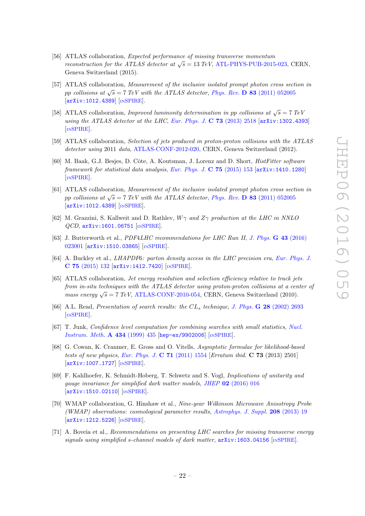- <span id="page-23-0"></span>[56] ATLAS collaboration, Expected performance of missing transverse momentum reconstruction for the ATLAS detector at  $\sqrt{s} = 13$  TeV, [ATL-PHYS-PUB-2015-023,](http://cds.cern.ch/record/2037700) CERN, Geneva Switzerland (2015).
- [57] ATLAS collaboration, Measurement of the inclusive isolated prompt photon cross section in pp collisions at  $\sqrt{s} = 7$  TeV with the ATLAS detector, Phys. Rev. **D 83** [\(2011\) 052005](http://dx.doi.org/10.1103/PhysRevD.83.052005) [[arXiv:1012.4389](http://arxiv.org/abs/1012.4389)] [IN[SPIRE](http://inspirehep.net/search?p=find+EPRINT+arXiv:1012.4389)].
- <span id="page-23-1"></span>[58] ATLAS collaboration, *Improved luminosity determination in pp collisions at*  $\sqrt{s} = 7 \text{ TeV}$ using the ATLAS detector at the LHC, [Eur. Phys. J.](http://dx.doi.org/10.1140/epjc/s10052-013-2518-3)  $C$  73 (2013) 2518 [[arXiv:1302.4393](http://arxiv.org/abs/1302.4393)] [IN[SPIRE](http://inspirehep.net/search?p=find+EPRINT+arXiv:1302.4393)].
- <span id="page-23-2"></span>[59] ATLAS collaboration, Selection of jets produced in proton-proton collisions with the ATLAS detector using 2011 data, [ATLAS-CONF-2012-020,](http://cds.cern.ch/record/1430034) CERN, Geneva Switzerland (2012).
- [60] M. Baak, G.J. Besjes, D. Côte, A. Koutsman, J. Lorenz and D. Short, *HistFitter software* framework for statistical data analysis, [Eur. Phys. J.](http://dx.doi.org/10.1140/epjc/s10052-015-3327-7) C 75 (2015) 153 [[arXiv:1410.1280](http://arxiv.org/abs/1410.1280)] [IN[SPIRE](http://inspirehep.net/search?p=find+EPRINT+arXiv:1410.1280)].
- [61] ATLAS collaboration, Measurement of the inclusive isolated prompt photon cross section in pp collisions at  $\sqrt{s} = 7$  TeV with the ATLAS detector, Phys. Rev. **D 83** [\(2011\) 052005](http://dx.doi.org/10.1103/PhysRevD.83.052005) [[arXiv:1012.4389](http://arxiv.org/abs/1012.4389)] [IN[SPIRE](http://inspirehep.net/search?p=find+J+%22Phys.Rev.,D83,052005%22)].
- [62] M. Grazzini, S. Kallweit and D. Rathlev,  $W\gamma$  and  $Z\gamma$  production at the LHC in NNLO QCD , [arXiv:1601.06751](http://arxiv.org/abs/1601.06751) [IN[SPIRE](http://inspirehep.net/search?p=find+EPRINT+arXiv:1601.06751)].
- [63] J. Butterworth et al., *PDF4LHC recommendations for LHC Run II*, *[J. Phys.](http://dx.doi.org/10.1088/0954-3899/43/2/023001)* **G 43** (2016) [023001](http://dx.doi.org/10.1088/0954-3899/43/2/023001) [[arXiv:1510.03865](http://arxiv.org/abs/1510.03865)] [IN[SPIRE](http://inspirehep.net/search?p=find+EPRINT+arXiv:1510.03865)].
- [64] A. Buckley et al., *LHAPDF6: parton density access in the LHC precision era, [Eur. Phys. J.](http://dx.doi.org/10.1140/epjc/s10052-015-3318-8)* C 75 [\(2015\) 132](http://dx.doi.org/10.1140/epjc/s10052-015-3318-8) [[arXiv:1412.7420](http://arxiv.org/abs/1412.7420)] [IN[SPIRE](http://inspirehep.net/search?p=find+EPRINT+arXiv:1412.7420)].
- [65] ATLAS collaboration, Jet energy resolution and selection efficiency relative to track jets from in-situ techniques with the ATLAS detector using proton-proton collisions at a center of  $\hat{S}$  mass energy  $\sqrt{s} = 7$  TeV, [ATLAS-CONF-2010-054,](http://cds.cern.ch/record/1281311) CERN, Geneva Switzerland (2010).
- [66] A.L. Read, Presentation of search results: the  $CL_s$  technique, J. Phys. **G 28** [\(2002\) 2693](http://dx.doi.org/10.1088/0954-3899/28/10/313) [IN[SPIRE](http://inspirehep.net/search?p=find+J+%22J.Phys.,G28,2693%22)].
- [67] T. Junk, Confidence level computation for combining searches with small statistics, [Nucl.](http://dx.doi.org/10.1016/S0168-9002(99)00498-2) [Instrum. Meth.](http://dx.doi.org/10.1016/S0168-9002(99)00498-2) A 434 (1999) 435 [[hep-ex/9902006](http://arxiv.org/abs/hep-ex/9902006)] [IN[SPIRE](http://inspirehep.net/search?p=find+EPRINT+hep-ex/9902006)].
- [68] G. Cowan, K. Cranmer, E. Gross and O. Vitells, Asymptotic formulae for likelihood-based tests of new physics, [Eur. Phys. J.](http://dx.doi.org/10.1140/epjc/s10052-011-1554-0)  $C$  71 (2011) 1554 [Erratum ibid.  $C$  73 (2013) 2501] [[arXiv:1007.1727](http://arxiv.org/abs/1007.1727)] [IN[SPIRE](http://inspirehep.net/search?p=find+EPRINT+arXiv:1007.1727)].
- [69] F. Kahlhoefer, K. Schmidt-Hoberg, T. Schwetz and S. Vogl, Implications of unitarity and gauge invariance for simplified dark matter models, JHEP 02 [\(2016\) 016](http://dx.doi.org/10.1007/JHEP02(2016)016) [[arXiv:1510.02110](http://arxiv.org/abs/1510.02110)] [IN[SPIRE](http://inspirehep.net/search?p=find+EPRINT+arXiv:1510.02110)].
- [70] WMAP collaboration, G. Hinshaw et al., Nine-year Wilkinson Microwave Anisotropy Probe (WMAP) observations: cosmological parameter results , [Astrophys. J. Suppl.](http://dx.doi.org/10.1088/0067-0049/208/2/19) 208 (2013) 19 [[arXiv:1212.5226](http://arxiv.org/abs/1212.5226)] [IN[SPIRE](http://inspirehep.net/search?p=find+EPRINT+arXiv:1212.5226)].
- [71] A. Boveia et al., Recommendations on presenting LHC searches for missing transverse energy signals using simplified s-channel models of dark matter,  $arXiv:1603.04156$  [IN[SPIRE](http://inspirehep.net/search?p=find+EPRINT+arXiv:1603.04156)].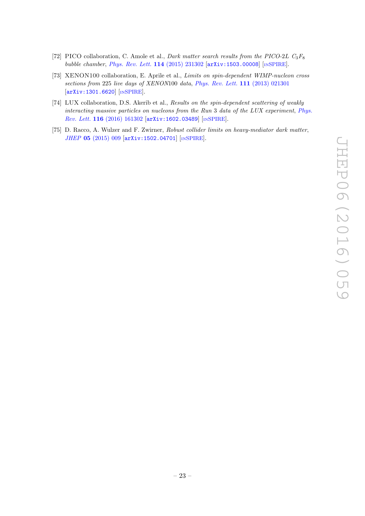- [72] PICO collaboration, C. Amole et al., Dark matter search results from the PICO-2L  $C_3F_8$ bubble chamber, [Phys. Rev. Lett.](http://dx.doi.org/10.1103/PhysRevLett.114.231302) 114 (2015) 231302 [arXiv: 1503.00008] [IN[SPIRE](http://inspirehep.net/search?p=find+EPRINT+arXiv:1503.00008)].
- <span id="page-24-0"></span>[73] XENON100 collaboration, E. Aprile et al., Limits on spin-dependent WIMP-nucleon cross sections from 225 live days of XENON100 data, [Phys. Rev. Lett.](http://dx.doi.org/10.1103/PhysRevLett.111.021301) 111 (2013) 021301 [[arXiv:1301.6620](http://arxiv.org/abs/1301.6620)] [IN[SPIRE](http://inspirehep.net/search?p=find+EPRINT+arXiv:1301.6620)].
- [74] LUX collaboration, D.S. Akerib et al., Results on the spin-dependent scattering of weakly interacting massive particles on nucleons from the Run 3 data of the LUX experiment , [Phys.](http://dx.doi.org/10.1103/PhysRevLett.116.161302) Rev. Lett. 116 [\(2016\) 161302](http://dx.doi.org/10.1103/PhysRevLett.116.161302) [[arXiv:1602.03489](http://arxiv.org/abs/1602.03489)] [IN[SPIRE](http://inspirehep.net/search?p=find+EPRINT+arXiv:1602.03489)].
- [75] D. Racco, A. Wulzer and F. Zwirner, Robust collider limits on heavy-mediator dark matter, JHEP 05 [\(2015\) 009](http://dx.doi.org/10.1007/JHEP05(2015)009) [[arXiv:1502.04701](http://arxiv.org/abs/1502.04701)] [IN[SPIRE](http://inspirehep.net/search?p=find+EPRINT+arXiv:1502.04701)].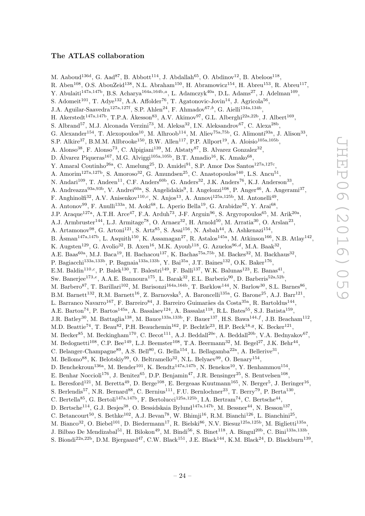# The ATLAS collaboration

M. Aaboud<sup>136d</sup>, G. Aad<sup>87</sup>, B. Abbott<sup>114</sup>, J. Abdallah<sup>65</sup>, O. Abdinov<sup>12</sup>, B. Abeloos<sup>118</sup>, R. Aben<sup>108</sup>, O.S. AbouZeid<sup>138</sup>, N.L. Abraham<sup>150</sup>, H. Abramowicz<sup>154</sup>, H. Abreu<sup>153</sup>, R. Abreu<sup>117</sup>, Y. Abulaiti<sup>147a,147b</sup>, B.S. Acharya<sup>164a,164b,a</sup>, L. Adamczyk<sup>40a</sup>, D.L. Adams<sup>27</sup>, J. Adelman<sup>109</sup>, S. Adomeit<sup>101</sup>, T. Adye<sup>132</sup>, A.A. Affolder<sup>76</sup>, T. Agatonovic-Jovin<sup>14</sup>, J. Agricola<sup>56</sup>, J.A. Aguilar-Saavedra<sup>127a,127f</sup>, S.P. Ahlen<sup>24</sup>, F. Ahmadov<sup>67,b</sup>, G. Aielli<sup>134a,134b</sup>, H. Akerstedt<sup>147a,147b</sup>, T.P.A. Åkesson<sup>83</sup>, A.V. Akimov<sup>97</sup>, G.L. Alberghi<sup>22a,22b</sup>, J. Albert<sup>169</sup>, S. Albrand<sup>57</sup>, M.J. Alconada Verzini<sup>73</sup>, M. Aleksa<sup>32</sup>, I.N. Aleksandrov<sup>67</sup>, C. Alexa<sup>28b</sup>, G. Alexander<sup>154</sup>, T. Alexopoulos<sup>10</sup>, M. Alhroob<sup>114</sup>, M. Aliev<sup>75a,75b</sup>, G. Alimonti<sup>93a</sup>, J. Alison<sup>33</sup>, S.P. Alkire<sup>37</sup>, B.M.M. Allbrooke<sup>150</sup>, B.W. Allen<sup>117</sup>, P.P. Allport<sup>19</sup>, A. Aloisio<sup>105a,105b</sup>, A. Alonso<sup>38</sup>, F. Alonso<sup>73</sup>, C. Alpigiani<sup>139</sup>, M. Alstaty<sup>87</sup>, B. Alvarez Gonzalez<sup>32</sup>, D. Álvarez Piqueras<sup>167</sup>, M.G. Alviggi<sup>105a,105b</sup>, B.T. Amadio<sup>16</sup>, K. Amako<sup>68</sup>, Y. Amaral Coutinho<sup>26a</sup>, C. Amelung<sup>25</sup>, D. Amidei<sup>91</sup>, S.P. Amor Dos Santos<sup>127a,127c</sup>, A. Amorim<sup>127a,127b</sup>, S. Amoroso<sup>32</sup>, G. Amundsen<sup>25</sup>, C. Anastopoulos<sup>140</sup>, L.S. Ancu<sup>51</sup>, N. Andari<sup>109</sup>, T. Andeen<sup>11</sup>, C.F. Anders<sup>60b</sup>, G. Anders<sup>32</sup>, J.K. Anders<sup>76</sup>, K.J. Anderson<sup>33</sup>, A. Andreazza<sup>93a,93b</sup>, V. Andrei<sup>60a</sup>, S. Angelidakis<sup>9</sup>, I. Angelozzi<sup>108</sup>, P. Anger<sup>46</sup>, A. Angerami<sup>37</sup>, F. Anghinolfi<sup>32</sup>, A.V. Anisenkov<sup>110,c</sup>, N. Anjos<sup>13</sup>, A. Annovi<sup>125a,125b</sup>, M. Antonelli<sup>49</sup>, A. Antonov<sup>99</sup>, F. Anulli<sup>133a</sup>, M. Aoki<sup>68</sup>, L. Aperio Bella<sup>19</sup>, G. Arabidze<sup>92</sup>, Y. Arai<sup>68</sup>, J.P. Araque<sup>127a</sup>, A.T.H. Arce<sup>47</sup>, F.A. Arduh<sup>73</sup>, J-F. Arguin<sup>96</sup>, S. Argyropoulos<sup>65</sup>, M. Arik<sup>20a</sup>, A.J. Armbruster<sup>144</sup>, L.J. Armitage<sup>78</sup>, O. Arnaez<sup>32</sup>, H. Arnold<sup>50</sup>, M. Arratia<sup>30</sup>, O. Arslan<sup>23</sup>, A. Artamonov<sup>98</sup>, G. Artoni<sup>121</sup>, S. Artz<sup>85</sup>, S. Asai<sup>156</sup>, N. Asbah<sup>44</sup>, A. Ashkenazi<sup>154</sup>, B. Åsman<sup>147a,147b</sup>, L. Asquith<sup>150</sup>, K. Assamagan<sup>27</sup>, R. Astalos<sup>145a</sup>, M. Atkinson<sup>166</sup>, N.B. Atlay<sup>142</sup>, K. Augsten<sup>129</sup>, G. Avolio<sup>32</sup>, B. Axen<sup>16</sup>, M.K. Ayoub<sup>118</sup>, G. Azuelos<sup>96,d</sup>, M.A. Baak<sup>32</sup>, A.E. Baas<sup>60a</sup>, M.J. Baca<sup>19</sup>, H. Bachacou<sup>137</sup>, K. Bachas<sup>75a,75b</sup>, M. Backes<sup>32</sup>, M. Backhaus<sup>32</sup>, P. Bagiacchi<sup>133a,133b</sup>, P. Bagnaia<sup>133a,133b</sup>, Y. Bai<sup>35a</sup>, J.T. Baines<sup>132</sup>, O.K. Baker<sup>176</sup>, E.M. Baldin<sup>110,c</sup>, P. Balek<sup>130</sup>, T. Balestri<sup>149</sup>, F. Balli<sup>137</sup>, W.K. Balunas<sup>123</sup>, E. Banas<sup>41</sup>, Sw. Banerjee<sup>173,e</sup>, A.A.E. Bannoura<sup>175</sup>, L. Barak<sup>32</sup>, E.L. Barberio<sup>90</sup>, D. Barberis<sup>52a,52b</sup>, M. Barbero<sup>87</sup>, T. Barillari<sup>102</sup>, M. Barisonzi<sup>164a,164b</sup>, T. Barklow<sup>144</sup>, N. Barlow<sup>30</sup>, S.L. Barnes<sup>86</sup>, B.M. Barnett<sup>132</sup>, R.M. Barnett<sup>16</sup>, Z. Barnovska<sup>5</sup>, A. Baroncelli<sup>135a</sup>, G. Barone<sup>25</sup>, A.J. Barr<sup>121</sup>, L. Barranco Navarro<sup>167</sup>, F. Barreiro<sup>84</sup>, J. Barreiro Guimarães da Costa<sup>35a</sup>, R. Bartoldus<sup>144</sup>, A.E. Barton<sup>74</sup>, P. Bartos<sup>145a</sup>, A. Basalaev<sup>124</sup>, A. Bassalat<sup>118</sup>, R.L. Bates<sup>55</sup>, S.J. Batista<sup>159</sup>, J.R. Batley<sup>30</sup>, M. Battaglia<sup>138</sup>, M. Bauce<sup>133a,133b</sup>, F. Bauer<sup>137</sup>, H.S. Bawa<sup>144,f</sup>, J.B. Beacham<sup>112</sup>, M.D. Beattie<sup>74</sup>, T. Beau<sup>82</sup>, P.H. Beauchemin<sup>162</sup>, P. Bechtle<sup>23</sup>, H.P. Beck<sup>18,g</sup>, K. Becker<sup>121</sup>, M. Becker<sup>85</sup>, M. Beckingham<sup>170</sup>, C. Becot<sup>111</sup>, A.J. Beddall<sup>20e</sup>, A. Beddall<sup>20b</sup>, V.A. Bednyakov<sup>67</sup>, M. Bedognetti<sup>108</sup>, C.P. Bee<sup>149</sup>, L.J. Beemster<sup>108</sup>, T.A. Beermann<sup>32</sup>, M. Begel<sup>27</sup>, J.K. Behr<sup>44</sup>, C. Belanger-Champagne<sup>89</sup>, A.S. Bell<sup>80</sup>, G. Bella<sup>154</sup>, L. Bellagamba<sup>22a</sup>, A. Bellerive<sup>31</sup>, M. Bellomo<sup>88</sup>, K. Belotskiy<sup>99</sup>, O. Beltramello<sup>32</sup>, N.L. Belyaev<sup>99</sup>, O. Benary<sup>154</sup>, D. Benchekroun<sup>136a</sup>, M. Bender<sup>101</sup>, K. Bendtz<sup>147a,147b</sup>, N. Benekos<sup>10</sup>, Y. Benhammou<sup>154</sup>, E. Benhar Noccioli<sup>176</sup>, J. Benitez<sup>65</sup>, D.P. Benjamin<sup>47</sup>, J.R. Bensinger<sup>25</sup>, S. Bentvelsen<sup>108</sup>, L. Beresford<sup>121</sup>, M. Beretta<sup>49</sup>, D. Berge<sup>108</sup>, E. Bergeaas Kuutmann<sup>165</sup>, N. Berger<sup>5</sup>, J. Beringer<sup>16</sup>, S. Berlendis<sup>57</sup>, N.R. Bernard<sup>88</sup>, C. Bernius<sup>111</sup>, F.U. Bernlochner<sup>23</sup>, T. Berry<sup>79</sup>, P. Berta<sup>130</sup>, C. Bertella<sup>85</sup>, G. Bertoli<sup>147a,147b</sup>, F. Bertolucci<sup>125a,125b</sup>, I.A. Bertram<sup>74</sup>, C. Bertsche<sup>44</sup>, D. Bertsche<sup>114</sup>, G.J. Besjes<sup>38</sup>, O. Bessidskaia Bylund<sup>147a,147b</sup>, M. Bessner<sup>44</sup>, N. Besson<sup>137</sup>, C. Betancourt<sup>50</sup>, S. Bethke<sup>102</sup>, A.J. Bevan<sup>78</sup>, W. Bhimji<sup>16</sup>, R.M. Bianchi<sup>126</sup>, L. Bianchini<sup>25</sup>, M. Bianco<sup>32</sup>, O. Biebel<sup>101</sup>, D. Biedermann<sup>17</sup>, R. Bielski<sup>86</sup>, N.V. Biesuz<sup>125a,125b</sup>, M. Biglietti<sup>135a</sup>, J. Bilbao De Mendizabal<sup>51</sup>, H. Bilokon<sup>49</sup>, M. Bindi<sup>56</sup>, S. Binet<sup>118</sup>, A. Bingul<sup>20b</sup>, C. Bini<sup>133a,133b</sup>, S. Biondi<sup>22a,22b</sup>, D.M. Bjergaard<sup>47</sup>, C.W. Black<sup>151</sup>, J.E. Black<sup>144</sup>, K.M. Black<sup>24</sup>, D. Blackburn<sup>139</sup>,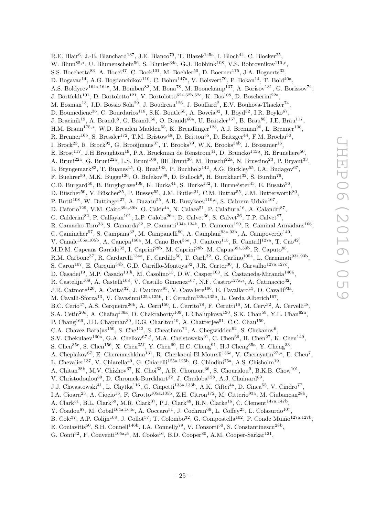R.E. Blair<sup>6</sup>, J.-B. Blanchard<sup>137</sup>, J.E. Blanco<sup>79</sup>, T. Blazek<sup>145a</sup>, I. Bloch<sup>44</sup>, C. Blocker<sup>25</sup>, W. Blum<sup>85,\*</sup>, U. Blumenschein<sup>56</sup>, S. Blunier<sup>34a</sup>, G.J. Bobbink<sup>108</sup>, V.S. Bobrovnikov<sup>110,c</sup>, S.S. Bocchetta<sup>83</sup>, A. Bocci<sup>47</sup>, C. Bock<sup>101</sup>, M. Boehler<sup>50</sup>, D. Boerner<sup>175</sup>, J.A. Bogaerts<sup>32</sup>, D. Bogavac<sup>14</sup>, A.G. Bogdanchikov<sup>110</sup>, C. Bohm<sup>147a</sup>, V. Boisvert<sup>79</sup>, P. Bokan<sup>14</sup>, T. Bold<sup>40a</sup>, A.S. Boldyrev<sup>164a, 164c</sup>, M. Bomben<sup>82</sup>, M. Bona<sup>78</sup>, M. Boonekamp<sup>137</sup>, A. Borisov<sup>131</sup>, G. Borissov<sup>74</sup>, J. Bortfeldt<sup>101</sup>, D. Bortoletto<sup>121</sup>, V. Bortolotto<sup>62a,62b,62c</sup>, K. Bos<sup>108</sup>, D. Boscherini<sup>22a</sup>, M. Bosman<sup>13</sup>, J.D. Bossio Sola<sup>29</sup>, J. Boudreau<sup>126</sup>, J. Bouffard<sup>2</sup>, E.V. Bouhova-Thacker<sup>74</sup>, D. Boumediene<sup>36</sup>, C. Bourdarios<sup>118</sup>, S.K. Boutle<sup>55</sup>, A. Boveia<sup>32</sup>, J. Boyd<sup>32</sup>, I.R. Boyko<sup>67</sup>, J. Bracinik<sup>19</sup>, A. Brandt<sup>8</sup>, G. Brandt<sup>56</sup>, O. Brandt<sup>60a</sup>, U. Bratzler<sup>157</sup>, B. Brau<sup>88</sup>, J.E. Brau<sup>117</sup>, H.M. Braun<sup>175,\*</sup>, W.D. Breaden Madden<sup>55</sup>, K. Brendlinger<sup>123</sup>, A.J. Brennan<sup>90</sup>, L. Brenner<sup>108</sup>, R. Brenner<sup>165</sup>, S. Bressler<sup>172</sup>, T.M. Bristow<sup>48</sup>, D. Britton<sup>55</sup>, D. Britzger<sup>44</sup>, F.M. Brochu<sup>30</sup>, I. Brock<sup>23</sup>, R. Brock<sup>92</sup>, G. Brooijmans<sup>37</sup>, T. Brooks<sup>79</sup>, W.K. Brooks<sup>34b</sup>, J. Brosamer<sup>16</sup>, E. Brost<sup>117</sup>, J.H Broughton<sup>19</sup>, P.A. Bruckman de Renstrom<sup>41</sup>, D. Bruncko<sup>145b</sup>, R. Bruneliere<sup>50</sup>, A. Bruni<sup>22a</sup>, G. Bruni<sup>22a</sup>, L.S. Bruni<sup>108</sup>, BH Brunt<sup>30</sup>, M. Bruschi<sup>22a</sup>, N. Bruscino<sup>23</sup>, P. Bryant<sup>33</sup>, L. Bryngemark<sup>83</sup>, T. Buanes<sup>15</sup>, Q. Buat<sup>143</sup>, P. Buchholz<sup>142</sup>, A.G. Buckley<sup>55</sup>, I.A. Budagov<sup>67</sup>, F. Buehrer<sup>50</sup>, M.K. Bugge<sup>120</sup>, O. Bulekov<sup>99</sup>, D. Bullock<sup>8</sup>, H. Burckhart<sup>32</sup>, S. Burdin<sup>76</sup>, C.D. Burgard<sup>50</sup>, B. Burghgrave<sup>109</sup>, K. Burka<sup>41</sup>, S. Burke<sup>132</sup>, I. Burmeister<sup>45</sup>, E. Busato<sup>36</sup>, D. Büscher<sup>50</sup>, V. Büscher<sup>85</sup>, P. Bussey<sup>55</sup>, J.M. Butler<sup>24</sup>, C.M. Buttar<sup>55</sup>, J.M. Butterworth<sup>80</sup>, P. Butti<sup>108</sup>, W. Buttinger<sup>27</sup>, A. Buzatu<sup>55</sup>, A.R. Buzykaev<sup>110,c</sup>, S. Cabrera Urbán<sup>167</sup>, D. Caforio<sup>129</sup>, V.M. Cairo<sup>39a,39b</sup>, O. Cakir<sup>4a</sup>, N. Calace<sup>51</sup>, P. Calafiura<sup>16</sup>, A. Calandri<sup>87</sup>, G. Calderini<sup>82</sup>, P. Calfayan<sup>101</sup>, L.P. Caloba<sup>26a</sup>, D. Calvet<sup>36</sup>, S. Calvet<sup>36</sup>, T.P. Calvet<sup>87</sup>, R. Camacho Toro<sup>33</sup>, S. Camarda<sup>32</sup>, P. Camarri<sup>134a,134b</sup>, D. Cameron<sup>120</sup>, R. Caminal Armadans<sup>166</sup>, C. Camincher<sup>57</sup>, S. Campana<sup>32</sup>, M. Campanelli<sup>80</sup>, A. Camplani<sup>93a,93b</sup>, A. Campoverde<sup>149</sup>, V. Canale<sup>105a,105b</sup>, A. Canepa<sup>160a</sup>, M. Cano Bret<sup>35e</sup>, J. Cantero<sup>115</sup>, R. Cantrill<sup>127a</sup>, T. Cao<sup>42</sup>, M.D.M. Capeans Garrido<sup>32</sup>, I. Caprini<sup>28b</sup>, M. Caprini<sup>28b</sup>, M. Capua<sup>39a,39b</sup>, R. Caputo<sup>85</sup>, R.M. Carbone<sup>37</sup>, R. Cardarelli<sup>134a</sup>, F. Cardillo<sup>50</sup>, T. Carli<sup>32</sup>, G. Carlino<sup>105a</sup>, L. Carminati<sup>93a,93b</sup>, S. Caron<sup>107</sup>, E. Carquin<sup>34b</sup>, G.D. Carrillo-Montoya<sup>32</sup>, J.R. Carter<sup>30</sup>, J. Carvalho<sup>127a,127c</sup>, D. Casadei<sup>19</sup>, M.P. Casado<sup>13,h</sup>, M. Casolino<sup>13</sup>, D.W. Casper<sup>163</sup>, E. Castaneda-Miranda<sup>146a</sup>, R. Castelijn<sup>108</sup>, A. Castelli<sup>108</sup>, V. Castillo Gimenez<sup>167</sup>, N.F. Castro<sup>127a,i</sup>, A. Catinaccio<sup>32</sup>, J.R. Catmore<sup>120</sup>, A. Cattai<sup>32</sup>, J. Caudron<sup>85</sup>, V. Cavaliere<sup>166</sup>, E. Cavallaro<sup>13</sup>, D. Cavalli<sup>93a</sup>, M. Cavalli-Sforza<sup>13</sup>, V. Cavasinni<sup>125a,125b</sup>, F. Ceradini<sup>135a,135b</sup>, L. Cerda Alberich<sup>167</sup>, B.C. Cerio<sup>47</sup>, A.S. Cerqueira<sup>26b</sup>, A. Cerri<sup>150</sup>, L. Cerrito<sup>78</sup>, F. Cerutti<sup>16</sup>, M. Cerv<sup>32</sup>, A. Cervelli<sup>18</sup>, S.A. Cetin<sup>20d</sup>, A. Chafaq<sup>136a</sup>, D. Chakraborty<sup>109</sup>, I. Chalupkova<sup>130</sup>, S.K. Chan<sup>59</sup>, Y.L. Chan<sup>62a</sup>, P. Chang<sup>166</sup>, J.D. Chapman<sup>30</sup>, D.G. Charlton<sup>19</sup>, A. Chatterjee<sup>51</sup>, C.C. Chau<sup>159</sup>, C.A. Chavez Barajas<sup>150</sup>, S. Che<sup>112</sup>, S. Cheatham<sup>74</sup>, A. Chegwidden<sup>92</sup>, S. Chekanov<sup>6</sup>, S.V. Chekulaev<sup>160a</sup>, G.A. Chelkov<sup>67,j</sup>, M.A. Chelstowska<sup>91</sup>, C. Chen<sup>66</sup>, H. Chen<sup>27</sup>, K. Chen<sup>149</sup>, S. Chen<sup>35c</sup>, S. Chen<sup>156</sup>, X. Chen<sup>35f</sup>, Y. Chen<sup>69</sup>, H.C. Cheng<sup>91</sup>, H.J Cheng<sup>35a</sup>, Y. Cheng<sup>33</sup>, A. Cheplakov<sup>67</sup>, E. Cheremushkina<sup>131</sup>, R. Cherkaoui El Moursli<sup>136e</sup>, V. Chernyatin<sup>27,\*</sup>, E. Cheu<sup>7</sup>, L. Chevalier<sup>137</sup>, V. Chiarella<sup>49</sup>, G. Chiarelli<sup>125a, 125b</sup>, G. Chiodini<sup>75a</sup>, A.S. Chisholm<sup>19</sup>, A. Chitan<sup>28b</sup>, M.V. Chizhov<sup>67</sup>, K. Choi<sup>63</sup>, A.R. Chomont<sup>36</sup>, S. Chouridou<sup>9</sup>, B.K.B. Chow<sup>101</sup>, V. Christodoulou<sup>80</sup>, D. Chromek-Burckhart<sup>32</sup>, J. Chudoba<sup>128</sup>, A.J. Chuinard<sup>89</sup>, J.J. Chwastowski<sup>41</sup>, L. Chytka<sup>116</sup>, G. Ciapetti<sup>133a,133b</sup>, A.K. Ciftci<sup>4a</sup>, D. Cinca<sup>55</sup>, V. Cindro<sup>77</sup>, I.A. Cioara<sup>23</sup>, A. Ciocio<sup>16</sup>, F. Cirotto<sup>105a,105b</sup>, Z.H. Citron<sup>172</sup>, M. Citterio<sup>93a</sup>, M. Ciubancan<sup>28b</sup>, A. Clark<sup>51</sup>, B.L. Clark<sup>59</sup>, M.R. Clark<sup>37</sup>, P.J. Clark<sup>48</sup>, R.N. Clarke<sup>16</sup>, C. Clement<sup>147a,147b</sup>, Y. Coadou<sup>87</sup>, M. Cobal<sup>164a,164c</sup>, A. Coccaro<sup>51</sup>, J. Cochran<sup>66</sup>, L. Coffey<sup>25</sup>, L. Colasurdo<sup>107</sup>, B. Cole<sup>37</sup>, A.P. Colijn<sup>108</sup>, J. Collot<sup>57</sup>, T. Colombo<sup>32</sup>, G. Compostella<sup>102</sup>, P. Conde Muiño<sup>127a,127b</sup>,

- E. Coniavitis<sup>50</sup>, S.H. Connell<sup>146b</sup>, I.A. Connelly<sup>79</sup>, V. Consorti<sup>50</sup>, S. Constantinescu<sup>28b</sup>,
- G. Conti<sup>32</sup>, F. Conventi<sup>105a,k</sup>, M. Cooke<sup>16</sup>, B.D. Cooper<sup>80</sup>, A.M. Cooper-Sarkar<sup>121</sup>,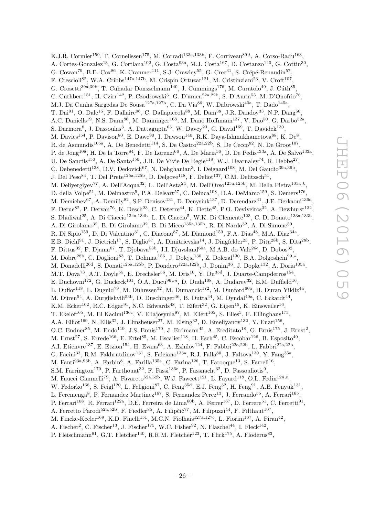K.J.R. Cormier<sup>159</sup>, T. Cornelissen<sup>175</sup>, M. Corradi<sup>133a,133b</sup>, F. Corriveau<sup>89,*l*</sup>, A. Corso-Radu<sup>163</sup>, A. Cortes-Gonzalez<sup>13</sup>, G. Cortiana<sup>102</sup>, G. Costa<sup>93a</sup>, M.J. Costa<sup>167</sup>, D. Costanzo<sup>140</sup>, G. Cottin<sup>30</sup>, G. Cowan<sup>79</sup>, B.E. Cox<sup>86</sup>, K. Cranmer<sup>111</sup>, S.J. Crawley<sup>55</sup>, G. Cree<sup>31</sup>, S. Crépé-Renaudin<sup>57</sup>, F. Crescioli<sup>82</sup>, W.A. Cribbs<sup>147a,147b</sup>, M. Crispin Ortuzar<sup>121</sup>, M. Cristinziani<sup>23</sup>, V. Croft<sup>107</sup>, G. Crosetti<sup>39a, 39b</sup>, T. Cuhadar Donszelmann<sup>140</sup>, J. Cummings<sup>176</sup>, M. Curatolo<sup>49</sup>, J. Cúth<sup>85</sup>, C. Cuthbert<sup>151</sup>, H. Czirr<sup>142</sup>, P. Czodrowski<sup>3</sup>, G. D'amen<sup>22a,22b</sup>, S. D'Auria<sup>55</sup>, M. D'Onofrio<sup>76</sup>, M.J. Da Cunha Sargedas De Sousa<sup>127a,127b</sup>, C. Da Via<sup>86</sup>, W. Dabrowski<sup>40a</sup>, T. Dado<sup>145a</sup>, T. Dai<sup>91</sup>, O. Dale<sup>15</sup>, F. Dallaire<sup>96</sup>, C. Dallapiccola<sup>88</sup>, M. Dam<sup>38</sup>, J.R. Dandoy<sup>33</sup>, N.P. Dang<sup>50</sup>, A.C. Daniells<sup>19</sup>, N.S. Dann<sup>86</sup>, M. Danninger<sup>168</sup>, M. Dano Hoffmann<sup>137</sup>, V. Dao<sup>50</sup>, G. Darbo<sup>52a</sup>, S. Darmora<sup>8</sup>, J. Dassoulas<sup>3</sup>, A. Dattagupta<sup>63</sup>, W. Davey<sup>23</sup>, C. David<sup>169</sup>, T. Davidek<sup>130</sup>, M. Davies<sup>154</sup>, P. Davison<sup>80</sup>, E. Dawe<sup>90</sup>, I. Dawson<sup>140</sup>, R.K. Daya-Ishmukhametova<sup>88</sup>, K. De<sup>8</sup>, R. de Asmundis<sup>105a</sup>, A. De Benedetti<sup>114</sup>, S. De Castro<sup>22a, 22b</sup>, S. De Cecco<sup>82</sup>, N. De Groot<sup>107</sup>, P. de Jong<sup>108</sup>, H. De la Torre<sup>84</sup>, F. De Lorenzi<sup>66</sup>, A. De Maria<sup>56</sup>, D. De Pedis<sup>133a</sup>, A. De Salvo<sup>133a</sup>, U. De Sanctis<sup>150</sup>, A. De Santo<sup>150</sup>, J.B. De Vivie De Regie<sup>118</sup>, W.J. Dearnaley<sup>74</sup>, R. Debbe<sup>27</sup>, C. Debenedetti<sup>138</sup>, D.V. Dedovich<sup>67</sup>, N. Dehghanian<sup>3</sup>, I. Deigaard<sup>108</sup>, M. Del Gaudio<sup>39a,39b</sup>, J. Del Peso<sup>84</sup>, T. Del Prete<sup>125a,125b</sup>, D. Delgove<sup>118</sup>, F. Deliot<sup>137</sup>, C.M. Delitzsch<sup>51</sup>, M. Deliyergiyev<sup>77</sup>, A. Dell'Acqua<sup>32</sup>, L. Dell'Asta<sup>24</sup>, M. Dell'Orso<sup>125a,125b</sup>, M. Della Pietra<sup>105a,k</sup>, D. della Volpe<sup>51</sup>, M. Delmastro<sup>5</sup>, P.A. Delsart<sup>57</sup>, C. Deluca<sup>108</sup>, D.A. DeMarco<sup>159</sup>, S. Demers<sup>176</sup>, M. Demichev<sup>67</sup>, A. Demilly<sup>82</sup>, S.P. Denisov<sup>131</sup>, D. Denysiuk<sup>137</sup>, D. Derendarz<sup>41</sup>, J.E. Derkaoui<sup>136d</sup>, F. Derue<sup>82</sup>, P. Dervan<sup>76</sup>, K. Desch<sup>23</sup>, C. Deterre<sup>44</sup>, K. Dette<sup>45</sup>, P.O. Deviveiros<sup>32</sup>, A. Dewhurst<sup>132</sup>, S. Dhaliwal<sup>25</sup>, A. Di Ciaccio<sup>134a,134b</sup>, L. Di Ciaccio<sup>5</sup>, W.K. Di Clemente<sup>123</sup>, C. Di Donato<sup>133a,133b</sup>, A. Di Girolamo<sup>32</sup>, B. Di Girolamo<sup>32</sup>, B. Di Micco<sup>135a,135b</sup>, R. Di Nardo<sup>32</sup>, A. Di Simone<sup>50</sup>, R. Di Sipio<sup>159</sup>, D. Di Valentino<sup>31</sup>, C. Diaconu<sup>87</sup>, M. Diamond<sup>159</sup>, F.A. Dias<sup>48</sup>, M.A. Diaz<sup>34a</sup>, E.B. Diehl<sup>91</sup>, J. Dietrich<sup>17</sup>, S. Diglio<sup>87</sup>, A. Dimitrievska<sup>14</sup>, J. Dingfelder<sup>23</sup>, P. Dita<sup>28b</sup>, S. Dita<sup>28b</sup>, F. Dittus<sup>32</sup>, F. Djama<sup>87</sup>, T. Djobava<sup>53b</sup>, J.I. Djuvsland<sup>60a</sup>, M.A.B. do Vale<sup>26c</sup>, D. Dobos<sup>32</sup>, M. Dobre<sup>28b</sup>, C. Doglioni<sup>83</sup>, T. Dohmae<sup>156</sup>, J. Dolejsi<sup>130</sup>, Z. Dolezal<sup>130</sup>, B.A. Dolgoshein<sup>99,\*</sup>, M. Donadelli<sup>26d</sup>, S. Donati<sup>125a,125b</sup>, P. Dondero<sup>122a,122b</sup>, J. Donini<sup>36</sup>, J. Dopke<sup>132</sup>, A. Doria<sup>105a</sup>, M.T. Dova<sup>73</sup>, A.T. Doyle<sup>55</sup>, E. Drechsler<sup>56</sup>, M. Dris<sup>10</sup>, Y. Du<sup>35d</sup>, J. Duarte-Campderros<sup>154</sup>, E. Duchovni<sup>172</sup>, G. Duckeck<sup>101</sup>, O.A. Ducu<sup>96,*m*</sup>, D. Duda<sup>108</sup>, A. Dudarev<sup>32</sup>, E.M. Duffield<sup>16</sup>, L. Duflot<sup>118</sup>, L. Duguid<sup>79</sup>, M. Dührssen<sup>32</sup>, M. Dumancic<sup>172</sup>, M. Dunford<sup>60a</sup>, H. Duran Yildiz<sup>4a</sup>, M. Düren<sup>54</sup>, A. Durglishvili<sup>53b</sup>, D. Duschinger<sup>46</sup>, B. Dutta<sup>44</sup>, M. Dyndal<sup>40a</sup>, C. Eckardt<sup>44</sup>, K.M. Ecker<sup>102</sup>, R.C. Edgar<sup>91</sup>, N.C. Edwards<sup>48</sup>, T. Eifert<sup>32</sup>, G. Eigen<sup>15</sup>, K. Einsweiler<sup>16</sup>, T. Ekelof<sup>165</sup>, M. El Kacimi<sup>136c</sup>, V. Ellajosyula<sup>87</sup>, M. Ellert<sup>165</sup>, S. Elles<sup>5</sup>, F. Ellinghaus<sup>175</sup>, A.A. Elliot<sup>169</sup>, N. Ellis<sup>32</sup>, J. Elmsheuser<sup>27</sup>, M. Elsing<sup>32</sup>, D. Emeliyanov<sup>132</sup>, Y. Enari<sup>156</sup>, O.C. Endner<sup>85</sup>, M. Endo<sup>119</sup>, J.S. Ennis<sup>170</sup>, J. Erdmann<sup>45</sup>, A. Ereditato<sup>18</sup>, G. Ernis<sup>175</sup>, J. Ernst<sup>2</sup>, M. Ernst<sup>27</sup>, S. Errede<sup>166</sup>, E. Ertel<sup>85</sup>, M. Escalier<sup>118</sup>, H. Esch<sup>45</sup>, C. Escobar<sup>126</sup>, B. Esposito<sup>49</sup>, A.I. Etienvre<sup>137</sup>, E. Etzion<sup>154</sup>, H. Evans<sup>63</sup>, A. Ezhilov<sup>124</sup>, F. Fabbri<sup>22a,22b</sup>, L. Fabbri<sup>22a,22b</sup>, G. Facini<sup>33</sup>, R.M. Fakhrutdinov<sup>131</sup>, S. Falciano<sup>133a</sup>, R.J. Falla<sup>80</sup>, J. Faltova<sup>130</sup>, Y. Fang<sup>35a</sup>, M. Fanti<sup>93a,93b</sup>, A. Farbin<sup>8</sup>, A. Farilla<sup>135a</sup>, C. Farina<sup>126</sup>, T. Farooque<sup>13</sup>, S. Farrell<sup>16</sup>, S.M. Farrington<sup>170</sup>, P. Farthouat<sup>32</sup>, F. Fassi<sup>136e</sup>, P. Fassnacht<sup>32</sup>, D. Fassouliotis<sup>9</sup>, M. Faucci Giannelli<sup>79</sup>, A. Favareto<sup>52a,52b</sup>, W.J. Fawcett<sup>121</sup>, L. Fayard<sup>118</sup>, O.L. Fedin<sup>124,n</sup>, W. Fedorko<sup>168</sup>, S. Feigl<sup>120</sup>, L. Feligioni<sup>87</sup>, C. Feng<sup>35d</sup>, E.J. Feng<sup>32</sup>, H. Feng<sup>91</sup>, A.B. Fenyuk<sup>131</sup>, L. Feremenga<sup>8</sup>, P. Fernandez Martinez<sup>167</sup>, S. Fernandez Perez<sup>13</sup>, J. Ferrando<sup>55</sup>, A. Ferrari<sup>165</sup>, P. Ferrari<sup>108</sup>, R. Ferrari<sup>122a</sup>, D.E. Ferreira de Lima<sup>60b</sup>, A. Ferrer<sup>167</sup>, D. Ferrere<sup>51</sup>, C. Ferretti<sup>91</sup>, A. Ferretto Parodi<sup>52a,52b</sup>, F. Fiedler<sup>85</sup>, A. Filipčič<sup>77</sup>, M. Filipuzzi<sup>44</sup>, F. Filthaut<sup>107</sup>, M. Fincke-Keeler<sup>169</sup>, K.D. Finelli<sup>151</sup>, M.C.N. Fiolhais<sup>127a,127c</sup>, L. Fiorini<sup>167</sup>, A. Firan<sup>42</sup>, A. Fischer<sup>2</sup>, C. Fischer<sup>13</sup>, J. Fischer<sup>175</sup>, W.C. Fisher<sup>92</sup>, N. Flaschel<sup>44</sup>, I. Fleck<sup>142</sup>,

P. Fleischmann<sup>91</sup>, G.T. Fletcher<sup>140</sup>, R.R.M. Fletcher<sup>123</sup>, T. Flick<sup>175</sup>, A. Floderus<sup>83</sup>,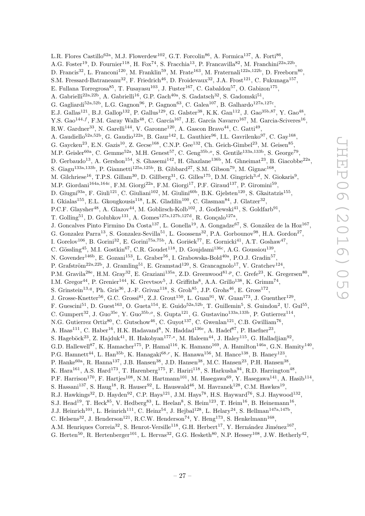L.R. Flores Castillo<sup>62a</sup>, M.J. Flowerdew<sup>102</sup>, G.T. Forcolin<sup>86</sup>, A. Formica<sup>137</sup>, A. Forti<sup>86</sup>, A.G. Foster<sup>19</sup>, D. Fournier<sup>118</sup>, H. Fox<sup>74</sup>, S. Fracchia<sup>13</sup>, P. Francavilla<sup>82</sup>, M. Franchini<sup>22a,22b</sup>, D. Francis<sup>32</sup>, L. Franconi<sup>120</sup>, M. Franklin<sup>59</sup>, M. Frate<sup>163</sup>, M. Fraternali<sup>122a,122b</sup>, D. Freeborn<sup>80</sup>, S.M. Fressard-Batraneanu<sup>32</sup>, F. Friedrich<sup>46</sup>, D. Froidevaux<sup>32</sup>, J.A. Frost<sup>121</sup>, C. Fukunaga<sup>157</sup>, E. Fullana Torregrosa<sup>85</sup>, T. Fusayasu<sup>103</sup>, J. Fuster<sup>167</sup>, C. Gabaldon<sup>57</sup>, O. Gabizon<sup>175</sup>, A. Gabrielli<sup>22a, 22b</sup>, A. Gabrielli<sup>16</sup>, G.P. Gach<sup>40a</sup>, S. Gadatsch<sup>32</sup>, S. Gadomski<sup>51</sup>, G. Gagliardi<sup>52a,52b</sup>, L.G. Gagnon<sup>96</sup>, P. Gagnon<sup>63</sup>, C. Galea<sup>107</sup>, B. Galhardo<sup>127a,127c</sup>, E.J. Gallas<sup>121</sup>, B.J. Gallop<sup>132</sup>, P. Gallus<sup>129</sup>, G. Galster<sup>38</sup>, K.K. Gan<sup>112</sup>, J. Gao<sup>35b,87</sup>, Y. Gao<sup>48</sup>, Y.S. Gao $^{144,f}$ , F.M. Garay Walls<sup>48</sup>, C. García<sup>167</sup>, J.E. García Navarro<sup>167</sup>, M. Garcia-Sciveres<sup>16</sup>, R.W. Gardner<sup>33</sup>, N. Garelli<sup>144</sup>, V. Garonne<sup>120</sup>, A. Gascon Bravo<sup>44</sup>, C. Gatti<sup>49</sup>, A. Gaudiello<sup>52a,52b</sup>, G. Gaudio<sup>122a</sup>, B. Gaur<sup>142</sup>, L. Gauthier<sup>96</sup>, I.L. Gavrilenko<sup>97</sup>, C. Gay<sup>168</sup>, G. Gaycken<sup>23</sup>, E.N. Gazis<sup>10</sup>, Z. Gecse<sup>168</sup>, C.N.P. Gee<sup>132</sup>, Ch. Geich-Gimbel<sup>23</sup>, M. Geisen<sup>85</sup>, M.P. Geisler<sup>60a</sup>, C. Gemme<sup>52a</sup>, M.H. Genest<sup>57</sup>, C. Geng<sup>35b,o</sup>, S. Gentile<sup>133a,133b</sup>, S. George<sup>79</sup>, D. Gerbaudo<sup>13</sup>, A. Gershon<sup>154</sup>, S. Ghasemi<sup>142</sup>, H. Ghazlane<sup>136b</sup>, M. Ghneimat<sup>23</sup>, B. Giacobbe<sup>22a</sup>, S. Giagu<sup>133a,133b</sup>, P. Giannetti<sup>125a,125b</sup>, B. Gibbard<sup>27</sup>, S.M. Gibson<sup>79</sup>, M. Gignac<sup>168</sup>, M. Gilchriese<sup>16</sup>, T.P.S. Gillam<sup>30</sup>, D. Gillberg<sup>31</sup>, G. Gilles<sup>175</sup>, D.M. Gingrich<sup>3,d</sup>, N. Giokaris<sup>9</sup>, M.P. Giordani<sup>164a,164c</sup>, F.M. Giorgi<sup>22a</sup>, F.M. Giorgi<sup>17</sup>, P.F. Giraud<sup>137</sup>, P. Giromini<sup>59</sup>, D. Giugni<sup>93a</sup>, F. Giuli<sup>121</sup>, C. Giuliani<sup>102</sup>, M. Giulini<sup>60b</sup>, B.K. Gjelsten<sup>120</sup>, S. Gkaitatzis<sup>155</sup>, I. Gkialas<sup>155</sup>, E.L. Gkougkousis<sup>118</sup>, L.K. Gladilin<sup>100</sup>, C. Glasman<sup>84</sup>, J. Glatzer<sup>32</sup>, P.C.F. Glaysher<sup>48</sup>, A. Glazov<sup>44</sup>, M. Goblirsch-Kolb<sup>102</sup>, J. Godlewski<sup>41</sup>, S. Goldfarb<sup>91</sup>, T. Golling<sup>51</sup>, D. Golubkov<sup>131</sup>, A. Gomes<sup>127a,127b,127d</sup>, R. Gonçalo<sup>127a</sup>, J. Goncalves Pinto Firmino Da Costa<sup>137</sup>, L. Gonella<sup>19</sup>, A. Gongadze<sup>67</sup>, S. González de la Hoz<sup>167</sup>, G. Gonzalez Parra<sup>13</sup>, S. Gonzalez-Sevilla<sup>51</sup>, L. Goossens<sup>32</sup>, P.A. Gorbounov<sup>98</sup>, H.A. Gordon<sup>27</sup>, I. Gorelov<sup>106</sup>, B. Gorini<sup>32</sup>, E. Gorini<sup>75a,75b</sup>, A. Gorišek<sup>77</sup>, E. Gornicki<sup>41</sup>, A.T. Goshaw<sup>47</sup>, C. Gössling<sup>45</sup>, M.I. Gostkin<sup>67</sup>, C.R. Goudet<sup>118</sup>, D. Goujdami<sup>136c</sup>, A.G. Goussiou<sup>139</sup>, N. Govender<sup>146b</sup>, E. Gozani<sup>153</sup>, L. Graber<sup>56</sup>, I. Grabowska-Bold<sup>40a</sup>, P.O.J. Gradin<sup>57</sup>, P. Grafström<sup>22a,22b</sup>, J. Gramling<sup>51</sup>, E. Gramstad<sup>120</sup>, S. Grancagnolo<sup>17</sup>, V. Gratchev<sup>124</sup>, P.M. Gravila<sup>28e</sup>, H.M. Gray<sup>32</sup>, E. Graziani<sup>135a</sup>, Z.D. Greenwood<sup>81,p</sup>, C. Grefe<sup>23</sup>, K. Gregersen<sup>80</sup>, I.M. Gregor<sup>44</sup>, P. Grenier<sup>144</sup>, K. Grevtsov<sup>5</sup>, J. Griffiths<sup>8</sup>, A.A. Grillo<sup>138</sup>, K. Grimm<sup>74</sup>, S. Grinstein<sup>13,q</sup>, Ph. Gris<sup>36</sup>, J.-F. Grivaz<sup>118</sup>, S. Groh<sup>85</sup>, J.P. Grohs<sup>46</sup>, E. Gross<sup>172</sup>, J. Grosse-Knetter<sup>56</sup>, G.C. Grossi<sup>81</sup>, Z.J. Grout<sup>150</sup>, L. Guan<sup>91</sup>, W. Guan<sup>173</sup>, J. Guenther<sup>129</sup>, F. Guescini<sup>51</sup>, D. Guest<sup>163</sup>, O. Gueta<sup>154</sup>, E. Guido<sup>52a,52b</sup>, T. Guillemin<sup>5</sup>, S. Guindon<sup>2</sup>, U. Gul<sup>55</sup>, C. Gumpert<sup>32</sup>, J. Guo<sup>35e</sup>, Y. Guo<sup>35b,o</sup>, S. Gupta<sup>121</sup>, G. Gustavino<sup>133a,133b</sup>, P. Gutierrez<sup>114</sup>, N.G. Gutierrez Ortiz<sup>80</sup>, C. Gutschow<sup>46</sup>, C. Guyot<sup>137</sup>, C. Gwenlan<sup>121</sup>, C.B. Gwilliam<sup>76</sup>, A. Haas<sup>111</sup>, C. Haber<sup>16</sup>, H.K. Hadavand<sup>8</sup>, N. Haddad<sup>136e</sup>, A. Hadef<sup>87</sup>, P. Haefner<sup>23</sup>, S. Hageböck<sup>23</sup>, Z. Hajduk<sup>41</sup>, H. Hakobyan<sup>177,\*</sup>, M. Haleem<sup>44</sup>, J. Haley<sup>115</sup>, G. Halladjian<sup>92</sup>, G.D. Hallewell<sup>87</sup>, K. Hamacher<sup>175</sup>, P. Hamal<sup>116</sup>, K. Hamano<sup>169</sup>, A. Hamilton<sup>146a</sup>, G.N. Hamity<sup>140</sup>, P.G. Hamnett<sup>44</sup>, L. Han<sup>35b</sup>, K. Hanagaki<sup>68,r</sup>, K. Hanawa<sup>156</sup>, M. Hance<sup>138</sup>, B. Haney<sup>123</sup>, P. Hanke $^{60a}$ , R. Hanna<sup>137</sup>, J.B. Hansen<sup>38</sup>, J.D. Hansen<sup>38</sup>, M.C. Hansen<sup>23</sup>, P.H. Hansen<sup>38</sup>, K. Hara<sup>161</sup>, A.S. Hard<sup>173</sup>, T. Harenberg<sup>175</sup>, F. Hariri<sup>118</sup>, S. Harkusha<sup>94</sup>, R.D. Harrington<sup>48</sup>, P.F. Harrison<sup>170</sup>, F. Hartjes<sup>108</sup>, N.M. Hartmann<sup>101</sup>, M. Hasegawa<sup>69</sup>, Y. Hasegawa<sup>141</sup>, A. Hasib<sup>114</sup>, S. Hassani<sup>137</sup>, S. Haug<sup>18</sup>, R. Hauser<sup>92</sup>, L. Hauswald<sup>46</sup>, M. Havranek<sup>128</sup>, C.M. Hawkes<sup>19</sup>, R.J. Hawkings<sup>32</sup>, D. Hayden<sup>92</sup>, C.P. Hays<sup>121</sup>, J.M. Hays<sup>78</sup>, H.S. Hayward<sup>76</sup>, S.J. Haywood<sup>132</sup>, S.J. Head<sup>19</sup>, T. Heck<sup>85</sup>, V. Hedberg<sup>83</sup>, L. Heelan<sup>8</sup>, S. Heim<sup>123</sup>, T. Heim<sup>16</sup>, B. Heinemann<sup>16</sup>, J.J. Heinrich<sup>101</sup>, L. Heinrich<sup>111</sup>, C. Heinz<sup>54</sup>, J. Hejbal<sup>128</sup>, L. Helary<sup>24</sup>, S. Hellman<sup>147a,147b</sup>, C. Helsens<sup>32</sup>, J. Henderson<sup>121</sup>, R.C.W. Henderson<sup>74</sup>, Y. Heng<sup>173</sup>, S. Henkelmann<sup>168</sup>, A.M. Henriques Correia<sup>32</sup>, S. Henrot-Versille<sup>118</sup>, G.H. Herbert<sup>17</sup>, Y. Hernández Jiménez<sup>167</sup>,

G. Herten<sup>50</sup>, R. Hertenberger<sup>101</sup>, L. Hervas<sup>32</sup>, G.G. Hesketh<sup>80</sup>, N.P. Hessey<sup>108</sup>, J.W. Hetherly<sup>42</sup>,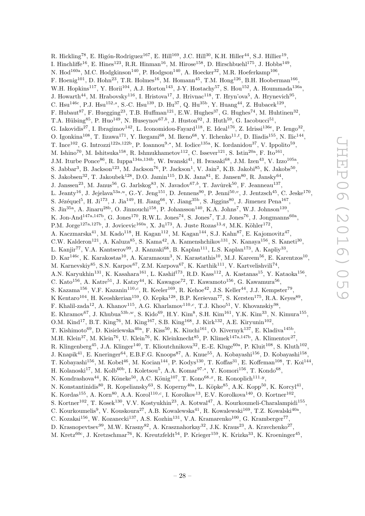R. Hickling<sup>78</sup>, E. Higón-Rodriguez<sup>167</sup>, E. Hill<sup>169</sup>, J.C. Hill<sup>30</sup>, K.H. Hiller<sup>44</sup>, S.J. Hillier<sup>19</sup>, I. Hinchliffe<sup>16</sup>, E. Hines<sup>123</sup>, R.R. Hinman<sup>16</sup>, M. Hirose<sup>158</sup>, D. Hirschbuehl<sup>175</sup>, J. Hobbs<sup>149</sup>, N. Hod<sup>160a</sup>, M.C. Hodgkinson<sup>140</sup>, P. Hodgson<sup>140</sup>, A. Hoecker<sup>32</sup>, M.R. Hoeferkamp<sup>106</sup>, F. Hoenig<sup>101</sup>, D. Hohn<sup>23</sup>, T.R. Holmes<sup>16</sup>, M. Homann<sup>45</sup>, T.M. Hong<sup>126</sup>, B.H. Hooberman<sup>166</sup>, W.H. Hopkins<sup>117</sup>, Y. Horii<sup>104</sup>, A.J. Horton<sup>143</sup>, J-Y. Hostachy<sup>57</sup>, S. Hou<sup>152</sup>, A. Hoummada<sup>136a</sup>, J. Howarth<sup>44</sup>, M. Hrabovsky<sup>116</sup>, I. Hristova<sup>17</sup>, J. Hrivnac<sup>118</sup>, T. Hryn'ova<sup>5</sup>, A. Hrynevich<sup>95</sup>, C. Hsu<sup>146c</sup>, P.J. Hsu<sup>152,s</sup>, S.-C. Hsu<sup>139</sup>, D. Hu<sup>37</sup>, Q. Hu<sup>35b</sup>, Y. Huang<sup>44</sup>, Z. Hubacek<sup>129</sup>, F. Hubaut<sup>87</sup>, F. Huegging<sup>23</sup>, T.B. Huffman<sup>121</sup>, E.W. Hughes<sup>37</sup>, G. Hughes<sup>74</sup>, M. Huhtinen<sup>32</sup>, T.A. Hülsing<sup>85</sup>, P. Huo<sup>149</sup>, N. Huseynov<sup>67,b</sup>, J. Huston<sup>92</sup>, J. Huth<sup>59</sup>, G. Iacobucci<sup>51</sup>, G. Iakovidis<sup>27</sup>, I. Ibragimov<sup>142</sup>, L. Iconomidou-Fayard<sup>118</sup>, E. Ideal<sup>176</sup>, Z. Idrissi<sup>136e</sup>, P. Iengo<sup>32</sup>, O. Igonkina<sup>108</sup>, T. Iizawa<sup>171</sup>, Y. Ikegami<sup>68</sup>, M. Ikeno<sup>68</sup>, Y. Ilchenko<sup>11,*t*</sup>, D. Iliadis<sup>155</sup>, N. Ilic<sup>144</sup>, T. Ince<sup>102</sup>, G. Introzzi<sup>122a, 122b</sup>, P. Ioannou<sup>9,\*</sup>, M. Iodice<sup>135a</sup>, K. Iordanidou<sup>37</sup>, V. Ippolito<sup>59</sup>, M. Ishino<sup>70</sup>, M. Ishitsuka<sup>158</sup>, R. Ishmukhametov<sup>112</sup>, C. Issever<sup>121</sup>, S. Istin<sup>20a</sup>, F. Ito<sup>161</sup>, J.M. Iturbe Ponce<sup>86</sup>, R. Iuppa<sup>134a, 134b</sup>, W. Iwanski<sup>41</sup>, H. Iwasaki<sup>68</sup>, J.M. Izen<sup>43</sup>, V. Izzo<sup>105a</sup>, S. Jabbar<sup>3</sup>, B. Jackson<sup>123</sup>, M. Jackson<sup>76</sup>, P. Jackson<sup>1</sup>, V. Jain<sup>2</sup>, K.B. Jakobi<sup>85</sup>, K. Jakobs<sup>50</sup>, S. Jakobsen<sup>32</sup>, T. Jakoubek<sup>128</sup>, D.O. Jamin<sup>115</sup>, D.K. Jana<sup>81</sup>, E. Jansen<sup>80</sup>, R. Jansky<sup>64</sup>, J. Janssen<sup>23</sup>, M. Janus<sup>56</sup>, G. Jarlskog<sup>83</sup>, N. Javadov<sup>67,b</sup>, T. Javůrek<sup>50</sup>, F. Jeanneau<sup>137</sup>, L. Jeanty<sup>16</sup>, J. Jejelava<sup>53a,u</sup>, G.-Y. Jeng<sup>151</sup>, D. Jennens<sup>90</sup>, P. Jenni<sup>50,v</sup>, J. Jentzsch<sup>45</sup>, C. Jeske<sup>170</sup>, S. Jézéquel<sup>5</sup>, H. Ji<sup>173</sup>, J. Jia<sup>149</sup>, H. Jiang<sup>66</sup>, Y. Jiang<sup>35b</sup>, S. Jiggins<sup>80</sup>, J. Jimenez Pena<sup>167</sup>, S. Jin<sup>35a</sup>, A. Jinaru<sup>28b</sup>, O. Jinnouchi<sup>158</sup>, P. Johansson<sup>140</sup>, K.A. Johns<sup>7</sup>, W.J. Johnson<sup>139</sup>, K. Jon-And<sup>147a,147b</sup>, G. Jones<sup>170</sup>, R.W.L. Jones<sup>74</sup>, S. Jones<sup>7</sup>, T.J. Jones<sup>76</sup>, J. Jongmanns<sup>60a</sup>, P.M. Jorge<sup>127a,127b</sup>, J. Jovicevic<sup>160a</sup>, X. Ju<sup>173</sup>, A. Juste Rozas<sup>13,q</sup>, M.K. Köhler<sup>172</sup>, A. Kaczmarska<sup>41</sup>, M. Kado<sup>118</sup>, H. Kagan<sup>112</sup>, M. Kagan<sup>144</sup>, S.J. Kahn<sup>87</sup>, E. Kajomovitz<sup>47</sup>, C.W. Kalderon<sup>121</sup>, A. Kaluza<sup>85</sup>, S. Kama<sup>42</sup>, A. Kamenshchikov<sup>131</sup>, N. Kanaya<sup>156</sup>, S. Kaneti<sup>30</sup>, L. Kanjir<sup>77</sup>, V.A. Kantserov<sup>99</sup>, J. Kanzaki<sup>68</sup>, B. Kaplan<sup>111</sup>, L.S. Kaplan<sup>173</sup>, A. Kapliy<sup>33</sup>, D. Kar<sup>146c</sup>, K. Karakostas<sup>10</sup>, A. Karamaoun<sup>3</sup>, N. Karastathis<sup>10</sup>, M.J. Kareem<sup>56</sup>, E. Karentzos<sup>10</sup>, M. Karnevskiy<sup>85</sup>, S.N. Karpov<sup>67</sup>, Z.M. Karpova<sup>67</sup>, K. Karthik<sup>111</sup>, V. Kartvelishvili<sup>74</sup>, A.N. Karyukhin<sup>131</sup>, K. Kasahara<sup>161</sup>, L. Kashif<sup>173</sup>, R.D. Kass<sup>112</sup>, A. Kastanas<sup>15</sup>, Y. Kataoka<sup>156</sup>, C. Kato<sup>156</sup>, A. Katre<sup>51</sup>, J. Katzy<sup>44</sup>, K. Kawagoe<sup>72</sup>, T. Kawamoto<sup>156</sup>, G. Kawamura<sup>56</sup>, S. Kazama<sup>156</sup>, V.F. Kazanin<sup>110,c</sup>, R. Keeler<sup>169</sup>, R. Kehoe<sup>42</sup>, J.S. Keller<sup>44</sup>, J.J. Kempster<sup>79</sup>, K Kentaro<sup>104</sup>, H. Keoshkerian<sup>159</sup>, O. Kepka<sup>128</sup>, B.P. Kerševan<sup>77</sup>, S. Kersten<sup>175</sup>, R.A. Keyes<sup>89</sup>, F. Khalil-zada<sup>12</sup>, A. Khanov<sup>115</sup>, A.G. Kharlamov<sup>110,c</sup>, T.J. Khoo<sup>51</sup>, V. Khovanskiy<sup>98</sup>, E. Khramov<sup>67</sup>, J. Khubua<sup>53b,w</sup>, S. Kido<sup>69</sup>, H.Y. Kim<sup>8</sup>, S.H. Kim<sup>161</sup>, Y.K. Kim<sup>33</sup>, N. Kimura<sup>155</sup>, O.M. Kind<sup>17</sup>, B.T. King<sup>76</sup>, M. King<sup>167</sup>, S.B. King<sup>168</sup>, J. Kirk<sup>132</sup>, A.E. Kiryunin<sup>102</sup>, T. Kishimoto<sup>69</sup>, D. Kisielewska<sup>40a</sup>, F. Kiss<sup>50</sup>, K. Kiuchi<sup>161</sup>, O. Kivernyk<sup>137</sup>, E. Kladiva<sup>145b</sup>, M.H. Klein<sup>37</sup>, M. Klein<sup>76</sup>, U. Klein<sup>76</sup>, K. Kleinknecht<sup>85</sup>, P. Klimek<sup>147a,147b</sup>, A. Klimentov<sup>27</sup>, R. Klingenberg<sup>45</sup>, J.A. Klinger<sup>140</sup>, T. Klioutchnikova<sup>32</sup>, E.-E. Kluge<sup>60a</sup>, P. Kluit<sup>108</sup>, S. Kluth<sup>102</sup>, J. Knapik<sup>41</sup>, E. Kneringer<sup>64</sup>, E.B.F.G. Knoops<sup>87</sup>, A. Knue<sup>55</sup>, A. Kobayashi<sup>156</sup>, D. Kobayashi<sup>158</sup>, T. Kobayashi<sup>156</sup>, M. Kobel<sup>46</sup>, M. Kocian<sup>144</sup>, P. Kodys<sup>130</sup>, T. Koffas<sup>31</sup>, E. Koffeman<sup>108</sup>, T. Koi<sup>144</sup>, H. Kolanoski<sup>17</sup>, M. Kolb<sup>60b</sup>, I. Koletsou<sup>5</sup>, A.A. Komar<sup>97,\*</sup>, Y. Komori<sup>156</sup>, T. Kondo<sup>68</sup>, N. Kondrashova<sup>44</sup>, K. Köneke<sup>50</sup>, A.C. König<sup>107</sup>, T. Kono<sup>68,x</sup>, R. Konoplich<sup>111,y</sup>, N. Konstantinidis<sup>80</sup>, R. Kopeliansky<sup>63</sup>, S. Koperny<sup>40a</sup>, L. Köpke<sup>85</sup>, A.K. Kopp<sup>50</sup>, K. Korcyl<sup>41</sup>, K. Kordas<sup>155</sup>, A. Korn<sup>80</sup>, A.A. Korol<sup>110,c</sup>, I. Korolkov<sup>13</sup>, E.V. Korolkova<sup>140</sup>, O. Kortner<sup>102</sup>, S. Kortner<sup>102</sup>, T. Kosek<sup>130</sup>, V.V. Kostyukhin<sup>23</sup>, A. Kotwal<sup>47</sup>, A. Kourkoumeli-Charalampidi<sup>155</sup>, C. Kourkoumelis<sup>9</sup>, V. Kouskoura<sup>27</sup>, A.B. Kowalewska<sup>41</sup>, R. Kowalewski<sup>169</sup>, T.Z. Kowalski<sup>40a</sup>, C. Kozakai<sup>156</sup>, W. Kozanecki<sup>137</sup>, A.S. Kozhin<sup>131</sup>, V.A. Kramarenko<sup>100</sup>, G. Kramberger<sup>77</sup>,

- D. Krasnopevtsev<sup>99</sup>, M.W. Krasny<sup>82</sup>, A. Krasznahorkay<sup>32</sup>, J.K. Kraus<sup>23</sup>, A. Kravchenko<sup>27</sup>,
- M. Kretz<sup>60c</sup>, J. Kretzschmar<sup>76</sup>, K. Kreutzfeldt<sup>54</sup>, P. Krieger<sup>159</sup>, K. Krizka<sup>33</sup>, K. Kroeninger<sup>45</sup>,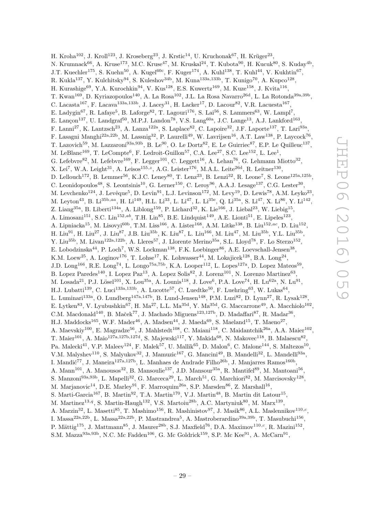H. Kroha<sup>102</sup>, J. Kroll<sup>123</sup>, J. Kroseberg<sup>23</sup>, J. Krstic<sup>14</sup>, U. Kruchonak<sup>67</sup>, H. Krüger<sup>23</sup>, N. Krumnack $^{66}$ , A. Kruse $^{173}$ , M.C. Kruse $^{47}$ , M. Kruskal $^{24}$ , T. Kubota $^{90}$ , H. Kucuk $^{80}$ , S. Kuday $^{4b}$ , J.T. Kuechler<sup>175</sup>, S. Kuehn<sup>50</sup>, A. Kugel<sup>60c</sup>, F. Kuger<sup>174</sup>, A. Kuhl<sup>138</sup>, T. Kuhl<sup>44</sup>, V. Kukhtin<sup>67</sup>, R. Kukla<sup>137</sup>, Y. Kulchitsky<sup>94</sup>, S. Kuleshov<sup>34b</sup>, M. Kuna<sup>133a,133b</sup>, T. Kunigo<sup>70</sup>, A. Kupco<sup>128</sup>, H. Kurashige $^{69}$ , Y.A. Kurochkin $^{94}$ , V. Kus<sup>128</sup>, E.S. Kuwertz<sup>169</sup>, M. Kuze<sup>158</sup>, J. Kvita<sup>116</sup>, T. Kwan<sup>169</sup>, D. Kyriazopoulos<sup>140</sup>, A. La Rosa<sup>102</sup>, J.L. La Rosa Navarro<sup>26d</sup>, L. La Rotonda<sup>39a,39b</sup>, C. Lacasta<sup>167</sup>, F. Lacava<sup>133a,133b</sup>, J. Lacey<sup>31</sup>, H. Lacker<sup>17</sup>, D. Lacour<sup>82</sup>, V.R. Lacuesta<sup>167</sup>, E. Ladygin<sup>67</sup>, R. Lafaye<sup>5</sup>, B. Laforge<sup>82</sup>, T. Lagouri<sup>176</sup>, S. Lai<sup>56</sup>, S. Lammers<sup>63</sup>, W. Lampl<sup>7</sup>, E. Lançon<sup>137</sup>, U. Landgraf<sup>50</sup>, M.P.J. Landon<sup>78</sup>, V.S. Lang<sup>60a</sup>, J.C. Lange<sup>13</sup>, A.J. Lankford<sup>163</sup>, F. Lanni<sup>27</sup>, K. Lantzsch<sup>23</sup>, A. Lanza<sup>122a</sup>, S. Laplace<sup>82</sup>, C. Lapoire<sup>32</sup>, J.F. Laporte<sup>137</sup>, T. Lari<sup>93a</sup>, F. Lasagni Manghi<sup>22a,22b</sup>, M. Lassnig<sup>32</sup>, P. Laurelli<sup>49</sup>, W. Lavrijsen<sup>16</sup>, A.T. Law<sup>138</sup>, P. Laycock<sup>76</sup>, T. Lazovich<sup>59</sup>, M. Lazzaroni<sup>93a,93b</sup>, B. Le<sup>90</sup>, O. Le Dortz<sup>82</sup>, E. Le Guirriec<sup>87</sup>, E.P. Le Quilleuc<sup>137</sup>, M. LeBlanc<sup>169</sup>, T. LeCompte<sup>6</sup>, F. Ledroit-Guillon<sup>57</sup>, C.A. Lee<sup>27</sup>, S.C. Lee<sup>152</sup>, L. Lee<sup>1</sup>, G. Lefebvre<sup>82</sup>, M. Lefebvre<sup>169</sup>, F. Legger<sup>101</sup>, C. Leggett<sup>16</sup>, A. Lehan<sup>76</sup>, G. Lehmann Miotto<sup>32</sup>, X. Lei<sup>7</sup>, W.A. Leight<sup>31</sup>, A. Leisos<sup>155,2</sup>, A.G. Leister<sup>176</sup>, M.A.L. Leite<sup>26d</sup>, R. Leitner<sup>130</sup>, D. Lellouch<sup>172</sup>, B. Lemmer<sup>56</sup>, K.J.C. Leney<sup>80</sup>, T. Lenz<sup>23</sup>, B. Lenzi<sup>32</sup>, R. Leone<sup>7</sup>, S. Leone<sup>125a,125b</sup>, C. Leonidopoulos<sup>48</sup>, S. Leontsinis<sup>10</sup>, G. Lerner<sup>150</sup>, C. Leroy<sup>96</sup>, A.A.J. Lesage<sup>137</sup>, C.G. Lester<sup>30</sup>, M. Levchenko<sup>124</sup>, J. Levêque<sup>5</sup>, D. Levin<sup>91</sup>, L.J. Levinson<sup>172</sup>, M. Levy<sup>19</sup>, D. Lewis<sup>78</sup>, A.M. Leyko<sup>23</sup>, M. Leyton<sup>43</sup>, B. Li<sup>35b,aa</sup>, H. Li<sup>149</sup>, H.L. Li<sup>33</sup>, L. Li<sup>47</sup>, L. Li<sup>35e</sup>, Q. Li<sup>35a</sup>, S. Li<sup>47</sup>, X. Li<sup>86</sup>, Y. Li<sup>142</sup>, Z. Liang<sup>35a</sup>, B. Liberti<sup>134a</sup>, A. Liblong<sup>159</sup>, P. Lichard<sup>32</sup>, K. Lie<sup>166</sup>, J. Liebal<sup>23</sup>, W. Liebig<sup>15</sup>, A. Limosani<sup>151</sup>, S.C. Lin<sup>152,ab</sup>, T.H. Lin<sup>85</sup>, B.E. Lindquist<sup>149</sup>, A.E. Lionti<sup>51</sup>, E. Lipeles<sup>123</sup>, A. Lipniacka<sup>15</sup>, M. Lisovyi<sup>60b</sup>, T.M. Liss<sup>166</sup>, A. Lister<sup>168</sup>, A.M. Litke<sup>138</sup>, B. Liu<sup>152,ac</sup>, D. Liu<sup>152</sup>, H. Liu<sup>91</sup>, H. Liu<sup>27</sup>, J. Liu<sup>87</sup>, J.B. Liu<sup>35b</sup>, K. Liu<sup>87</sup>, L. Liu<sup>166</sup>, M. Liu<sup>47</sup>, M. Liu<sup>35b</sup>, Y.L. Liu<sup>35b</sup>, Y. Liu<sup>35b</sup>, M. Livan<sup>122a,122b</sup>, A. Lleres<sup>57</sup>, J. Llorente Merino<sup>35a</sup>, S.L. Lloyd<sup>78</sup>, F. Lo Sterzo<sup>152</sup>, E. Lobodzinska<sup>44</sup>, P. Loch<sup>7</sup>, W.S. Lockman<sup>138</sup>, F.K. Loebinger<sup>86</sup>, A.E. Loevschall-Jensen<sup>38</sup>, K.M. Loew<sup>25</sup>, A. Loginov<sup>176</sup>, T. Lohse<sup>17</sup>, K. Lohwasser<sup>44</sup>, M. Lokajicek<sup>128</sup>, B.A. Long<sup>24</sup>, J.D. Long<sup>166</sup>, R.E. Long<sup>74</sup>, L. Longo<sup>75a,75b</sup>, K.A. Looper<sup>112</sup>, L. Lopes<sup>127a</sup>, D. Lopez Mateos<sup>59</sup>, B. Lopez Paredes<sup>140</sup>, I. Lopez Paz<sup>13</sup>, A. Lopez Solis<sup>82</sup>, J. Lorenz<sup>101</sup>, N. Lorenzo Martinez<sup>63</sup>, M. Losada<sup>21</sup>, P.J. Lösel<sup>101</sup>, X. Lou<sup>35a</sup>, A. Lounis<sup>118</sup>, J. Love<sup>6</sup>, P.A. Love<sup>74</sup>, H. Lu<sup>62a</sup>, N. Lu<sup>91</sup>, H.J. Lubatti<sup>139</sup>, C. Luci<sup>133a,133b</sup>, A. Lucotte<sup>57</sup>, C. Luedtke<sup>50</sup>, F. Luehring<sup>63</sup>, W. Lukas<sup>64</sup>, L. Luminari<sup>133a</sup>, O. Lundberg<sup>147a,147b</sup>, B. Lund-Jensen<sup>148</sup>, P.M. Luzi<sup>82</sup>, D. Lynn<sup>27</sup>, R. Lysak<sup>128</sup>, E. Lytken<sup>83</sup>, V. Lyubushkin<sup>67</sup>, H. Ma<sup>27</sup>, L.L. Ma<sup>35d</sup>, Y. Ma<sup>35d</sup>, G. Maccarrone<sup>49</sup>, A. Macchiolo<sup>102</sup>, C.M. Macdonald<sup>140</sup>, B. Maček<sup>77</sup>, J. Machado Miguens<sup>123,127b</sup>, D. Madaffari<sup>87</sup>, R. Madar<sup>36</sup>, H.J. Maddocks<sup>165</sup>, W.F. Mader<sup>46</sup>, A. Madsen<sup>44</sup>, J. Maeda<sup>69</sup>, S. Maeland<sup>15</sup>, T. Maeno<sup>27</sup>, A. Maevskiy<sup>100</sup>, E. Magradze<sup>56</sup>, J. Mahlstedt<sup>108</sup>, C. Maiani<sup>118</sup>, C. Maidantchik<sup>26a</sup>, A.A. Maier<sup>102</sup>, T. Maier<sup>101</sup>, A. Maio<sup>127a,127b,127d</sup>, S. Majewski<sup>117</sup>, Y. Makida<sup>68</sup>, N. Makovec<sup>118</sup>, B. Malaescu<sup>82</sup>, Pa. Malecki<sup>41</sup>, V.P. Maleev<sup>124</sup>, F. Malek<sup>57</sup>, U. Mallik<sup>65</sup>, D. Malon<sup>6</sup>, C. Malone<sup>144</sup>, S. Maltezos<sup>10</sup>, V.M. Malyshev<sup>110</sup>, S. Malyukov<sup>32</sup>, J. Mamuzic<sup>167</sup>, G. Mancini<sup>49</sup>, B. Mandelli<sup>32</sup>, L. Mandelli<sup>93a</sup>, I. Mandić<sup>77</sup>, J. Maneira<sup>127a,127b</sup>, L. Manhaes de Andrade Filho<sup>26b</sup>, J. Manjarres Ramos<sup>160b</sup>, A. Mann<sup>101</sup>, A. Manousos<sup>32</sup>, B. Mansoulie<sup>137</sup>, J.D. Mansour<sup>35a</sup>, R. Mantifel<sup>89</sup>, M. Mantoani<sup>56</sup>, S. Manzoni<sup>93a, 93b</sup>, L. Mapelli<sup>32</sup>, G. Marceca<sup>29</sup>, L. March<sup>51</sup>, G. Marchiori<sup>82</sup>, M. Marcisovsky<sup>128</sup>, M. Marjanovic<sup>14</sup>, D.E. Marley<sup>91</sup>, F. Marroquim<sup>26a</sup>, S.P. Marsden<sup>86</sup>, Z. Marshall<sup>16</sup>, S. Marti-Garcia<sup>167</sup>, B. Martin<sup>92</sup>, T.A. Martin<sup>170</sup>, V.J. Martin<sup>48</sup>, B. Martin dit Latour<sup>15</sup>, M. Martinez<sup>13,q</sup>, S. Martin-Haugh<sup>132</sup>, V.S. Martoiu<sup>28b</sup>, A.C. Martyniuk<sup>80</sup>, M. Marx<sup>139</sup>, A. Marzin<sup>32</sup>, L. Masetti<sup>85</sup>, T. Mashimo<sup>156</sup>, R. Mashinistov<sup>97</sup>, J. Masik<sup>86</sup>, A.L. Maslennikov<sup>110,*c*</sup>, I. Massa<sup>22a,22b</sup>, L. Massa<sup>22a,22b</sup>, P. Mastrandrea<sup>5</sup>, A. Mastroberardino<sup>39a,39b</sup>, T. Masubuchi<sup>156</sup>, P. Mättig<sup>175</sup>, J. Mattmann<sup>85</sup>, J. Maurer<sup>28b</sup>, S.J. Maxfield<sup>76</sup>, D.A. Maximov<sup>110,c</sup>, R. Mazini<sup>152</sup>, S.M. Mazza<sup>93a, 93b</sup>, N.C. Mc Fadden<sup>106</sup>, G. Mc Goldrick<sup>159</sup>, S.P. Mc Kee<sup>91</sup>, A. McCarn<sup>91</sup>,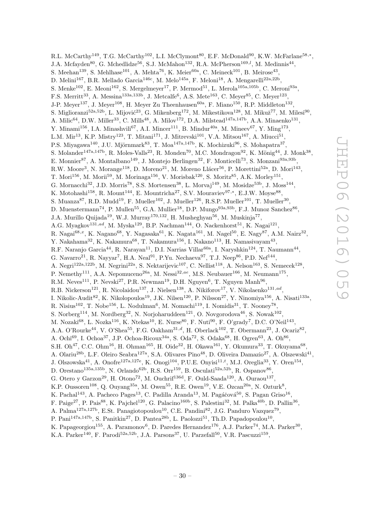R.L. McCarthy<sup>149</sup>, T.G. McCarthy<sup>102</sup>, L.I. McClymont<sup>80</sup>, E.F. McDonald<sup>90</sup>, K.W. McFarlane<sup>58,\*</sup>, J.A. Mcfayden<sup>80</sup>, G. Mchedlidze<sup>56</sup>, S.J. McMahon<sup>132</sup>, R.A. McPherson<sup>169,*l*</sup>, M. Medinnis<sup>44</sup>, S. Meehan<sup>139</sup>, S. Mehlhase<sup>101</sup>, A. Mehta<sup>76</sup>, K. Meier<sup>60a</sup>, C. Meineck<sup>101</sup>, B. Meirose<sup>43</sup>, D. Melini<sup>167</sup>, B.R. Mellado Garcia<sup>146c</sup>, M. Melo<sup>145a</sup>, F. Meloni<sup>18</sup>, A. Mengarelli<sup>22a,22b</sup>, S. Menke<sup>102</sup>, E. Meoni<sup>162</sup>, S. Mergelmeyer<sup>17</sup>, P. Mermod<sup>51</sup>, L. Merola<sup>105a,105b</sup>, C. Meroni<sup>93a</sup>, F.S. Merritt<sup>33</sup>, A. Messina<sup>133a,133b</sup>, J. Metcalfe<sup>6</sup>, A.S. Mete<sup>163</sup>, C. Meyer<sup>85</sup>, C. Meyer<sup>123</sup>, J-P. Meyer<sup>137</sup>, J. Meyer<sup>108</sup>, H. Meyer Zu Theenhausen<sup>60a</sup>, F. Miano<sup>150</sup>, R.P. Middleton<sup>132</sup>, S. Miglioranzi<sup>52a,52b</sup>, L. Mijović<sup>23</sup>, G. Mikenberg<sup>172</sup>, M. Mikestikova<sup>128</sup>, M. Mikuž<sup>77</sup>, M. Milesi<sup>90</sup>, A. Milic<sup>64</sup>, D.W. Miller<sup>33</sup>, C. Mills<sup>48</sup>, A. Milov<sup>172</sup>, D.A. Milstead<sup>147a,147b</sup>, A.A. Minaenko<sup>131</sup>, Y. Minami<sup>156</sup>, I.A. Minashvili<sup>67</sup>, A.I. Mincer<sup>111</sup>, B. Mindur<sup>40a</sup>, M. Mineev<sup>67</sup>, Y. Ming<sup>173</sup>, L.M. Mir<sup>13</sup>, K.P. Mistry<sup>123</sup>, T. Mitani<sup>171</sup>, J. Mitrevski<sup>101</sup>, V.A. Mitsou<sup>167</sup>, A. Miucci<sup>51</sup>, P.S. Miyagawa<sup>140</sup>, J.U. Mjörnmark<sup>83</sup>, T. Moa<sup>147a,147b</sup>, K. Mochizuki<sup>96</sup>, S. Mohapatra<sup>37</sup>, S. Molander<sup>147a,147b</sup>, R. Moles-Valls<sup>23</sup>, R. Monden<sup>70</sup>, M.C. Mondragon<sup>92</sup>, K. Mönig<sup>44</sup>, J. Monk<sup>38</sup>, E. Monnier<sup>87</sup>, A. Montalbano<sup>149</sup>, J. Montejo Berlingen<sup>32</sup>, F. Monticelli<sup>73</sup>, S. Monzani<sup>93a,93b</sup>, R.W. Moore<sup>3</sup>, N. Morange<sup>118</sup>, D. Moreno<sup>21</sup>, M. Moreno Llácer<sup>56</sup>, P. Morettini<sup>52a</sup>, D. Mori<sup>143</sup>, T. Mori $^{156}$ , M. Morii $^{59}$ , M. Morinaga<sup>156</sup>, V. Morisbak<sup>120</sup>, S. Moritz<sup>85</sup>, A.K. Morley<sup>151</sup>, G. Mornacchi<sup>32</sup>, J.D. Morris<sup>78</sup>, S.S. Mortensen<sup>38</sup>, L. Morvaj<sup>149</sup>, M. Mosidze<sup>53b</sup>, J. Moss<sup>144</sup>, K. Motohashi<sup>158</sup>, R. Mount<sup>144</sup>, E. Mountricha<sup>27</sup>, S.V. Mouraviev<sup>97,\*</sup>, E.J.W. Moyse<sup>88</sup>, S. Muanza<sup>87</sup>, R.D. Mudd<sup>19</sup>, F. Mueller<sup>102</sup>, J. Mueller<sup>126</sup>, R.S.P. Mueller<sup>101</sup>, T. Mueller<sup>30</sup>, D. Muenstermann<sup>74</sup>, P. Mullen<sup>55</sup>, G.A. Mullier<sup>18</sup>, D.P. Mungo<sup>93a,93b</sup>, F.J. Munoz Sanchez<sup>86</sup>, J.A. Murillo Quijada<sup>19</sup>, W.J. Murray<sup>170,132</sup>, H. Musheghyan<sup>56</sup>, M. Muskinja<sup>77</sup>, A.G. Myagkov<sup>131,ad</sup>, M. Myska<sup>129</sup>, B.P. Nachman<sup>144</sup>, O. Nackenhorst<sup>51</sup>, K. Nagai<sup>121</sup>, R. Nagai $^{68,x}$ , K. Nagano $^{68}$ , Y. Nagasaka $^{61}$ , K. Nagata $^{161}$ , M. Nagel $^{50}$ , E. Nagy $^{87}$ , A.M. Nairz $^{32}$ , Y. Nakahama $^{32}$ , K. Nakamura $^{68}$ , T. Nakamura $^{156}$ , I. Nakano $^{113}$ , H. Namasivayam $^{43}$ , R.F. Naranjo Garcia<sup>44</sup>, R. Narayan<sup>11</sup>, D.I. Narrias Villar<sup>60a</sup>, I. Naryshkin<sup>124</sup>, T. Naumann<sup>44</sup>, G. Navarro<sup>21</sup>, R. Nayyar<sup>7</sup>, H.A. Neal<sup>91</sup>, P.Yu. Nechaeva<sup>97</sup>, T.J. Neep<sup>86</sup>, P.D. Nef<sup>144</sup>, A. Negri<sup>122a,122b</sup>, M. Negrini<sup>22a</sup>, S. Nektarijevic<sup>107</sup>, C. Nellist<sup>118</sup>, A. Nelson<sup>163</sup>, S. Nemecek<sup>128</sup>, P. Nemethy<sup>111</sup>, A.A. Nepomuceno<sup>26a</sup>, M. Nessi<sup>32,ae</sup>, M.S. Neubauer<sup>166</sup>, M. Neumann<sup>175</sup>, R.M. Neves<sup>111</sup>, P. Nevski<sup>27</sup>, P.R. Newman<sup>19</sup>, D.H. Nguyen<sup>6</sup>, T. Nguyen Manh<sup>96</sup>, R.B. Nickerson<sup>121</sup>, R. Nicolaidou<sup>137</sup>, J. Nielsen<sup>138</sup>, A. Nikiforov<sup>17</sup>, V. Nikolaenko<sup>131,ad</sup>, I. Nikolic-Audit<sup>82</sup>, K. Nikolopoulos<sup>19</sup>, J.K. Nilsen<sup>120</sup>, P. Nilsson<sup>27</sup>, Y. Ninomiya<sup>156</sup>, A. Nisati<sup>133a</sup>, R. Nisius<sup>102</sup>, T. Nobe<sup>156</sup>, L. Nodulman<sup>6</sup>, M. Nomachi<sup>119</sup>, I. Nomidis<sup>31</sup>, T. Nooney<sup>78</sup>, S. Norberg<sup>114</sup>, M. Nordberg<sup>32</sup>, N. Norjoharuddeen<sup>121</sup>, O. Novgorodova<sup>46</sup>, S. Nowak<sup>102</sup>, M. Nozaki $^{68}$ , L. Nozka $^{116}$ , K. Ntekas $^{10}$ , E. Nurse $^{80}$ , F. Nuti $^{90}$ , F. O'grady<sup>7</sup>, D.C. O'Neil $^{143}$ , A.A. O'Rourke<sup>44</sup>, V. O'Shea<sup>55</sup>, F.G. Oakham<sup>31,d</sup>, H. Oberlack<sup>102</sup>, T. Obermann<sup>23</sup>, J. Ocariz<sup>82</sup>, A. Ochi<sup>69</sup>, I. Ochoa<sup>37</sup>, J.P. Ochoa-Ricoux<sup>34a</sup>, S. Oda<sup>72</sup>, S. Odaka<sup>68</sup>, H. Ogren<sup>63</sup>, A. Oh<sup>86</sup>, S.H. Oh<sup>47</sup>, C.C. Ohm<sup>16</sup>, H. Ohman<sup>165</sup>, H. Oide<sup>32</sup>, H. Okawa<sup>161</sup>, Y. Okumura<sup>33</sup>, T. Okuyama<sup>68</sup>, A. Olariu<sup>28b</sup>, L.F. Oleiro Seabra<sup>127a</sup>, S.A. Olivares Pino<sup>48</sup>, D. Oliveira Damazio<sup>27</sup>, A. Olszewski<sup>41</sup>, J. Olszowska<sup>41</sup>, A. Onofre<sup>127a,127e</sup>, K. Onogi<sup>104</sup>, P.U.E. Onyisi<sup>11,*t*</sup>, M.J. Oreglia<sup>33</sup>, Y. Oren<sup>154</sup>, D. Orestano<sup>135a, 135b</sup>, N. Orlando<sup>62b</sup>, R.S. Orr<sup>159</sup>, B. Osculati<sup>52a, 52b</sup>, R. Ospanov<sup>86</sup>, G. Otero y Garzon<sup>29</sup>, H. Otono<sup>72</sup>, M. Ouchrif<sup>136d</sup>, F. Ould-Saada<sup>120</sup>, A. Ouraou<sup>137</sup>, K.P. Oussoren<sup>108</sup>, Q. Ouyang<sup>35a</sup>, M. Owen<sup>55</sup>, R.E. Owen<sup>19</sup>, V.E. Ozcan<sup>20a</sup>, N. Ozturk<sup>8</sup>, K. Pachal<sup>143</sup>, A. Pacheco Pages<sup>13</sup>, C. Padilla Aranda<sup>13</sup>, M. Pagáčová<sup>50</sup>, S. Pagan Griso<sup>16</sup>, F. Paige<sup>27</sup>, P. Pais<sup>88</sup>, K. Pajchel<sup>120</sup>, G. Palacino<sup>160b</sup>, S. Palestini<sup>32</sup>, M. Palka<sup>40b</sup>, D. Pallin<sup>36</sup>, A. Palma<sup>127a,127b</sup>, E.St. Panagiotopoulou<sup>10</sup>, C.E. Pandini<sup>82</sup>, J.G. Panduro Vazquez<sup>79</sup>, P. Pani<sup>147a,147b</sup>, S. Panitkin<sup>27</sup>, D. Pantea<sup>28b</sup>, L. Paolozzi<sup>51</sup>, Th.D. Papadopoulou<sup>10</sup>,

K. Papageorgiou<sup>155</sup>, A. Paramonov<sup>6</sup>, D. Paredes Hernandez<sup>176</sup>, A.J. Parker<sup>74</sup>, M.A. Parker<sup>30</sup>, K.A. Parker<sup>140</sup>, F. Parodi<sup>52a,52b</sup>, J.A. Parsons<sup>37</sup>, U. Parzefall<sup>50</sup>, V.R. Pascuzzi<sup>159</sup>,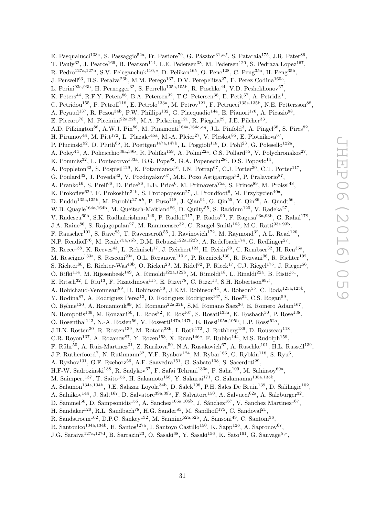E. Pasqualucci<sup>133a</sup>, S. Passaggio<sup>52a</sup>, Fr. Pastore<sup>79</sup>, G. Pásztor<sup>31,af</sup>, S. Pataraia<sup>175</sup>, J.R. Pater<sup>86</sup>, T. Pauly<sup>32</sup>, J. Pearce<sup>169</sup>, B. Pearson<sup>114</sup>, L.E. Pedersen<sup>38</sup>, M. Pedersen<sup>120</sup>, S. Pedraza Lopez<sup>167</sup>, R. Pedro<sup>127a,127b</sup>, S.V. Peleganchuk<sup>110,c</sup>, D. Pelikan<sup>165</sup>, O. Penc<sup>128</sup>, C. Peng<sup>35a</sup>, H. Peng<sup>35b</sup>, J. Penwell<sup>63</sup>, B.S. Peralva<sup>26b</sup>, M.M. Perego<sup>137</sup>, D.V. Perepelitsa<sup>27</sup>, E. Perez Codina<sup>160a</sup>, L. Perini<sup>93a,93b</sup>, H. Pernegger<sup>32</sup>, S. Perrella<sup>105a,105b</sup>, R. Peschke<sup>44</sup>, V.D. Peshekhonov<sup>67</sup>, K. Peters<sup>44</sup>, R.F.Y. Peters<sup>86</sup>, B.A. Petersen<sup>32</sup>, T.C. Petersen<sup>38</sup>, E. Petit<sup>57</sup>, A. Petridis<sup>1</sup>, C. Petridou<sup>155</sup>, P. Petroff<sup>118</sup>, E. Petrolo<sup>133a</sup>, M. Petrov<sup>121</sup>, F. Petrucci<sup>135a,135b</sup>, N.E. Pettersson<sup>88</sup>, A. Peyaud<sup>137</sup>, R. Pezoa<sup>34b</sup>, P.W. Phillips<sup>132</sup>, G. Piacquadio<sup>144</sup>, E. Pianori<sup>170</sup>, A. Picazio<sup>88</sup>, E. Piccaro<sup>78</sup>, M. Piccinini<sup>22a,22b</sup>, M.A. Pickering<sup>121</sup>, R. Piegaia<sup>29</sup>, J.E. Pilcher<sup>33</sup>, A.D. Pilkington<sup>86</sup>, A.W.J. Pin<sup>86</sup>, M. Pinamonti<sup>164a,164c,ag</sup>, J.L. Pinfold<sup>3</sup>, A. Pingel<sup>38</sup>, S. Pires<sup>82</sup>, H. Pirumov<sup>44</sup>, M. Pitt<sup>172</sup>, L. Plazak<sup>145a</sup>, M.-A. Pleier<sup>27</sup>, V. Pleskot<sup>85</sup>, E. Plotnikova<sup>67</sup>, P. Plucinski<sup>92</sup>, D. Pluth<sup>66</sup>, R. Poettgen<sup>147a,147b</sup>, L. Poggioli<sup>118</sup>, D. Pohl<sup>23</sup>, G. Polesello<sup>122a</sup>, A. Poley<sup>44</sup>, A. Policicchio<sup>39a,39b</sup>, R. Polifka<sup>159</sup>, A. Polini<sup>22a</sup>, C.S. Pollard<sup>55</sup>, V. Polychronakos<sup>27</sup>, K. Pommès<sup>32</sup>, L. Pontecorvo<sup>133a</sup>, B.G. Pope<sup>92</sup>, G.A. Popeneciu<sup>28c</sup>, D.S. Popovic<sup>14</sup>, A. Poppleton<sup>32</sup>, S. Pospisil<sup>129</sup>, K. Potamianos<sup>16</sup>, I.N. Potrap<sup>67</sup>, C.J. Potter<sup>30</sup>, C.T. Potter<sup>117</sup>, G. Poulard<sup>32</sup>, J. Poveda<sup>32</sup>, V. Pozdnyakov<sup>67</sup>, M.E. Pozo Astigarraga<sup>32</sup>, P. Pralavorio<sup>87</sup>, A. Pranko<sup>16</sup>, S. Prell<sup>66</sup>, D. Price<sup>86</sup>, L.E. Price<sup>6</sup>, M. Primavera<sup>75a</sup>, S. Prince<sup>89</sup>, M. Proissl<sup>48</sup>, K. Prokofiev<sup>62c</sup>, F. Prokoshin<sup>34b</sup>, S. Protopopescu<sup>27</sup>, J. Proudfoot<sup>6</sup>, M. Przybycien<sup>40a</sup>, D. Puddu<sup>135a,135b</sup>, M. Purohit<sup>27,ah</sup>, P. Puzo<sup>118</sup>, J. Qian<sup>91</sup>, G. Qin<sup>55</sup>, Y. Qin<sup>86</sup>, A. Quadt<sup>56</sup>, W.B. Quayle<sup>164a,164b</sup>, M. Queitsch-Maitland<sup>86</sup>, D. Quilty<sup>55</sup>, S. Raddum<sup>120</sup>, V. Radeka<sup>27</sup>, V. Radescu<sup>60b</sup>, S.K. Radhakrishnan<sup>149</sup>, P. Radloff<sup>117</sup>, P. Rados<sup>90</sup>, F. Ragusa<sup>93a,93b</sup>, G. Rahal<sup>178</sup>, J.A. Raine<sup>86</sup>, S. Rajagopalan<sup>27</sup>, M. Rammensee<sup>32</sup>, C. Rangel-Smith<sup>165</sup>, M.G. Ratti<sup>93a,93b</sup>, F. Rauscher<sup>101</sup>, S. Rave<sup>85</sup>, T. Ravenscroft<sup>55</sup>, I. Ravinovich<sup>172</sup>, M. Raymond<sup>32</sup>, A.L. Read<sup>120</sup>, N.P. Readioff<sup>76</sup>, M. Reale<sup>75a,75b</sup>, D.M. Rebuzzi<sup>122a,122b</sup>, A. Redelbach<sup>174</sup>, G. Redlinger<sup>27</sup>, R. Reece<sup>138</sup>, K. Reeves<sup>43</sup>, L. Rehnisch<sup>17</sup>, J. Reichert<sup>123</sup>, H. Reisin<sup>29</sup>, C. Rembser<sup>32</sup>, H. Ren<sup>35a</sup>, M. Rescigno<sup>133a</sup>, S. Resconi<sup>93a</sup>, O.L. Rezanova<sup>110,c</sup>, P. Reznicek<sup>130</sup>, R. Rezvani<sup>96</sup>, R. Richter<sup>102</sup>, S. Richter<sup>80</sup>, E. Richter-Was<sup>40b</sup>, O. Ricken<sup>23</sup>, M. Ridel<sup>82</sup>, P. Rieck<sup>17</sup>, C.J. Riegel<sup>175</sup>, J. Rieger<sup>56</sup>, O. Rifki<sup>114</sup>, M. Rijssenbeek<sup>149</sup>, A. Rimoldi<sup>122a,122b</sup>, M. Rimoldi<sup>18</sup>, L. Rinaldi<sup>22a</sup>, B. Ristić<sup>51</sup>, E. Ritsch<sup>32</sup>, I. Riu<sup>13</sup>, F. Rizatdinova<sup>115</sup>, E. Rizvi<sup>78</sup>, C. Rizzi<sup>13</sup>, S.H. Robertson<sup>89,1</sup>, A. Robichaud-Veronneau<sup>89</sup>, D. Robinson<sup>30</sup>, J.E.M. Robinson<sup>44</sup>, A. Robson<sup>55</sup>, C. Roda<sup>125a,125b</sup>, Y. Rodina<sup>87</sup>, A. Rodriguez Perez<sup>13</sup>, D. Rodriguez Rodriguez<sup>167</sup>, S. Roe<sup>32</sup>, C.S. Rogan<sup>59</sup>, O. Røhne<sup>120</sup>, A. Romaniouk<sup>99</sup>, M. Romano<sup>22a,22b</sup>, S.M. Romano Saez<sup>36</sup>, E. Romero Adam<sup>167</sup>, N. Rompotis<sup>139</sup>, M. Ronzani<sup>50</sup>, L. Roos<sup>82</sup>, E. Ros<sup>167</sup>, S. Rosati<sup>133a</sup>, K. Rosbach<sup>50</sup>, P. Rose<sup>138</sup>, O. Rosenthal<sup>142</sup>, N.-A. Rosien<sup>56</sup>, V. Rossetti<sup>147a,147b</sup>, E. Rossi<sup>105a,105b</sup>, L.P. Rossi<sup>52a</sup>, J.H.N. Rosten<sup>30</sup>, R. Rosten<sup>139</sup>, M. Rotaru<sup>28b</sup>, I. Roth<sup>172</sup>, J. Rothberg<sup>139</sup>, D. Rousseau<sup>118</sup>, C.R. Royon<sup>137</sup>, A. Rozanov<sup>87</sup>, Y. Rozen<sup>153</sup>, X. Ruan<sup>146c</sup>, F. Rubbo<sup>144</sup>, M.S. Rudolph<sup>159</sup>, F. Rühr<sup>50</sup>, A. Ruiz-Martinez<sup>31</sup>, Z. Rurikova<sup>50</sup>, N.A. Rusakovich<sup>67</sup>, A. Ruschke<sup>101</sup>, H.L. Russell<sup>139</sup>, J.P. Rutherfoord<sup>7</sup>, N. Ruthmann<sup>32</sup>, Y.F. Ryabov<sup>124</sup>, M. Rybar<sup>166</sup>, G. Rybkin<sup>118</sup>, S. Ryu<sup>6</sup>, A. Ryzhov<sup>131</sup>, G.F. Rzehorz<sup>56</sup>, A.F. Saavedra<sup>151</sup>, G. Sabato<sup>108</sup>, S. Sacerdoti<sup>29</sup>, H.F-W. Sadrozinski<sup>138</sup>, R. Sadykov<sup>67</sup>, F. Safai Tehrani<sup>133a</sup>, P. Saha<sup>109</sup>, M. Sahinsoy<sup>60a</sup>, M. Saimpert<sup>137</sup>, T. Saito<sup>156</sup>, H. Sakamoto<sup>156</sup>, Y. Sakurai<sup>171</sup>, G. Salamanna<sup>135a,135b</sup>, A. Salamon<sup>134a,134b</sup>, J.E. Salazar Loyola<sup>34b</sup>, D. Salek<sup>108</sup>, P.H. Sales De Bruin<sup>139</sup>, D. Salihagic<sup>102</sup>, A. Salnikov<sup>144</sup>, J. Salt<sup>167</sup>, D. Salvatore<sup>39a,39b</sup>, F. Salvatore<sup>150</sup>, A. Salvucci<sup>62a</sup>, A. Salzburger<sup>32</sup>, D. Sammel<sup>50</sup>, D. Sampsonidis<sup>155</sup>, A. Sanchez<sup>105a, 105b</sup>, J. Sánchez<sup>167</sup>, V. Sanchez Martinez<sup>167</sup>, H. Sandaker<sup>120</sup>, R.L. Sandbach<sup>78</sup>, H.G. Sander<sup>85</sup>, M. Sandhoff<sup>175</sup>, C. Sandoval<sup>21</sup>, R. Sandstroem<sup>102</sup>, D.P.C. Sankey<sup>132</sup>, M. Sannino<sup>52a,52b</sup>, A. Sansoni<sup>49</sup>, C. Santoni<sup>36</sup>, R. Santonico<sup>134a,134b</sup>, H. Santos<sup>127a</sup>, I. Santoyo Castillo<sup>150</sup>, K. Sapp<sup>126</sup>, A. Sapronov<sup>67</sup>,

J.G. Saraiva<sup>127a,127d</sup>, B. Sarrazin<sup>23</sup>, O. Sasaki<sup>68</sup>, Y. Sasaki<sup>156</sup>, K. Sato<sup>161</sup>, G. Sauvage<sup>5,\*</sup>,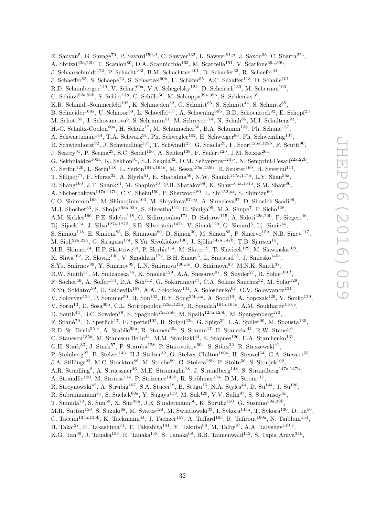E. Sauvan<sup>5</sup>, G. Savage<sup>79</sup>, P. Savard<sup>159,d</sup>, C. Sawyer<sup>132</sup>, L. Sawyer<sup>81,p</sup>, J. Saxon<sup>33</sup>, C. Sbarra<sup>22a</sup>, A. Sbrizzi<sup>22a,22b</sup>, T. Scanlon<sup>80</sup>, D.A. Scannicchio<sup>163</sup>, M. Scarcella<sup>151</sup>, V. Scarfone<sup>39a,39b</sup>, J. Schaarschmidt<sup>172</sup>, P. Schacht<sup>102</sup>, B.M. Schachtner<sup>101</sup>, D. Schaefer<sup>32</sup>, R. Schaefer<sup>44</sup>, J. Schaeffer<sup>85</sup>, S. Schaepe<sup>23</sup>, S. Schaetzel<sup>60b</sup>, U. Schäfer<sup>85</sup>, A.C. Schaffer<sup>118</sup>, D. Schaile<sup>101</sup>, R.D. Schamberger<sup>149</sup>, V. Scharf<sup>60a</sup>, V.A. Schegelsky<sup>124</sup>, D. Scheirich<sup>130</sup>, M. Schernau<sup>163</sup>, C. Schiavi<sup>52a,52b</sup>, S. Schier<sup>138</sup>, C. Schillo<sup>50</sup>, M. Schioppa<sup>39a,39b</sup>, S. Schlenker<sup>32</sup>, K.R. Schmidt-Sommerfeld<sup>102</sup>, K. Schmieden<sup>32</sup>, C. Schmitt<sup>85</sup>, S. Schmitt<sup>44</sup>, S. Schmitz<sup>85</sup>, B. Schneider<sup>160a</sup>, U. Schnoor<sup>50</sup>, L. Schoeffel<sup>137</sup>, A. Schoening<sup>60b</sup>, B.D. Schoenrock<sup>92</sup>, E. Schopf<sup>23</sup>, M. Schott<sup>85</sup>, J. Schovancova<sup>8</sup>, S. Schramm<sup>51</sup>, M. Schreyer<sup>174</sup>, N. Schuh<sup>85</sup>, M.J. Schultens<sup>23</sup>, H.-C. Schultz-Coulon<sup>60a</sup>, H. Schulz<sup>17</sup>, M. Schumacher<sup>50</sup>, B.A. Schumm<sup>138</sup>, Ph. Schune<sup>137</sup>, A. Schwartzman<sup>144</sup>, T.A. Schwarz<sup>91</sup>, Ph. Schwegler<sup>102</sup>, H. Schweiger<sup>86</sup>, Ph. Schwemling<sup>137</sup>, R. Schwienhorst<sup>92</sup>, J. Schwindling<sup>137</sup>, T. Schwindt<sup>23</sup>, G. Sciolla<sup>25</sup>, F. Scuri<sup>125a,125b</sup>, F. Scutti<sup>90</sup>, J. Searcy<sup>91</sup>, P. Seema<sup>23</sup>, S.C. Seidel<sup>106</sup>, A. Seiden<sup>138</sup>, F. Seifert<sup>129</sup>, J.M. Seixas<sup>26a</sup>, G. Sekhniaidze<sup>105a</sup>, K. Sekhon<sup>91</sup>, S.J. Sekula<sup>42</sup>, D.M. Seliverstov<sup>124,\*</sup>, N. Semprini-Cesari<sup>22a,22b</sup>, C. Serfon<sup>120</sup>, L. Serin<sup>118</sup>, L. Serkin<sup>164a, 164b</sup>, M. Sessa<sup>135a, 135b</sup>, R. Seuster<sup>169</sup>, H. Severini<sup>114</sup>, T. Sfiligoj<sup>77</sup>, F. Sforza<sup>32</sup>, A. Sfyrla<sup>51</sup>, E. Shabalina<sup>56</sup>, N.W. Shaikh<sup>147a,147b</sup>, L.Y. Shan<sup>35a</sup>, R. Shang<sup>166</sup>, J.T. Shank<sup>24</sup>, M. Shapiro<sup>16</sup>, P.B. Shatalov<sup>98</sup>, K. Shaw<sup>164a,164b</sup>, S.M. Shaw<sup>86</sup>, A. Shcherbakova<sup>147a,147b</sup>, C.Y. Shehu<sup>150</sup>, P. Sherwood<sup>80</sup>, L. Shi<sup>152,*ai*</sup>, S. Shimizu<sup>69</sup>, C.O. Shimmin<sup>163</sup>, M. Shimojima<sup>103</sup>, M. Shiyakova<sup>67,aj</sup>, A. Shmeleva<sup>97</sup>, D. Shoaleh Saadi<sup>96</sup>, M.J. Shochet<sup>33</sup>, S. Shojaii<sup>93a,93b</sup>, S. Shrestha<sup>112</sup>, E. Shulga<sup>99</sup>, M.A. Shupe<sup>7</sup>, P. Sicho<sup>128</sup>, A.M. Sickles<sup>166</sup>, P.E. Sidebo<sup>148</sup>, O. Sidiropoulou<sup>174</sup>, D. Sidorov<sup>115</sup>, A. Sidoti<sup>22a,22b</sup>, F. Siegert<sup>46</sup>, Dj. Sijacki<sup>14</sup>, J. Silva<sup>127a,127d</sup>, S.B. Silverstein<sup>147a</sup>, V. Simak<sup>129</sup>, O. Simard<sup>5</sup>, Lj. Simic<sup>14</sup>, S. Simion<sup>118</sup>, E. Simioni<sup>85</sup>, B. Simmons<sup>80</sup>, D. Simon<sup>36</sup>, M. Simon<sup>85</sup>, P. Sinervo<sup>159</sup>, N.B. Sinev<sup>117</sup>, M. Sioli<sup>22a,22b</sup>, G. Siragusa<sup>174</sup>, S.Yu. Sivoklokov<sup>100</sup>, J. Sjölin<sup>147a,147b</sup>, T.B. Sjursen<sup>15</sup>, M.B. Skinner<sup>74</sup>, H.P. Skottowe<sup>59</sup>, P. Skubic<sup>114</sup>, M. Slater<sup>19</sup>, T. Slavicek<sup>129</sup>, M. Slawinska<sup>108</sup>, K. Sliwa<sup>162</sup>, R. Slovak<sup>130</sup>, V. Smakhtin<sup>172</sup>, B.H. Smart<sup>5</sup>, L. Smestad<sup>15</sup>, J. Smiesko<sup>145a</sup>, S.Yu. Smirnov<sup>99</sup>, Y. Smirnov<sup>99</sup>, L.N. Smirnova<sup>100,ak</sup>, O. Smirnova<sup>83</sup>, M.N.K. Smith<sup>37</sup>, R.W. Smith<sup>37</sup>, M. Smizanska<sup>74</sup>, K. Smolek<sup>129</sup>, A.A. Snesarev<sup>97</sup>, S. Snyder<sup>27</sup>, R. Sobie<sup>169,*l*</sup>, F. Socher<sup>46</sup>, A. Soffer<sup>154</sup>, D.A. Soh<sup>152</sup>, G. Sokhrannyi<sup>77</sup>, C.A. Solans Sanchez<sup>32</sup>, M. Solar<sup>129</sup>, E.Yu. Soldatov<sup>99</sup>, U. Soldevila<sup>167</sup>, A.A. Solodkov<sup>131</sup>, A. Soloshenko<sup>67</sup>, O.V. Solovyanov<sup>131</sup>, V. Solovyev<sup>124</sup>, P. Sommer<sup>50</sup>, H. Son<sup>162</sup>, H.Y. Song<sup>35b,aa</sup>, A. Sood<sup>16</sup>, A. Sopczak<sup>129</sup>, V. Sopko<sup>129</sup>, V. Sorin<sup>13</sup>, D. Sosa<sup>60b</sup>, C.L. Sotiropoulou<sup>125a,125b</sup>, R. Soualah<sup>164a,164c</sup>, A.M. Soukharev<sup>110,c</sup>, D. South<sup>44</sup>, B.C. Sowden<sup>79</sup>, S. Spagnolo<sup>75a,75b</sup>, M. Spalla<sup>125a,125b</sup>, M. Spangenberg<sup>170</sup>, F. Spanò<sup>79</sup>, D. Sperlich<sup>17</sup>, F. Spettel<sup>102</sup>, R. Spighi<sup>22a</sup>, G. Spigo<sup>32</sup>, L.A. Spiller<sup>90</sup>, M. Spousta<sup>130</sup>, R.D. St. Denis<sup>55,\*</sup>, A. Stabile<sup>93a</sup>, R. Stamen<sup>60a</sup>, S. Stamm<sup>17</sup>, E. Stanecka<sup>41</sup>, R.W. Stanek<sup>6</sup>, C. Stanescu<sup>135a</sup>, M. Stanescu-Bellu<sup>44</sup>, M.M. Stanitzki<sup>44</sup>, S. Stapnes<sup>120</sup>, E.A. Starchenko<sup>131</sup>, G.H. Stark<sup>33</sup>, J. Stark<sup>57</sup>, P. Staroba<sup>128</sup>, P. Starovoitov<sup>60a</sup>, S. Stärz<sup>32</sup>, R. Staszewski<sup>41</sup>, P. Steinberg<sup>27</sup>, B. Stelzer<sup>143</sup>, H.J. Stelzer<sup>32</sup>, O. Stelzer-Chilton<sup>160a</sup>, H. Stenzel<sup>54</sup>, G.A. Stewart<sup>55</sup>, J.A. Stillings<sup>23</sup>, M.C. Stockton<sup>89</sup>, M. Stoebe<sup>89</sup>, G. Stoicea<sup>28b</sup>, P. Stolte<sup>56</sup>, S. Stonjek<sup>102</sup>, A.R. Stradling<sup>8</sup>, A. Straessner<sup>46</sup>, M.E. Stramaglia<sup>18</sup>, J. Strandberg<sup>148</sup>, S. Strandberg<sup>147a,147b</sup>, A. Strandlie<sup>120</sup>, M. Strauss<sup>114</sup>, P. Strizenec<sup>145b</sup>, R. Ströhmer<sup>174</sup>, D.M. Strom<sup>117</sup>, R. Stroynowski<sup>42</sup>, A. Strubig<sup>107</sup>, S.A. Stucci<sup>18</sup>, B. Stugu<sup>15</sup>, N.A. Styles<sup>44</sup>, D. Su<sup>144</sup>, J. Su<sup>126</sup>, R. Subramaniam<sup>81</sup>, S. Suchek<sup>60a</sup>, Y. Sugaya<sup>119</sup>, M. Suk<sup>129</sup>, V.V. Sulin<sup>97</sup>, S. Sultansoy<sup>4c</sup>, T. Sumida<sup>70</sup>, S. Sun<sup>59</sup>, X. Sun<sup>35a</sup>, J.E. Sundermann<sup>50</sup>, K. Suruliz<sup>150</sup>, G. Susinno<sup>39a,39b</sup>, M.R. Sutton<sup>150</sup>, S. Suzuki<sup>68</sup>, M. Svatos<sup>128</sup>, M. Swiatlowski<sup>33</sup>, I. Sykora<sup>145a</sup>, T. Sykora<sup>130</sup>, D. Ta<sup>50</sup>, C. Taccini<sup>135a, 135b</sup>, K. Tackmann<sup>44</sup>, J. Taenzer<sup>159</sup>, A. Taffard<sup>163</sup>, R. Tafirout<sup>160a</sup>, N. Taiblum<sup>154</sup>, H. Takai<sup>27</sup>, R. Takashima<sup>71</sup>, T. Takeshita<sup>141</sup>, Y. Takubo<sup>68</sup>, M. Talby<sup>87</sup>, A.A. Talyshev<sup>110,c</sup>,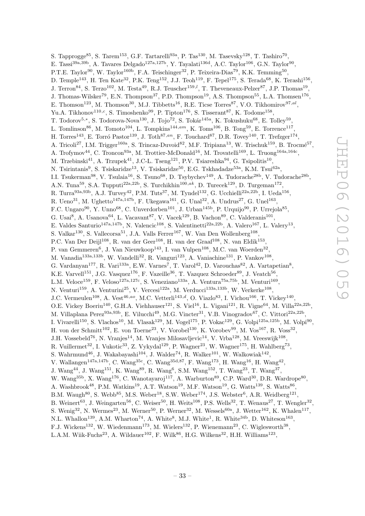S. Tapprogge<sup>85</sup>, S. Tarem<sup>153</sup>, G.F. Tartarelli<sup>93a</sup>, P. Tas<sup>130</sup>, M. Tasevsky<sup>128</sup>, T. Tashiro<sup>70</sup>, E. Tassi<sup>39a,39b</sup>, A. Tavares Delgado<sup>127a,127b</sup>, Y. Tayalati<sup>136d</sup>, A.C. Taylor<sup>106</sup>, G.N. Taylor<sup>90</sup>, P.T.E. Taylor<sup>90</sup>, W. Taylor<sup>160b</sup>, F.A. Teischinger<sup>32</sup>, P. Teixeira-Dias<sup>79</sup>, K.K. Temming<sup>50</sup>, D. Temple<sup>143</sup>, H. Ten Kate<sup>32</sup>, P.K. Teng<sup>152</sup>, J.J. Teoh<sup>119</sup>, F. Tepel<sup>175</sup>, S. Terada<sup>68</sup>, K. Terashi<sup>156</sup>, J. Terron<sup>84</sup>, S. Terzo<sup>102</sup>, M. Testa<sup>49</sup>, R.J. Teuscher<sup>159,*l*</sup>, T. Theveneaux-Pelzer<sup>87</sup>, J.P. Thomas<sup>19</sup>, J. Thomas-Wilsker<sup>79</sup>, E.N. Thompson<sup>37</sup>, P.D. Thompson<sup>19</sup>, A.S. Thompson<sup>55</sup>, L.A. Thomsen<sup>176</sup>, E. Thomson<sup>123</sup>, M. Thomson<sup>30</sup>, M.J. Tibbetts<sup>16</sup>, R.E. Ticse Torres<sup>87</sup>, V.O. Tikhomirov<sup>97,*al*</sup>, Yu.A. Tikhonov<sup>110,c</sup>, S. Timoshenko<sup>99</sup>, P. Tipton<sup>176</sup>, S. Tisserant<sup>87</sup>, K. Todome<sup>158</sup>, T. Todorov<sup>5,\*</sup>, S. Todorova-Nova<sup>130</sup>, J. Tojo<sup>72</sup>, S. Tokár<sup>145a</sup>, K. Tokushuku<sup>68</sup>, E. Tolley<sup>59</sup>, L. Tomlinson<sup>86</sup>, M. Tomoto<sup>104</sup>, L. Tompkins<sup>144,am</sup>, K. Toms<sup>106</sup>, B. Tong<sup>59</sup>, E. Torrence<sup>117</sup>, H. Torres<sup>143</sup>, E. Torró Pastor<sup>139</sup>, J. Toth<sup>87,an</sup>, F. Touchard<sup>87</sup>, D.R. Tovey<sup>140</sup>, T. Trefzger<sup>174</sup>, A. Tricoli<sup>27</sup>, I.M. Trigger<sup>160a</sup>, S. Trincaz-Duvoid<sup>82</sup>, M.F. Tripiana<sup>13</sup>, W. Trischuk<sup>159</sup>, B. Trocmé<sup>57</sup>, A. Trofymov<sup>44</sup>, C. Troncon<sup>93a</sup>, M. Trottier-McDonald<sup>16</sup>, M. Trovatelli<sup>169</sup>, L. Truong<sup>164a,164c</sup>, M. Trzebinski<sup>41</sup>, A. Trzupek<sup>41</sup>, J.C-L. Tseng<sup>121</sup>, P.V. Tsiareshka<sup>94</sup>, G. Tsipolitis<sup>10</sup>, N. Tsirintanis<sup>9</sup>, S. Tsiskaridze<sup>13</sup>, V. Tsiskaridze<sup>50</sup>, E.G. Tskhadadze<sup>53a</sup>, K.M. Tsui<sup>62a</sup>, I.I. Tsukerman<sup>98</sup>, V. Tsulaia<sup>16</sup>, S. Tsuno<sup>68</sup>, D. Tsybychev<sup>149</sup>, A. Tudorache<sup>28b</sup>, V. Tudorache<sup>28b</sup>, A.N. Tuna<sup>59</sup>, S.A. Tupputi<sup>22a,22b</sup>, S. Turchikhin<sup>100,ak</sup>, D. Turecek<sup>129</sup>, D. Turgeman<sup>172</sup>, R. Turra<sup>93a,93b</sup>, A.J. Turvey<sup>42</sup>, P.M. Tuts<sup>37</sup>, M. Tyndel<sup>132</sup>, G. Ucchielli<sup>22a,22b</sup>, I. Ueda<sup>156</sup>, R. Ueno<sup>31</sup>, M. Ughetto<sup>147a,147b</sup>, F. Ukegawa<sup>161</sup>, G. Unal<sup>32</sup>, A. Undrus<sup>27</sup>, G. Unel<sup>163</sup>, F.C. Ungaro<sup>90</sup>, Y. Unno<sup>68</sup>, C. Unverdorben<sup>101</sup>, J. Urban<sup>145b</sup>, P. Urquijo<sup>90</sup>, P. Urrejola<sup>85</sup>, G. Usai<sup>8</sup>, A. Usanova<sup>64</sup>, L. Vacavant<sup>87</sup>, V. Vacek<sup>129</sup>, B. Vachon<sup>89</sup>, C. Valderanis<sup>101</sup>, E. Valdes Santurio<sup>147a,147b</sup>, N. Valencic<sup>108</sup>, S. Valentinetti<sup>22a,22b</sup>, A. Valero<sup>167</sup>, L. Valery<sup>13</sup>, S. Valkar<sup>130</sup>, S. Vallecorsa<sup>51</sup>, J.A. Valls Ferrer<sup>167</sup>, W. Van Den Wollenberg<sup>108</sup>, P.C. Van Der Deijl $^{108}$ , R. van der Geer $^{108}$ , H. van der Graaf $^{108}$ , N. van Eldik $^{153}$ , P. van Gemmeren<sup>6</sup>, J. Van Nieuwkoop<sup>143</sup>, I. van Vulpen<sup>108</sup>, M.C. van Woerden<sup>32</sup>, M. Vanadia<sup>133a,133b</sup>, W. Vandelli<sup>32</sup>, R. Vanguri<sup>123</sup>, A. Vaniachine<sup>131</sup>, P. Vankov<sup>108</sup>, G. Vardanyan<sup>177</sup>, R. Vari<sup>133a</sup>, E.W. Varnes<sup>7</sup>, T. Varol<sup>42</sup>, D. Varouchas<sup>82</sup>, A. Vartapetian<sup>8</sup>, K.E. Varvell<sup>151</sup>, J.G. Vasquez<sup>176</sup>, F. Vazeille<sup>36</sup>, T. Vazquez Schroeder<sup>89</sup>, J. Veatch<sup>56</sup>, L.M. Veloce<sup>159</sup>, F. Veloso<sup>127a,127c</sup>, S. Veneziano<sup>133a</sup>, A. Ventura<sup>75a,75b</sup>, M. Venturi<sup>169</sup>, N. Venturi<sup>159</sup>, A. Venturini<sup>25</sup>, V. Vercesi<sup>122a</sup>, M. Verducci<sup>133a,133b</sup>, W. Verkerke<sup>108</sup>, J.C. Vermeulen<sup>108</sup>, A. Vest<sup>46,ao</sup>, M.C. Vetterli<sup>143,d</sup>, O. Viazlo<sup>83</sup>, I. Vichou<sup>166</sup>, T. Vickey<sup>140</sup>, O.E. Vickey Boeriu<sup>140</sup>, G.H.A. Viehhauser<sup>121</sup>, S. Viel<sup>16</sup>, L. Vigani<sup>121</sup>, R. Vigne<sup>64</sup>, M. Villa<sup>22a,22b</sup>, M. Villaplana Perez<sup>93a,93b</sup>, E. Vilucchi<sup>49</sup>, M.G. Vincter<sup>31</sup>, V.B. Vinogradov<sup>67</sup>, C. Vittori<sup>22a,22b</sup>, I. Vivarelli<sup>150</sup>, S. Vlachos<sup>10</sup>, M. Vlasak<sup>129</sup>, M. Vogel<sup>175</sup>, P. Vokac<sup>129</sup>, G. Volpi<sup>125a,125b</sup>, M. Volpi<sup>90</sup>, H. von der Schmitt<sup>102</sup>, E. von Toerne<sup>23</sup>, V. Vorobel<sup>130</sup>, K. Vorobev<sup>99</sup>, M. Vos<sup>167</sup>, R. Voss<sup>32</sup>, J.H. Vossebeld<sup>76</sup>, N. Vranjes<sup>14</sup>, M. Vranjes Milosavljevic<sup>14</sup>, V. Vrba<sup>128</sup>, M. Vreeswijk<sup>108</sup>, R. Vuillermet<sup>32</sup>, I. Vukotic<sup>33</sup>, Z. Vykydal<sup>129</sup>, P. Wagner<sup>23</sup>, W. Wagner<sup>175</sup>, H. Wahlberg<sup>73</sup>, S. Wahrmund<sup>46</sup>, J. Wakabayashi<sup>104</sup>, J. Walder<sup>74</sup>, R. Walker<sup>101</sup>, W. Walkowiak<sup>142</sup>, V. Wallangen<sup>147a,147b</sup>, C. Wang<sup>35c</sup>, C. Wang<sup>35d,87</sup>, F. Wang<sup>173</sup>, H. Wang<sup>16</sup>, H. Wang<sup>42</sup>, J. Wang<sup>44</sup>, J. Wang<sup>151</sup>, K. Wang<sup>89</sup>, R. Wang<sup>6</sup>, S.M. Wang<sup>152</sup>, T. Wang<sup>23</sup>, T. Wang<sup>37</sup>, W. Wang<sup>35b</sup>, X. Wang<sup>176</sup>, C. Wanotayaroj<sup>117</sup>, A. Warburton<sup>89</sup>, C.P. Ward<sup>30</sup>, D.R. Wardrope<sup>80</sup>, A. Washbrook<sup>48</sup>, P.M. Watkins<sup>19</sup>, A.T. Watson<sup>19</sup>, M.F. Watson<sup>19</sup>, G. Watts<sup>139</sup>, S. Watts<sup>86</sup>, B.M. Waugh<sup>80</sup>, S. Webb<sup>85</sup>, M.S. Weber<sup>18</sup>, S.W. Weber<sup>174</sup>, J.S. Webster<sup>6</sup>, A.R. Weidberg<sup>121</sup>, B. Weinert<sup>63</sup>, J. Weingarten<sup>56</sup>, C. Weiser<sup>50</sup>, H. Weits<sup>108</sup>, P.S. Wells<sup>32</sup>, T. Wenaus<sup>27</sup>, T. Wengler<sup>32</sup>, S. Wenig<sup>32</sup>, N. Wermes<sup>23</sup>, M. Werner<sup>50</sup>, P. Werner<sup>32</sup>, M. Wessels<sup>60a</sup>, J. Wetter<sup>162</sup>, K. Whalen<sup>117</sup>, N.L. Whallon<sup>139</sup>, A.M. Wharton<sup>74</sup>, A. White<sup>8</sup>, M.J. White<sup>1</sup>, R. White<sup>34b</sup>, D. Whiteson<sup>163</sup>, F.J. Wickens<sup>132</sup>, W. Wiedenmann<sup>173</sup>, M. Wielers<sup>132</sup>, P. Wienemann<sup>23</sup>, C. Wiglesworth<sup>38</sup>,

L.A.M. Wiik-Fuchs<sup>23</sup>, A. Wildauer<sup>102</sup>, F. Wilk<sup>86</sup>, H.G. Wilkens<sup>32</sup>, H.H. Williams<sup>123</sup>,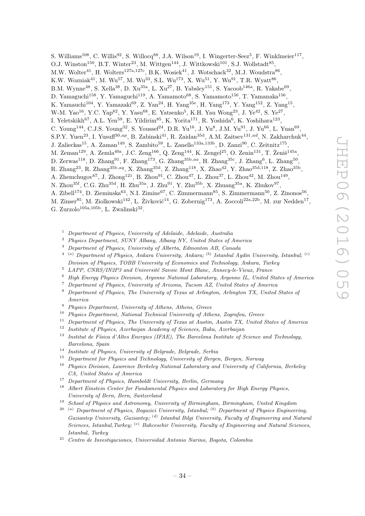S. Williams<sup>108</sup>, C. Willis<sup>92</sup>, S. Willocq<sup>88</sup>, J.A. Wilson<sup>19</sup>, I. Wingerter-Seez<sup>5</sup>, F. Winklmeier<sup>117</sup>, O.J. Winston<sup>150</sup>, B.T. Winter<sup>23</sup>, M. Wittgen<sup>144</sup>, J. Wittkowski<sup>101</sup>, S.J. Wollstadt<sup>85</sup>, M.W. Wolter<sup>41</sup>, H. Wolters<sup>127a,127c</sup>, B.K. Wosiek<sup>41</sup>, J. Wotschack<sup>32</sup>, M.J. Woudstra<sup>86</sup>, K.W. Wozniak<sup>41</sup>, M. Wu<sup>57</sup>, M. Wu<sup>33</sup>, S.L. Wu<sup>173</sup>, X. Wu<sup>51</sup>, Y. Wu<sup>91</sup>, T.R. Wyatt<sup>86</sup>, B.M. Wynne<sup>48</sup>, S. Xella<sup>38</sup>, D. Xu<sup>35a</sup>, L. Xu<sup>27</sup>, B. Yabsley<sup>151</sup>, S. Yacoob<sup>146a</sup>, R. Yakabe<sup>69</sup>, D. Yamaguchi<sup>158</sup>, Y. Yamaguchi<sup>119</sup>, A. Yamamoto<sup>68</sup>, S. Yamamoto<sup>156</sup>, T. Yamanaka<sup>156</sup>, K. Yamauchi<sup>104</sup>, Y. Yamazaki<sup>69</sup>, Z. Yan<sup>24</sup>, H. Yang<sup>35e</sup>, H. Yang<sup>173</sup>, Y. Yang<sup>152</sup>, Z. Yang<sup>15</sup>, W-M. Yao<sup>16</sup>, Y.C. Yap<sup>82</sup>, Y. Yasu<sup>68</sup>, E. Yatsenko<sup>5</sup>, K.H. Yau Wong<sup>23</sup>, J. Ye<sup>42</sup>, S. Ye<sup>27</sup>, I. Yeletskikh<sup>67</sup>, A.L. Yen<sup>59</sup>, E. Yildirim<sup>85</sup>, K. Yorita<sup>171</sup>, R. Yoshida<sup>6</sup>, K. Yoshihara<sup>123</sup>, C. Young<sup>144</sup>, C.J.S. Young<sup>32</sup>, S. Youssef<sup>24</sup>, D.R. Yu<sup>16</sup>, J. Yu<sup>8</sup>, J.M. Yu<sup>91</sup>, J. Yu<sup>66</sup>, L. Yuan<sup>69</sup>, S.P.Y. Yuen<sup>23</sup>, I. Yusuff<sup>30,ap</sup>, B. Zabinski<sup>41</sup>, R. Zaidan<sup>35d</sup>, A.M. Zaitsev<sup>131,ad</sup>, N. Zakharchuk<sup>44</sup>, J. Zalieckas<sup>15</sup>, A. Zaman<sup>149</sup>, S. Zambito<sup>59</sup>, L. Zanello<sup>133a,133b</sup>, D. Zanzi<sup>90</sup>, C. Zeitnitz<sup>175</sup>, M. Zeman<sup>129</sup>, A. Zemla<sup>40a</sup>, J.C. Zeng<sup>166</sup>, Q. Zeng<sup>144</sup>, K. Zengel<sup>25</sup>, O. Zenin<sup>131</sup>, T. Ženiš<sup>145a</sup>, D. Zerwas<sup>118</sup>, D. Zhang<sup>91</sup>, F. Zhang<sup>173</sup>, G. Zhang<sup>35b,aa</sup>, H. Zhang<sup>35c</sup>, J. Zhang<sup>6</sup>, L. Zhang<sup>50</sup>, R. Zhang<sup>23</sup>, R. Zhang<sup>35b,aq</sup>, X. Zhang<sup>35d</sup>, Z. Zhang<sup>118</sup>, X. Zhao<sup>42</sup>, Y. Zhao<sup>35d,118</sup>, Z. Zhao<sup>35b</sup>, A. Zhemchugov<sup>67</sup>, J. Zhong<sup>121</sup>, B. Zhou<sup>91</sup>, C. Zhou<sup>47</sup>, L. Zhou<sup>37</sup>, L. Zhou<sup>42</sup>, M. Zhou<sup>149</sup>, N. Zhou $^{35f}$ , C.G. Zhu $^{35d}$ , H. Zhu $^{35a}$ , J. Zhu $^{91}$ , Y. Zhu $^{35b}$ , X. Zhuang $^{35a}$ , K. Zhukov $^{97}$ , A. Zibell<sup>174</sup>, D. Zieminska<sup>63</sup>, N.I. Zimine<sup>67</sup>, C. Zimmermann<sup>85</sup>, S. Zimmermann<sup>50</sup>, Z. Zinonos<sup>56</sup>, M. Zinser<sup>85</sup>, M. Ziolkowski<sup>142</sup>, L. Živković<sup>14</sup>, G. Zobernig<sup>173</sup>, A. Zoccoli<sup>22a,22b</sup>, M. zur Nedden<sup>17</sup>,

G. Zurzolo<sup>105a, 105b</sup>, L. Zwalinski<sup>32</sup>.

- <sup>1</sup> Department of Physics, University of Adelaide, Adelaide, Australia
- <sup>2</sup> Physics Department, SUNY Albany, Albany NY, United States of America
- <sup>3</sup> Department of Physics, University of Alberta, Edmonton AB, Canada
- <sup>4</sup> <sup>(a)</sup> Department of Physics, Ankara University, Ankara; <sup>(b)</sup> Istanbul Aydin University, Istanbul; <sup>(c)</sup> Division of Physics, TOBB University of Economics and Technology, Ankara, Turkey
- $5$  LAPP, CNRS/IN2P3 and Université Savoie Mont Blanc, Annecy-le-Vieux, France
- <sup>6</sup> High Energy Physics Division, Argonne National Laboratory, Argonne IL, United States of America
- <sup>7</sup> Department of Physics, University of Arizona, Tucson AZ, United States of America
- <sup>8</sup> Department of Physics, The University of Texas at Arlington, Arlington TX, United States of America
- <sup>9</sup> Physics Department, University of Athens, Athens, Greece<br><sup>10</sup> Physics Department, National Technical University of Ath
- <sup>10</sup> Physics Department, National Technical University of Athens, Zografou, Greece
- $11$  Department of Physics, The University of Texas at Austin, Austin TX, United States of America
- <sup>12</sup> Institute of Physics, Azerbaijan Academy of Sciences, Baku, Azerbaijan
- $13$  Institut de Física d'Altes Energies (IFAE), The Barcelona Institute of Science and Technology, Barcelona, Spain
- <sup>14</sup> Institute of Physics, University of Belgrade, Belgrade, Serbia
- $15$  Department for Physics and Technology, University of Bergen, Bergen, Norway
- <sup>16</sup> Physics Division, Lawrence Berkeley National Laboratory and University of California, Berkeley CA, United States of America
- <sup>17</sup> Department of Physics, Humboldt University, Berlin, Germany
- <sup>18</sup> Albert Einstein Center for Fundamental Physics and Laboratory for High Energy Physics, University of Bern, Bern, Switzerland
- <sup>19</sup> School of Physics and Astronomy, University of Birmingham, Birmingham, United Kingdom
- $20$ <sup>(a)</sup> Department of Physics, Bogazici University, Istanbul; <sup>(b)</sup> Department of Physics Engineering, Gaziantep University, Gaziantep; <sup>(d)</sup> Istanbul Bilgi University, Faculty of Engineering and Natural Sciences, Istanbul,Turkey; <sup>(e)</sup> Bahcesehir University, Faculty of Engineering and Natural Sciences, Istanbul, Turkey
- <sup>21</sup> Centro de Investigaciones, Universidad Antonio Narino, Bogota, Colombia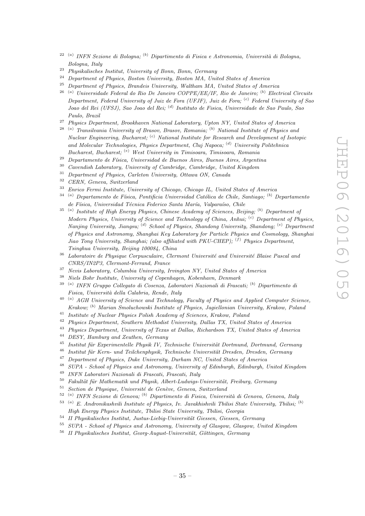- <sup>22 (a)</sup> INFN Sezione di Bologna; <sup>(b)</sup> Dipartimento di Fisica e Astronomia, Università di Bologna, Bologna, Italy
- <sup>23</sup> Physikalisches Institut, University of Bonn, Bonn, Germany
- <sup>24</sup> Department of Physics, Boston University, Boston MA, United States of America<sup>25</sup> Department of Physics Brandeis University Waltham MA, United States of Amer
- <sup>25</sup> Department of Physics, Brandeis University, Waltham MA, United States of America
- <sup>26 (a)</sup> Universidade Federal do Rio De Janeiro COPPE/EE/IF, Rio de Janeiro; <sup>(b)</sup> Electrical Circuits Department, Federal University of Juiz de Fora (UFJF), Juiz de Fora; <sup>(c)</sup> Federal University of Sao Joao del Rei (UFSJ), Sao Joao del Rei; <sup>(d)</sup> Instituto de Fisica, Universidade de Sao Paulo, Sao Paulo, Brazil
- <sup>27</sup> Physics Department, Brookhaven National Laboratory, Upton NY, United States of America
- <sup>28 (a)</sup> Transilvania University of Brasov, Brasov, Romania; <sup>(b)</sup> National Institute of Physics and Nuclear Engineering, Bucharest; <sup>(c)</sup> National Institute for Research and Development of Isotopic and Molecular Technologies, Physics Department, Cluj Napoca; <sup>(d)</sup> University Politehnica Bucharest, Bucharest; <sup>(e)</sup> West University in Timisoara, Timisoara, Romania
- <sup>29</sup> Departamento de Física, Universidad de Buenos Aires, Buenos Aires, Argentina
- $30$  Cavendish Laboratory, University of Cambridge, Cambridge, United Kingdom<br> $31$  Department of Physics, Cambridge University, Ottowe ON, Canada
- <sup>31</sup> Department of Physics, Carleton University, Ottawa ON, Canada<br><sup>32</sup> CEDN, Current Suite and and all the Suite of the Suite of the Suite of the Suite of the Suite of the Suite of the Suite of the Suite of the Suite of
- $rac{32}{33}$  CERN, Geneva, Switzerland
- <sup>33</sup> Enrico Fermi Institute, University of Chicago, Chicago IL, United States of America
- $34$ <sup>(a)</sup> Departamento de Física, Pontificia Universidad Católica de Chile, Santiago; <sup>(b)</sup> Departamento de Física, Universidad Técnica Federico Santa María, Valparaíso, Chile
- $35$ <sup>(a)</sup> Institute of High Energy Physics, Chinese Academy of Sciences, Beijing; <sup>(b)</sup> Department of Modern Physics, University of Science and Technology of China, Anhui;  $\binom{c}{r}$  Department of Physics, Nanjing University, Jiangsu; <sup>(d)</sup> School of Physics, Shandong University, Shandong; <sup>(e)</sup> Department of Physics and Astronomy, Shanghai Key Laboratory for Particle Physics and Cosmology, Shanghai Jiao Tong University, Shanghai; (also affiliated with PKU-CHEP);  $(f)$  Physics Department, Tsinghua University, Beijing 100084, China
- $36$  Laboratoire de Physique Corpusculaire, Clermont Université and Université Blaise Pascal and CNRS/IN2P3, Clermont-Ferrand, France
- $37$  Nevis Laboratory, Columbia University, Irvington NY, United States of America
- <sup>38</sup> Niels Bohr Institute, University of Copenhagen, Kobenhavn, Denmark
- <sup>39 (a)</sup> INFN Gruppo Collegato di Cosenza, Laboratori Nazionali di Frascati; <sup>(b)</sup> Dipartimento di Fisica, Università della Calabria, Rende, Italy
- $^{40}$ <sup>(a)</sup> AGH University of Science and Technology, Faculty of Physics and Applied Computer Science, Krakow; <sup>(b)</sup> Marian Smoluchowski Institute of Physics, Jagiellonian University, Krakow, Poland
- <sup>41</sup> Institute of Nuclear Physics Polish Academy of Sciences, Krakow, Poland
- <sup>42</sup> Physics Department, Southern Methodist University, Dallas TX, United States of America
- <sup>43</sup> Physics Department, University of Texas at Dallas, Richardson TX, United States of America
- <sup>44</sup> DESY, Hamburg and Zeuthen, Germany
- $^{45}$  Institut für Experimentelle Physik IV, Technische Universität Dortmund, Dortmund, Germany<br> $^{46}$  Institut für Kern, und Teilchennbusik, Technische Universität Dreeden, Dreeden, Germany
- <sup>46</sup> Institut für Kern- und Teilchenphysik, Technische Universität Dresden, Dresden, Germany<br><sup>47</sup> Department of Physics, Duke University, Durham NG, United States of America
- <sup>47</sup> Department of Physics, Duke University, Durham NC, United States of America<br><sup>48</sup> SUDA School of Physics and Advances University of Elisband Editorial of
- <sup>48</sup> SUPA School of Physics and Astronomy, University of Edinburgh, Edinburgh, United Kingdom
- <sup>49</sup> INFN Laboratori Nazionali di Frascati, Frascati, Italy
- $50$  Fakultät für Mathematik und Physik, Albert-Ludwigs-Universität, Freiburg, Germany
- $51$  Section de Physique, Université de Genève, Geneva, Switzerland
- $52$ <sup>(a)</sup> INFN Sezione di Genova; <sup>(b)</sup> Dipartimento di Fisica, Università di Genova, Genova, Italy
- $53$ <sup>(a)</sup> E. Andronikashvili Institute of Physics, Iv. Javakhishvili Tbilisi State University, Tbilisi; <sup>(b)</sup> High Energy Physics Institute, Tbilisi State University, Tbilisi, Georgia
- $54$  II Physikalisches Institut, Justus-Liebig-Universität Giessen, Giessen, Germany
- <sup>55</sup> SUPA School of Physics and Astronomy, University of Glasgow, Glasgow, United Kingdom
- $56$  II Physikalisches Institut, Georg-August-Universität, Göttingen, Germany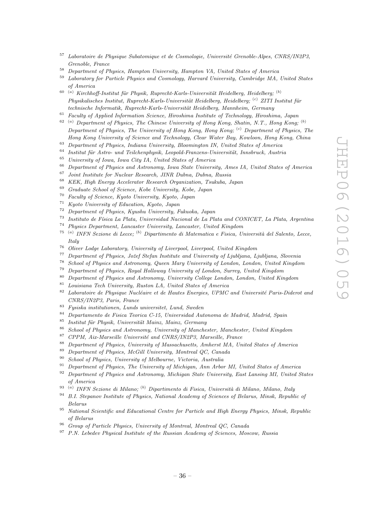- $57$  Laboratoire de Physique Subatomique et de Cosmologie, Université Grenoble-Alpes, CNRS/IN2P3, Grenoble, France
- <sup>58</sup> Department of Physics, Hampton University, Hampton VA, United States of America
- <sup>59</sup> Laboratory for Particle Physics and Cosmology, Harvard University, Cambridge MA, United States of America
- <sup>60 (a)</sup> Kirchhoff-Institut für Physik, Ruprecht-Karls-Universität Heidelberg, Heidelberg; <sup>(b)</sup> Physikalisches Institut, Ruprecht-Karls-Universität Heidelberg, Heidelberg; <sup>(c)</sup> ZITI Institut für technische Informatik, Ruprecht-Karls-Universität Heidelberg, Mannheim, Germany
- <sup>61</sup> Faculty of Applied Information Science, Hiroshima Institute of Technology, Hiroshima, Japan
- $62$  (a) Department of Physics, The Chinese University of Hong Kong, Shatin, N.T., Hong Kong;  $(b)$
- Department of Physics, The University of Hong Kong, Hong Kong; <sup>(c)</sup> Department of Physics, The Hong Kong University of Science and Technology, Clear Water Bay, Kowloon, Hong Kong, China
- <sup>63</sup> Department of Physics, Indiana University, Bloomington IN, United States of America
- <sup>64</sup> Institut für Astro- und Teilchenphysik, Leopold-Franzens-Universität, Innsbruck, Austria<br><sup>65</sup> University of Jeans Jeans City IA, United States of America
- <sup>65</sup> University of Iowa, Iowa City IA, United States of America<br><sup>66</sup> Department of Physics and Actronomy, Iowa State University
- <sup>66</sup> Department of Physics and Astronomy, Iowa State University, Ames IA, United States of America<br><sup>67</sup> Isint Institute for Nuclear Bessame, *HND* Dukas, Dukas, Puscis
- $^{67}$  Joint Institute for Nuclear Research, JINR Dubna, Dubna, Russia<br> $^{68}$  KEK, High France Assetunter Because Openingties, Turkek, J
- <sup>68</sup> KEK, High Energy Accelerator Research Organization, Tsukuba, Japan<br><sup>69</sup> Curricular School of Science Kehr Huisensity Kehr Japan
- <sup>69</sup> Graduate School of Science, Kobe University, Kobe, Japan<br><sup>70</sup> Encyclote Science, Kuoto University, Kuoto, Japan
- Faculty of Science, Kyoto University, Kyoto, Japan
- <sup>71</sup> Kyoto University of Education, Kyoto, Japan
- <sup>72</sup> Department of Physics, Kyushu University, Fukuoka, Japan
- $^{73}$  Instituto de Física La Plata, Universidad Nacional de La Plata and CONICET, La Plata, Argentina
- <sup>74</sup> Physics Department, Lancaster University, Lancaster, United Kingdom
- <sup>75 (a)</sup> INFN Sezione di Lecce; <sup>(b)</sup> Dipartimento di Matematica e Fisica, Università del Salento, Lecce, Italy
- <sup>76</sup> Oliver Lodge Laboratory, University of Liverpool, Liverpool, United Kingdom<br><sup>77</sup> Department of Physics, Jošef Stefan Institute and University of Livelians, L
- <sup>77</sup> Department of Physics, Jožef Stefan Institute and University of Ljubljana, Ljubljana, Slovenia<br><sup>78</sup> School of Physics and Actuarymy Queen Many University of Landan, Landan, United Kingdom
- <sup>78</sup> School of Physics and Astronomy, Queen Mary University of London, London, United Kingdom
- <sup>79</sup> Department of Physics, Royal Holloway University of London, Surrey, United Kingdom<br><sup>80</sup> Department of Physics and Astronomy, University College London, London, United King
- <sup>80</sup> Department of Physics and Astronomy, University College London, London, United Kingdom
- <sup>81</sup> Louisiana Tech University, Ruston LA, United States of America<br><sup>82</sup> Loharataine de Physique Nuelásine et de Heytes Energies, UPMC
- Laboratoire de Physique Nucléaire et de Hautes Energies, UPMC and Université Paris-Diderot and CNRS/IN2P3, Paris, France
- <sup>83</sup> Fysiska institutionen, Lunds universitet, Lund, Sweden
- <sup>84</sup> Departamento de Fisica Teorica C-15, Universidad Autonoma de Madrid, Madrid, Spain
- $85$  Institut für Physik, Universität Mainz, Mainz, Germany
- <sup>86</sup> School of Physics and Astronomy, University of Manchester, Manchester, United Kingdom
- $87$  CPPM, Aix-Marseille Université and CNRS/IN2P3, Marseille, France
- <sup>88</sup> Department of Physics, University of Massachusetts, Amherst MA, United States of America<br><sup>89</sup> Department of Physics, McCill University, Montreal OC, Canada
- <sup>89</sup> Department of Physics, McGill University, Montreal QC, Canada<br><sup>90</sup> School of Physics, University of Melbourne, Victoria, Australia
- <sup>90</sup> School of Physics, University of Melbourne, Victoria, Australia
- <sup>91</sup> Department of Physics, The University of Michigan, Ann Arbor MI, United States of America<br><sup>92</sup> Department of Physics and Astronomy, Michigan State University, East Langing MI, United St
- <sup>92</sup> Department of Physics and Astronomy, Michigan State University, East Lansing MI, United States of America
- <sup>93 (a)</sup> INFN Sezione di Milano; <sup>(b)</sup> Dipartimento di Fisica, Università di Milano, Milano, Italy
- <sup>94</sup> B.I. Stepanov Institute of Physics, National Academy of Sciences of Belarus, Minsk, Republic of Belarus
- <sup>95</sup> National Scientific and Educational Centre for Particle and High Energy Physics, Minsk, Republic of Belarus
- <sup>96</sup> Group of Particle Physics, University of Montreal, Montreal QC, Canada
- $97$  P.N. Lebedev Physical Institute of the Russian Academy of Sciences, Moscow, Russia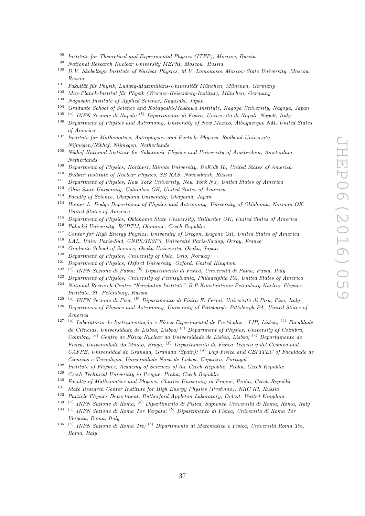- <sup>98</sup> Institute for Theoretical and Experimental Physics (ITEP), Moscow, Russia
- <sup>99</sup> National Research Nuclear University MEPhI, Moscow, Russia<br><sup>100</sup> D.V. Skobeltsup Institute of Nuclear Physics, M.V. Lomonosov
- <sup>100</sup> D.V. Skobeltsyn Institute of Nuclear Physics, M.V. Lomonosov Moscow State University, Moscow, Russia
- $101$  Fakultät für Physik, Ludwig-Maximilians-Universität München, München, Germany
- $102$  Max-Planck-Institut für Physik (Werner-Heisenberg-Institut), München, Germany
- <sup>103</sup> Nagasaki Institute of Applied Science, Nagasaki, Japan<br><sup>104</sup> Curricute School of Science and Kahmati, Markana In
- <sup>104</sup> Graduate School of Science and Kobayashi-Maskawa Institute, Nagoya University, Nagoya, Japan
- 105 ( <sup>a)</sup> INFN Sezione di Napoli; <sup>(b)</sup> Dipartimento di Fisica, Università di Napoli, Napoli, Italy
- <sup>106</sup> Department of Physics and Astronomy, University of New Mexico, Albuquerque NM, United States of America
- $107$  Institute for Mathematics, Astrophysics and Particle Physics, Radboud University Nijmegen/Nikhef, Nijmegen, Netherlands
- <sup>108</sup> Nikhef National Institute for Subatomic Physics and University of Amsterdam, Amsterdam, Netherlands
- <sup>109</sup> Department of Physics, Northern Illinois University, DeKalb IL, United States of America<br><sup>110</sup> Pushan Institute of Nuclear Physics, SP PAS, Neugalianh, Puscia
- <sup>110</sup> Budker Institute of Nuclear Physics, SB RAS, Novosibirsk, Russia<br><sup>111</sup> Danmark of Physics, New York Histography New York NY Hait
- <sup>111</sup> Department of Physics, New York University, New York NY, United States of America<br><sup>112</sup> Okia State University, Columbus OH, United States of America
- <sup>112</sup> Ohio State University, Columbus OH, United States of America<br><sup>113</sup> Excelly of Science, Okayama University, Okayama, Japan
- <sup>113</sup> Faculty of Science, Okayama University, Okayama, Japan
- <sup>114</sup> Homer L. Dodge Department of Physics and Astronomy, University of Oklahoma, Norman OK, United States of America
- <sup>115</sup> Department of Physics, Oklahoma State University, Stillwater OK, United States of America
- <sup>116</sup> Palacký University, RCPTM, Olomouc, Czech Republic  $\frac{117}{117}$  Center for *High Francy Physics*, *Hoisemity of Oregon*
- <sup>117</sup> Center for High Energy Physics, University of Oregon, Eugene OR, United States of America<br><sup>118</sup>  $I A I$  University Sead CNDS (Integrated Paris Sockey Oregu France
- LAL, Univ. Paris-Sud, CNRS/IN2P3, Université Paris-Saclay, Orsay, France
- <sup>119</sup> Graduate School of Science, Osaka University, Osaka, Japan<br><sup>120</sup> Department of Physics University of Oslo, Oslo, Namuay
- <sup>120</sup> Department of Physics, University of Oslo, Oslo, Norway<br><sup>121</sup> Department of Physics, Orford University, Orford, United
- <sup>121</sup> Department of Physics, Oxford University, Oxford, United Kingdom
- $122$ <sup>(a)</sup> INFN Sezione di Pavia; <sup>(b)</sup> Dipartimento di Fisica, Università di Pavia, Pavia, Italy
- <sup>123</sup> Department of Physics, University of Pennsylvania, Philadelphia PA, United States of America
- <sup>124</sup> National Research Centre "Kurchatov Institute" B.P.Konstantinov Petersburg Nuclear Physics Institute, St. Petersburg, Russia
- $125$ <sup>(a)</sup> INFN Sezione di Pisa; <sup>(b)</sup> Dipartimento di Fisica E. Fermi, Università di Pisa, Pisa, Italy
- <sup>126</sup> Department of Physics and Astronomy, University of Pittsburgh, Pittsburgh PA, United States of America
- <sup>127 (a)</sup> Laboratório de Instrumentação e Física Experimental de Partículas LIP, Lisboa; <sup>(b)</sup> Faculdade de Ciências, Universidade de Lisboa, Lisboa; <sup>(c)</sup> Department of Physics, University of Coimbra, Coimbra; <sup>(d)</sup> Centro de Física Nuclear da Universidade de Lisboa, Lisboa; <sup>(e)</sup> Departamento de Fisica, Universidade do Minho, Braga; <sup>(f)</sup> Departamento de Fisica Teorica y del Cosmos and CAFPE, Universidad de Granada, Granada (Spain); <sup>(g)</sup> Dep Fisica and CEFITEC of Faculdade de Ciencias e Tecnologia, Universidade Nova de Lisboa, Caparica, Portugal
- <sup>128</sup> Institute of Physics, Academy of Sciences of the Czech Republic, Praha, Czech Republic<br><sup>129</sup> Currl Technical University in Partner, Public Currl Pupplic, Praha, Czech Republic
- <sup>129</sup> Czech Technical University in Prague, Praha, Czech Republic  $^{130}$  Executive of Mathematics and Physics Charles University in B
- <sup>130</sup> Faculty of Mathematics and Physics, Charles University in Prague, Praha, Czech Republic
- <sup>131</sup> State Research Center Institute for High Energy Physics (Protvino), NRC KI, Russia
- <sup>132</sup> Particle Physics Department, Rutherford Appleton Laboratory, Didcot, United Kingdom
- <sup>133 (a)</sup> INFN Sezione di Roma; <sup>(b)</sup> Dipartimento di Fisica, Sapienza Università di Roma, Roma, Italy
- <sup>134 (a)</sup> INFN Sezione di Roma Tor Vergata; <sup>(b)</sup> Dipartimento di Fisica, Università di Roma Tor Vergata, Roma, Italy
- <sup>135 (a)</sup> INFN Sezione di Roma Tre; <sup>(b)</sup> Dipartimento di Matematica e Fisica, Università Roma Tre, Roma, Italy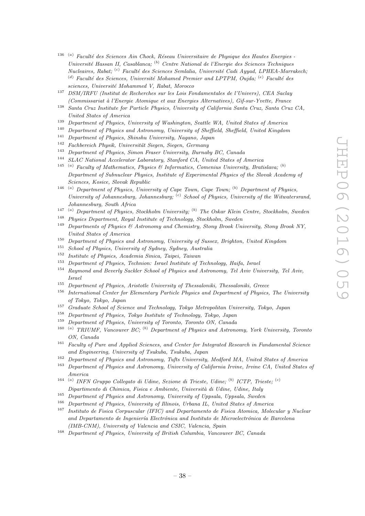- $136$ <sup>(a)</sup> Faculté des Sciences Ain Chock, Réseau Universitaire de Physique des Hautes Energies -Université Hassan II, Casablanca; <sup>(b)</sup> Centre National de l'Energie des Sciences Techniques Nucleaires, Rabat; <sup>(c)</sup> Faculté des Sciences Semlalia, Université Cadi Ayyad, LPHEA-Marrakech; (d) Faculté des Sciences, Université Mohamed Premier and LPTPM, Oujda;  $(e)$  Faculté des sciences, Université Mohammed V, Rabat, Morocco
- <sup>137</sup> DSM/IRFU (Institut de Recherches sur les Lois Fondamentales de l'Univers), CEA Saclay (Commissariat `a l'Energie Atomique et aux Energies Alternatives), Gif-sur-Yvette, France
- <sup>138</sup> Santa Cruz Institute for Particle Physics, University of California Santa Cruz, Santa Cruz CA, United States of America
- <sup>139</sup> Department of Physics, University of Washington, Seattle WA, United States of America
- <sup>140</sup> Department of Physics and Astronomy, University of Sheffield, Sheffield, United Kingdom<br><sup>141</sup> Department of Physics Shinghy University Negation Jensen
- <sup>141</sup> Department of Physics, Shinshu University, Nagano, Japan
- $142$  Fachbereich Physik, Universität Siegen, Siegen, Germany
- <sup>143</sup> Department of Physics, Simon Fraser University, Burnaby BC, Canada<br><sup>144</sup> SLAC National Assolution Lehenstern, Stanford CA, United States of the
- <sup>144</sup> SLAC National Accelerator Laboratory, Stanford CA, United States of America
- <sup>145</sup><sup>(a)</sup> Faculty of Mathematics, Physics & Informatics, Comenius University, Bratislava; <sup>(b)</sup> Department of Subnuclear Physics, Institute of Experimental Physics of the Slovak Academy of Sciences, Kosice, Slovak Republic
- <sup>146</sup><sup>(a)</sup> Department of Physics, University of Cape Town, Cape Town;<sup>(b)</sup> Department of Physics, University of Johannesburg, Johannesburg;  $\left( \text{c} \right)$  School of Physics, University of the Witwatersrand, Johannesburg, South Africa
- $147$ <sup>(a)</sup> Department of Physics, Stockholm University; <sup>(b)</sup> The Oskar Klein Centre, Stockholm, Sweden
- <sup>148</sup> Physics Department, Royal Institute of Technology, Stockholm, Sweden
- <sup>149</sup> Departments of Physics & Astronomy and Chemistry, Stony Brook University, Stony Brook NY, United States of America
- <sup>150</sup> Department of Physics and Astronomy, University of Sussex, Brighton, United Kingdom
- <sup>151</sup> School of Physics, University of Sydney, Sydney, Australia<br><sup>152</sup> Institute of Physics, Academia Sinics, Tringi, Trinuan
- <sup>152</sup> Institute of Physics, Academia Sinica, Taipei, Taiwan<br><sup>153</sup> Depertment of Physics, Technism, Israel Institute of C
- <sup>153</sup> Department of Physics, Technion: Israel Institute of Technology, Haifa, Israel
- <sup>154</sup> Raymond and Beverly Sackler School of Physics and Astronomy, Tel Aviv University, Tel Aviv, Israel
- <sup>155</sup> Department of Physics, Aristotle University of Thessaloniki, Thessaloniki, Greece<br><sup>156</sup> International Contag Fundation: Portiola Physics and Department of Physics
- <sup>156</sup> International Center for Elementary Particle Physics and Department of Physics, The University of Tokyo, Tokyo, Japan
- <sup>157</sup> Graduate School of Science and Technology, Tokyo Metropolitan University, Tokyo, Japan
- <sup>158</sup> Department of Physics, Tokyo Institute of Technology, Tokyo, Japan
- <sup>159</sup> Department of Physics, University of Toronto, Toronto ON, Canada
- <sup>160 (a)</sup> TRIUMF, Vancouver BC; <sup>(b)</sup> Department of Physics and Astronomy, York University, Toronto ON, Canada
- <sup>161</sup> Faculty of Pure and Applied Sciences, and Center for Integrated Research in Fundamental Science and Engineering, University of Tsukuba, Tsukuba, Japan
- <sup>162</sup> Department of Physics and Astronomy, Tufts University, Medford MA, United States of America<br><sup>163</sup> Department of Physics and Astronomy, University of Colifornia India, India, CA, United States
- <sup>163</sup> Department of Physics and Astronomy, University of California Irvine, Irvine CA, United States of America
- <sup>164 (a)</sup> INFN Gruppo Collegato di Udine, Sezione di Trieste, Udine; <sup>(b)</sup> ICTP, Trieste; <sup>(c)</sup> Dipartimento di Chimica, Fisica e Ambiente, Università di Udine, Udine, Italy
- <sup>165</sup> Department of Physics and Astronomy, University of Uppsala, Uppsala, Sweden
- <sup>166</sup> Department of Physics, University of Illinois, Urbana IL, United States of America
- <sup>167</sup> Instituto de Fisica Corpuscular (IFIC) and Departamento de Fisica Atomica, Molecular y Nuclear and Departamento de Ingeniería Electrónica and Instituto de Microelectrónica de Barcelona (IMB-CNM), University of Valencia and CSIC, Valencia, Spain
- <sup>168</sup> Department of Physics, University of British Columbia, Vancouver BC, Canada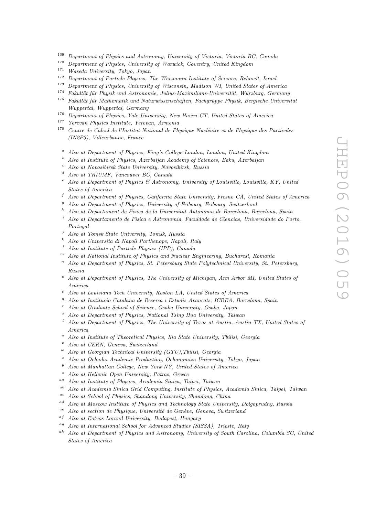- <sup>169</sup> Department of Physics and Astronomy, University of Victoria, Victoria BC, Canada<br><sup>170</sup> Department of Physics University of Wanwick Country, United Kingdom
- <sup>170</sup> Department of Physics, University of Warwick, Coventry, United Kingdom<br><sup>171</sup> Wasada University Tabya, Japan
- <sup>171</sup> Waseda University, Tokyo, Japan<br><sup>172</sup> Department of Particle Physics 5
- <sup>172</sup> Department of Particle Physics, The Weizmann Institute of Science, Rehovot, Israel<br><sup>173</sup> Department of Physics, University of Wissensin, Madison WI, United States of Amer
- <sup>173</sup> Department of Physics, University of Wisconsin, Madison WI, United States of America<br><sup>174</sup> Eshaltät für Physik und Actronomie, Julius Maximilians-Universität, Würzburg German
- <sup>174</sup> Fakultät für Physik und Astronomie, Julius-Maximilians-Universität, Würzburg, Germany<br><sup>175</sup> Fakultät für Mathematik und Naturwissenschaften, Facharunne Phusik, Bergische Universi
- $Fakultät für Mathematik und Naturwissenschaften, Fachgruppe Physik, Bergische Universität$ Wuppertal, Wuppertal, Germany
- <sup>176</sup> Department of Physics, Yale University, New Haven CT, United States of America
- <sup>177</sup> Yerevan Physics Institute, Yerevan, Armenia
- $178$  Centre de Calcul de l'Institut National de Physique Nucléaire et de Physique des Particules (IN2P3), Villeurbanne, France
	- <sup>a</sup> Also at Department of Physics, King's College London, London, United Kingdom<br> $\frac{b}{a}$  Also at Institute of Physics, Agentaion, Agedomy of Sciences, Pelu, Agentaion
	- <sup>b</sup> Also at Institute of Physics, Azerbaijan Academy of Sciences, Baku, Azerbaijan
	- <sup>c</sup> Also at Novosibirsk State University, Novosibirsk, Russia
	- <sup>d</sup> Also at TRIUMF, Vancouver BC, Canada
	- <sup>e</sup> Also at Department of Physics & Astronomy, University of Louisville, Louisville, KY, United States of America
	- <sup>f</sup> Also at Department of Physics, California State University, Fresno CA, United States of America
	- <sup>9</sup> Also at Department of Physics, University of Fribourg, Fribourg, Switzerland
	- <sup>h</sup> Also at Departament de Fisica de la Universitat Autonoma de Barcelona, Barcelona, Spain
	- <sup>i</sup> Also at Departamento de Fisica e Astronomia, Faculdade de Ciencias, Universidade do Porto, Portugal
	- <sup>j</sup> Also at Tomsk State University, Tomsk, Russia
	- <sup>k</sup> Also at Universita di Napoli Parthenope, Napoli, Italy
	- <sup>l</sup> Also at Institute of Particle Physics (IPP), Canada
	- <sup>m</sup> Also at National Institute of Physics and Nuclear Engineering, Bucharest, Romania
	- $n$  Also at Department of Physics, St. Petersburg State Polytechnical University, St. Petersburg, Russia
	- $\degree$  Also at Department of Physics, The University of Michigan, Ann Arbor MI, United States of America
	- <sup>p</sup> Also at Louisiana Tech University, Ruston LA, United States of America
	- <sup>q</sup> Also at Institucio Catalana de Recerca i Estudis Avancats, ICREA, Barcelona, Spain
	- <sup>r</sup> Also at Graduate School of Science, Osaka University, Osaka, Japan
	- Also at Department of Physics, National Tsing Hua University, Taiwan
	- <sup>t</sup> Also at Department of Physics, The University of Texas at Austin, Austin TX, United States of America
	- <sup>u</sup> Also at Institute of Theoretical Physics, Ilia State University, Tbilisi, Georgia
	- Also at CERN, Geneva, Switzerland
	- <sup>w</sup> Also at Georgian Technical University (GTU),Tbilisi, Georgia
	- <sup>x</sup> Also at Ochadai Academic Production, Ochanomizu University, Tokyo, Japan
	- Also at Manhattan College, New York NY, United States of America
- <sup>z</sup> Also at Hellenic Open University, Patras, Greece
- <sup>aa</sup> Also at Institute of Physics, Academia Sinica, Taipei, Taiwan
- ab Also at Academia Sinica Grid Computing, Institute of Physics, Academia Sinica, Taipei, Taiwan
- Also at School of Physics, Shandong University, Shandong, China
- <sup>ad</sup> Also at Moscow Institute of Physics and Technology State University, Dolgoprudny, Russia
- <sup>ae</sup> Also at section de Physique, Université de Genève, Geneva, Switzerland
- $a<sup>f</sup>$  Also at Eotvos Lorand University, Budapest, Hungary
- <sup>ag</sup> Also at International School for Advanced Studies (SISSA), Trieste, Italy
- ah Also at Department of Physics and Astronomy, University of South Carolina, Columbia SC, United States of America